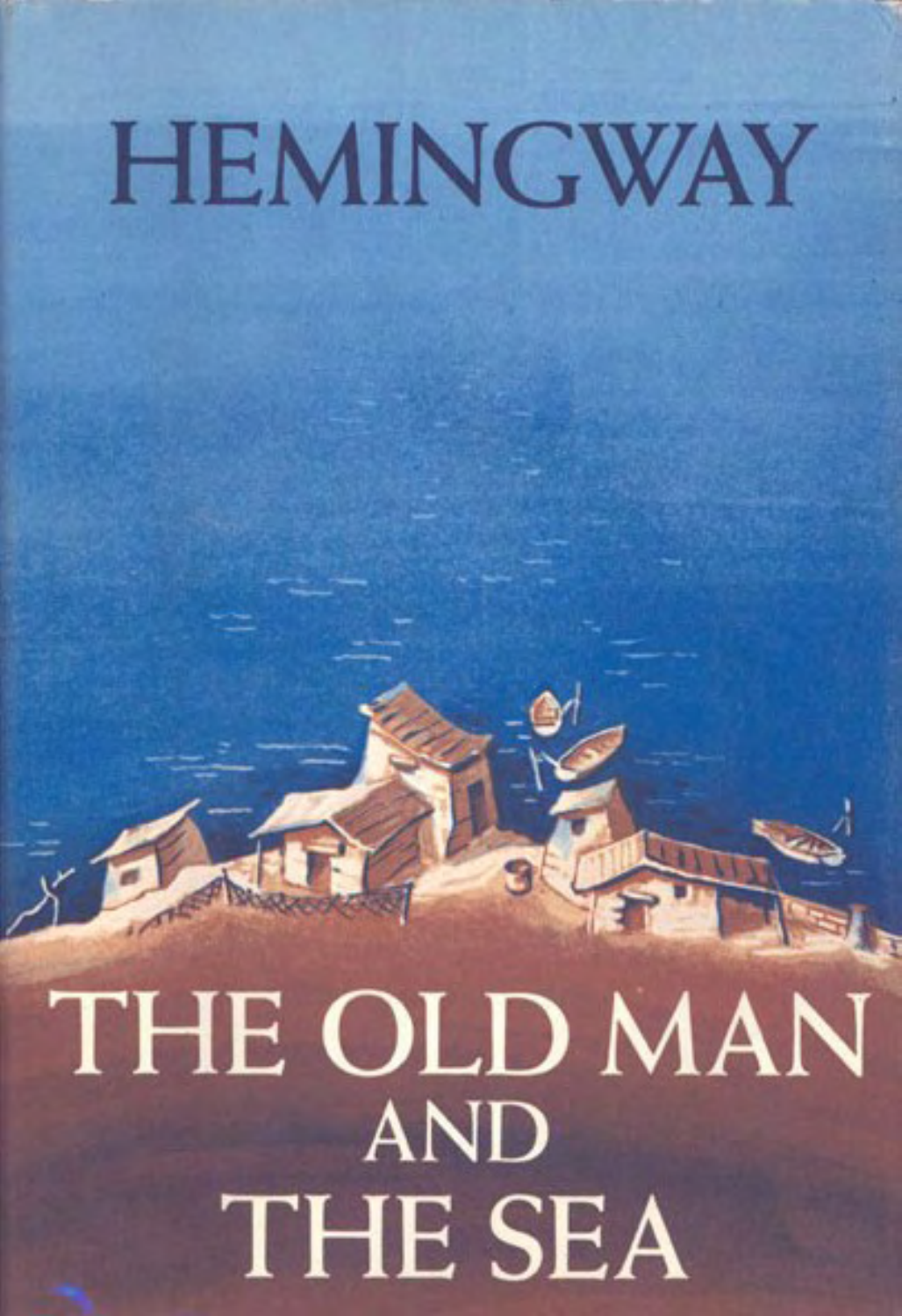## **HEMINGWAY**

### THE OLD MAN **ANI THE SEA**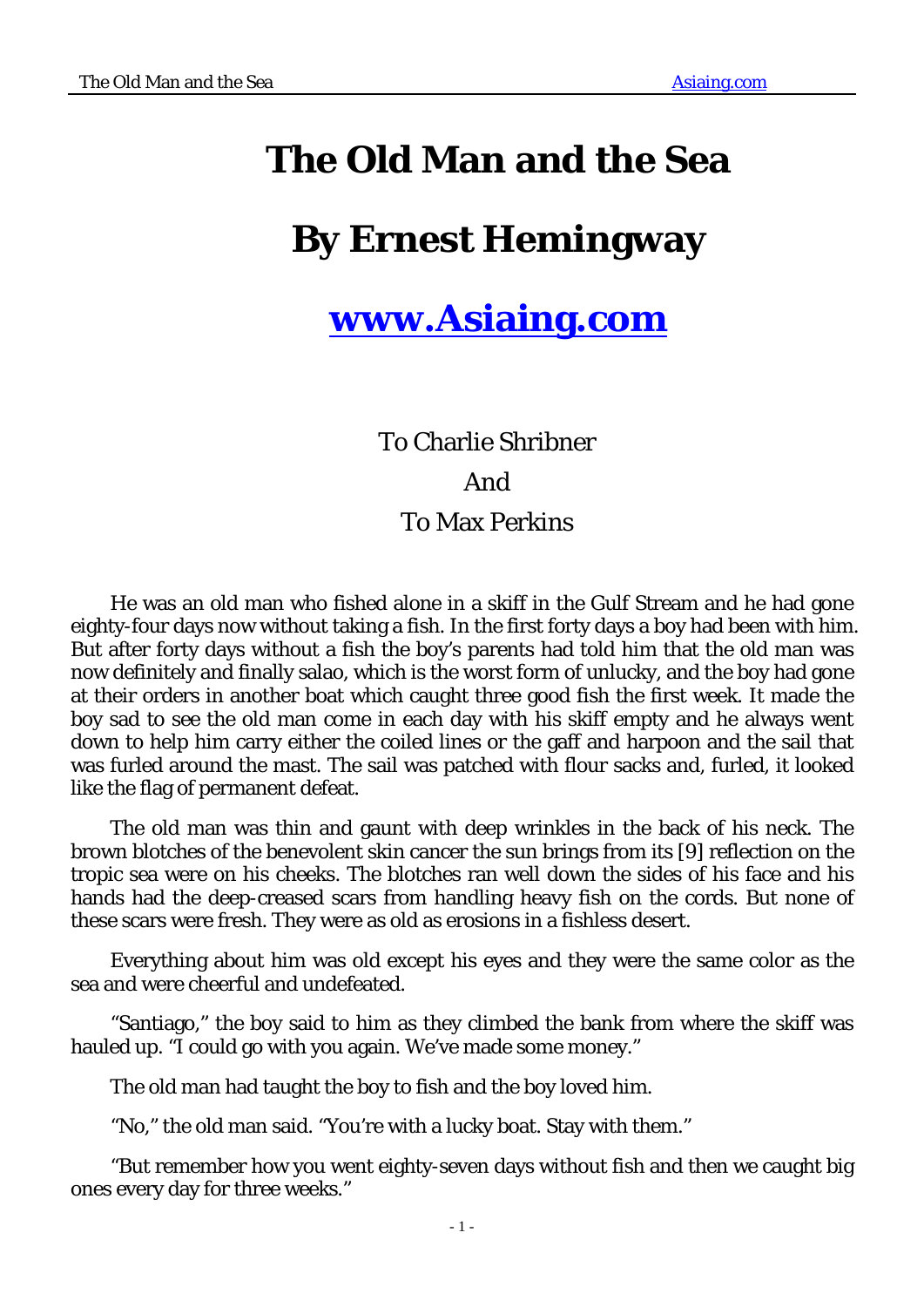#### **The Old Man and the Sea**

#### **By Ernest Hemingway**

#### **www.Asiaing.com**

To Charlie Shribner And To Max Perkins

He was an old man who fished alone in a skiff in the Gulf Stream and he had gone eighty-four days now without taking a fish. In the first forty days a boy had been with him. But after forty days without a fish the boy's parents had told him that the old man was now definitely and finally salao, which is the worst form of unlucky, and the boy had gone at their orders in another boat which caught three good fish the first week. It made the boy sad to see the old man come in each day with his skiff empty and he always went down to help him carry either the coiled lines or the gaff and harpoon and the sail that was furled around the mast. The sail was patched with flour sacks and, furled, it looked like the flag of permanent defeat.

The old man was thin and gaunt with deep wrinkles in the back of his neck. The brown blotches of the benevolent skin cancer the sun brings from its [9] reflection on the tropic sea were on his cheeks. The blotches ran well down the sides of his face and his hands had the deep-creased scars from handling heavy fish on the cords. But none of these scars were fresh. They were as old as erosions in a fishless desert.

Everything about him was old except his eyes and they were the same color as the sea and were cheerful and undefeated.

"Santiago," the boy said to him as they climbed the bank from where the skiff was hauled up. "I could go with you again. We've made some money."

The old man had taught the boy to fish and the boy loved him.

"No," the old man said. "You're with a lucky boat. Stay with them."

"But remember how you went eighty-seven days without fish and then we caught big ones every day for three weeks."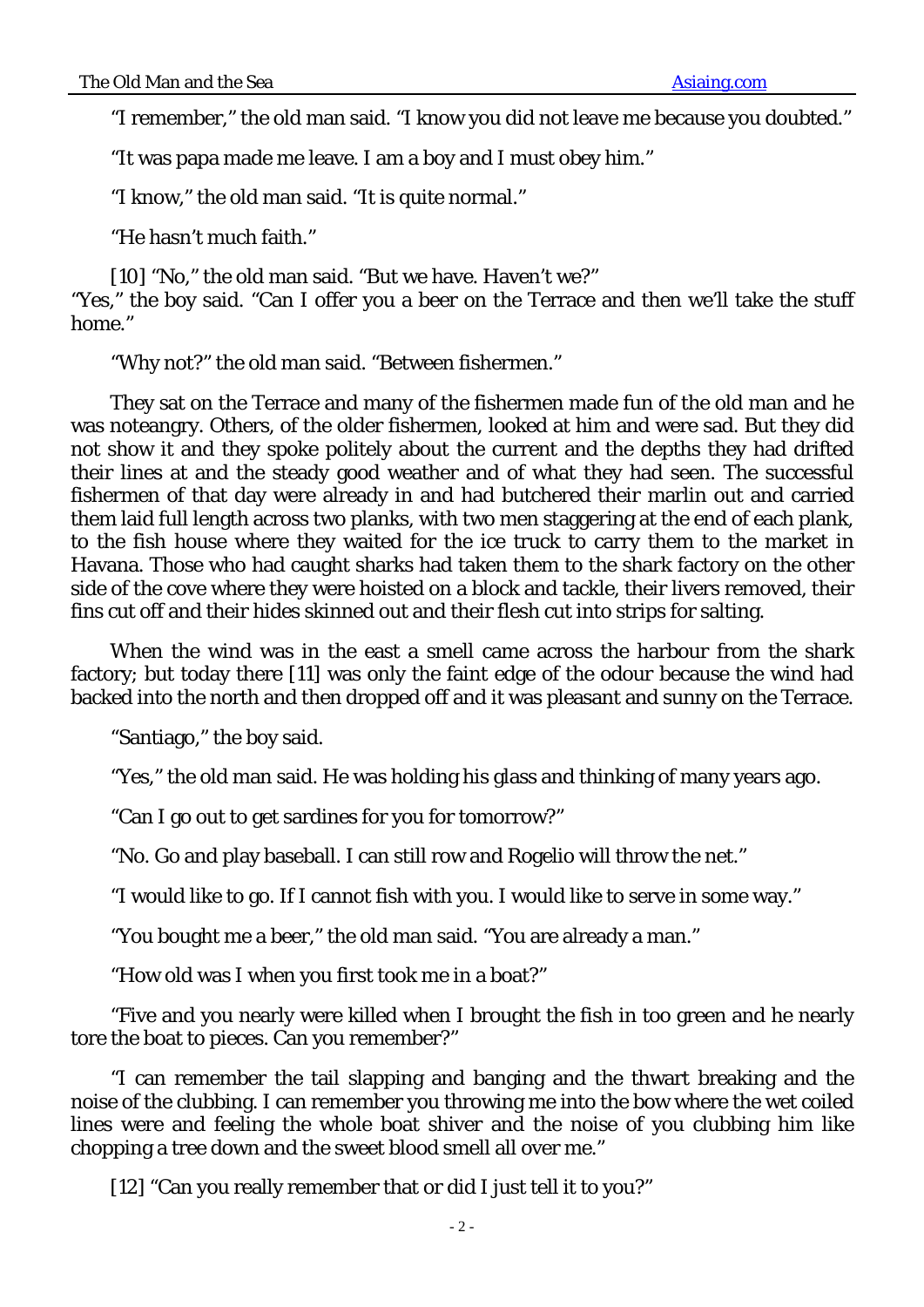"I remember," the old man said. "I know you did not leave me because you doubted."

"It was papa made me leave. I am a boy and I must obey him."

"I know," the old man said. "It is quite normal."

"He hasn't much faith."

[10] "No," the old man said. "But we have. Haven't we?" "Yes," the boy said. "Can I offer you a beer on the Terrace and then we'll take the stuff home."

"Why not?" the old man said. "Between fishermen."

They sat on the Terrace and many of the fishermen made fun of the old man and he was noteangry. Others, of the older fishermen, looked at him and were sad. But they did not show it and they spoke politely about the current and the depths they had drifted their lines at and the steady good weather and of what they had seen. The successful fishermen of that day were already in and had butchered their marlin out and carried them laid full length across two planks, with two men staggering at the end of each plank, to the fish house where they waited for the ice truck to carry them to the market in Havana. Those who had caught sharks had taken them to the shark factory on the other side of the cove where they were hoisted on a block and tackle, their livers removed, their fins cut off and their hides skinned out and their flesh cut into strips for salting.

When the wind was in the east a smell came across the harbour from the shark factory; but today there [11] was only the faint edge of the odour because the wind had backed into the north and then dropped off and it was pleasant and sunny on the Terrace.

"Santiago," the boy said.

"Yes," the old man said. He was holding his glass and thinking of many years ago.

"Can I go out to get sardines for you for tomorrow?"

"No. Go and play baseball. I can still row and Rogelio will throw the net."

"I would like to go. If I cannot fish with you. I would like to serve in some way."

"You bought me a beer," the old man said. "You are already a man."

"How old was I when you first took me in a boat?"

"Five and you nearly were killed when I brought the fish in too green and he nearly tore the boat to pieces. Can you remember?"

"I can remember the tail slapping and banging and the thwart breaking and the noise of the clubbing. I can remember you throwing me into the bow where the wet coiled lines were and feeling the whole boat shiver and the noise of you clubbing him like chopping a tree down and the sweet blood smell all over me."

[12] "Can you really remember that or did I just tell it to you?"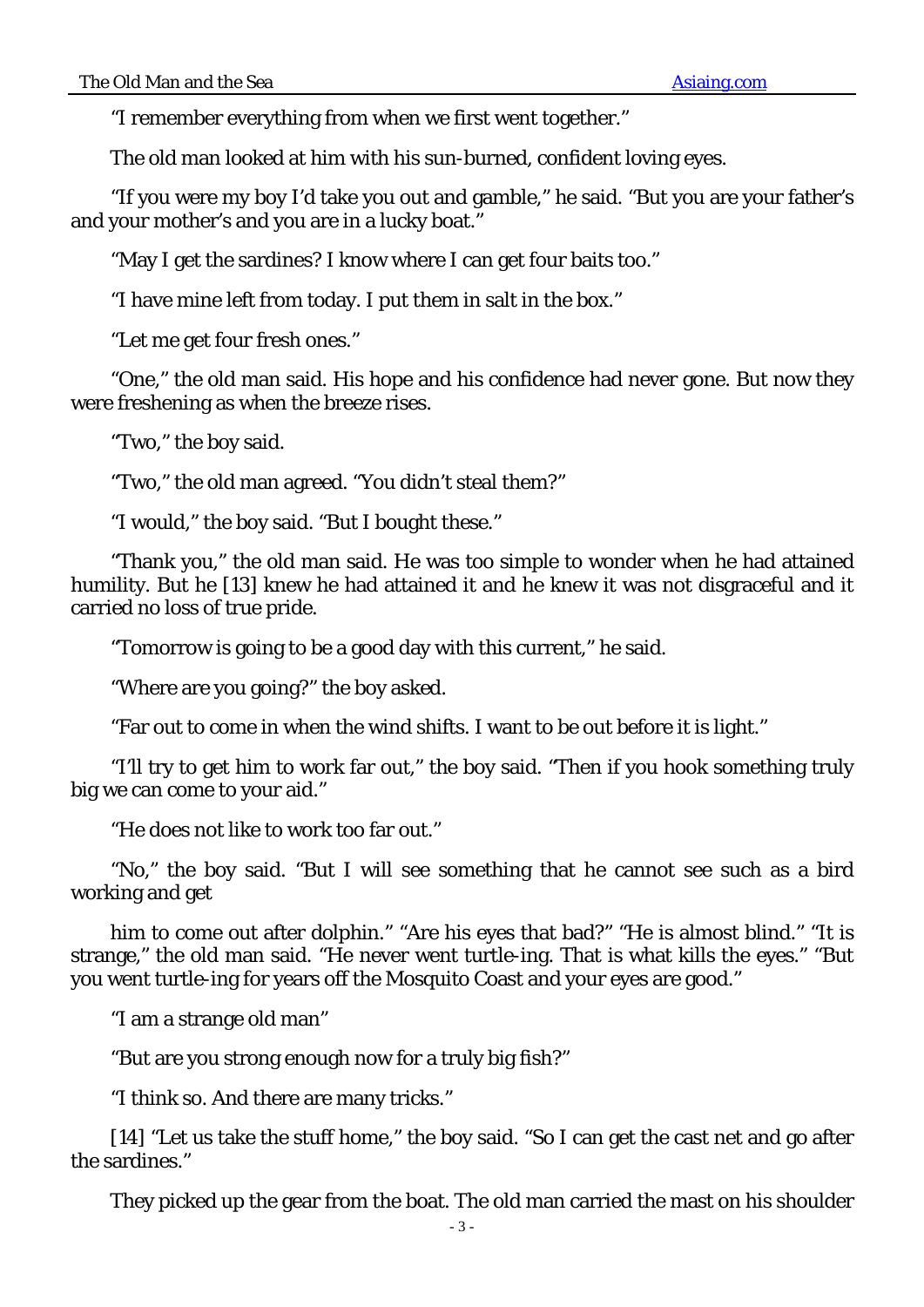"I remember everything from when we first went together."

The old man looked at him with his sun-burned, confident loving eyes.

"If you were my boy I'd take you out and gamble," he said. "But you are your father's and your mother's and you are in a lucky boat."

"May I get the sardines? I know where I can get four baits too."

"I have mine left from today. I put them in salt in the box."

"Let me get four fresh ones."

"One," the old man said. His hope and his confidence had never gone. But now they were freshening as when the breeze rises.

"Two," the boy said.

"Two," the old man agreed. "You didn't steal them?"

"I would," the boy said. "But I bought these."

"Thank you," the old man said. He was too simple to wonder when he had attained humility. But he [13] knew he had attained it and he knew it was not disgraceful and it carried no loss of true pride.

"Tomorrow is going to be a good day with this current," he said.

"Where are you going?" the boy asked.

"Far out to come in when the wind shifts. I want to be out before it is light."

"I'll try to get him to work far out," the boy said. "Then if you hook something truly big we can come to your aid."

"He does not like to work too far out."

"No," the boy said. "But I will see something that he cannot see such as a bird working and get

him to come out after dolphin." "Are his eyes that bad?" "He is almost blind." "It is strange," the old man said. "He never went turtle-ing. That is what kills the eyes." "But you went turtle-ing for years off the Mosquito Coast and your eyes are good."

"I am a strange old man"

"But are you strong enough now for a truly big fish?"

"I think so. And there are many tricks."

[14] "Let us take the stuff home," the boy said. "So I can get the cast net and go after the sardines."

They picked up the gear from the boat. The old man carried the mast on his shoulder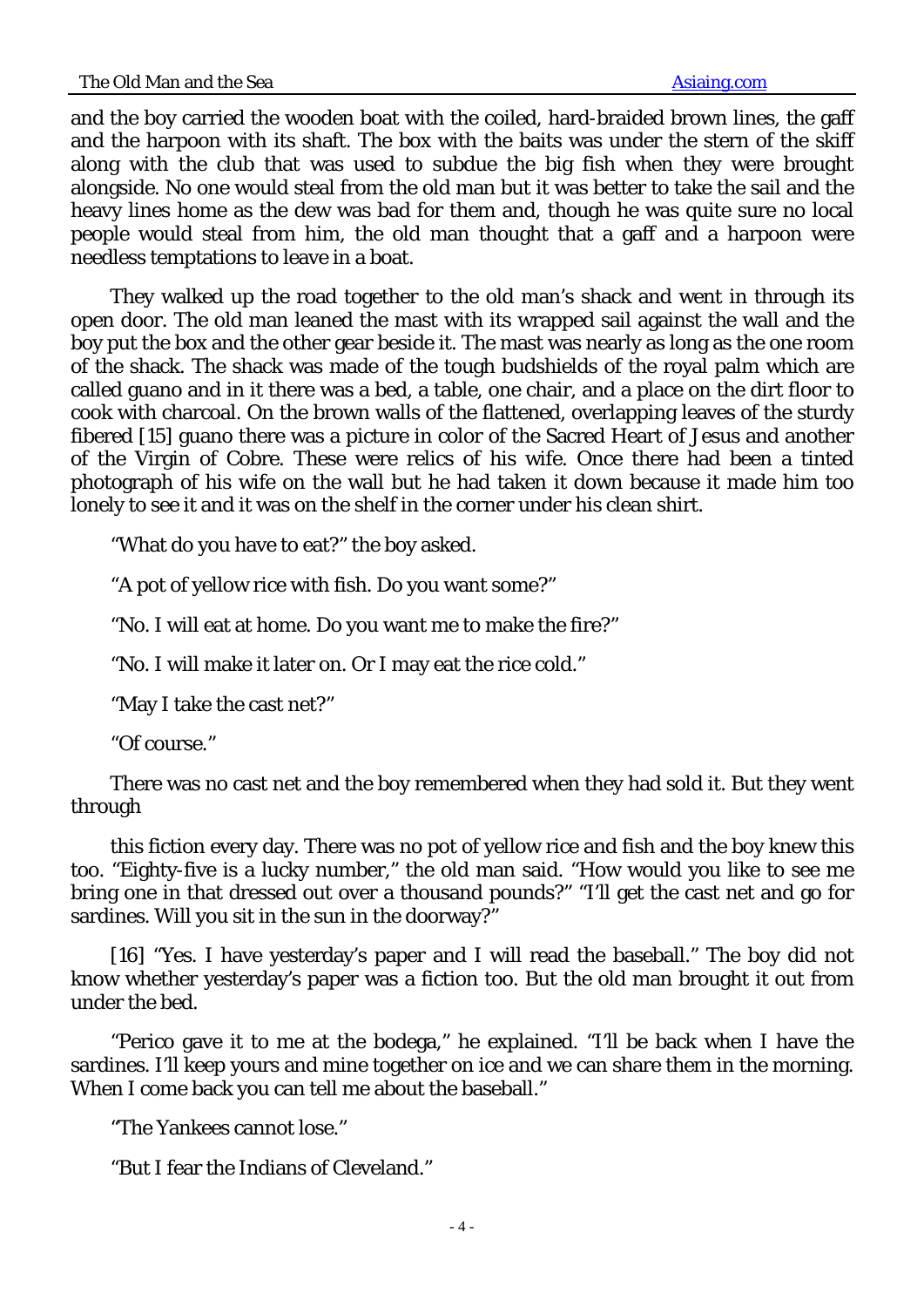and the boy carried the wooden boat with the coiled, hard-braided brown lines, the gaff and the harpoon with its shaft. The box with the baits was under the stern of the skiff along with the club that was used to subdue the big fish when they were brought alongside. No one would steal from the old man but it was better to take the sail and the heavy lines home as the dew was bad for them and, though he was quite sure no local people would steal from him, the old man thought that a gaff and a harpoon were needless temptations to leave in a boat.

They walked up the road together to the old man's shack and went in through its open door. The old man leaned the mast with its wrapped sail against the wall and the boy put the box and the other gear beside it. The mast was nearly as long as the one room of the shack. The shack was made of the tough budshields of the royal palm which are called guano and in it there was a bed, a table, one chair, and a place on the dirt floor to cook with charcoal. On the brown walls of the flattened, overlapping leaves of the sturdy fibered [15] guano there was a picture in color of the Sacred Heart of Jesus and another of the Virgin of Cobre. These were relics of his wife. Once there had been a tinted photograph of his wife on the wall but he had taken it down because it made him too lonely to see it and it was on the shelf in the corner under his clean shirt.

"What do you have to eat?" the boy asked.

"A pot of yellow rice with fish. Do you want some?"

"No. I will eat at home. Do you want me to make the fire?"

"No. I will make it later on. Or I may eat the rice cold."

"May I take the cast net?"

"Of course."

There was no cast net and the boy remembered when they had sold it. But they went through

this fiction every day. There was no pot of yellow rice and fish and the boy knew this too. "Eighty-five is a lucky number," the old man said. "How would you like to see me bring one in that dressed out over a thousand pounds?" "I'll get the cast net and go for sardines. Will you sit in the sun in the doorway?"

[16] "Yes. I have yesterday's paper and I will read the baseball." The boy did not know whether yesterday's paper was a fiction too. But the old man brought it out from under the bed.

"Perico gave it to me at the bodega," he explained. "I'll be back when I have the sardines. I'll keep yours and mine together on ice and we can share them in the morning. When I come back you can tell me about the baseball."

"The Yankees cannot lose."

"But I fear the Indians of Cleveland."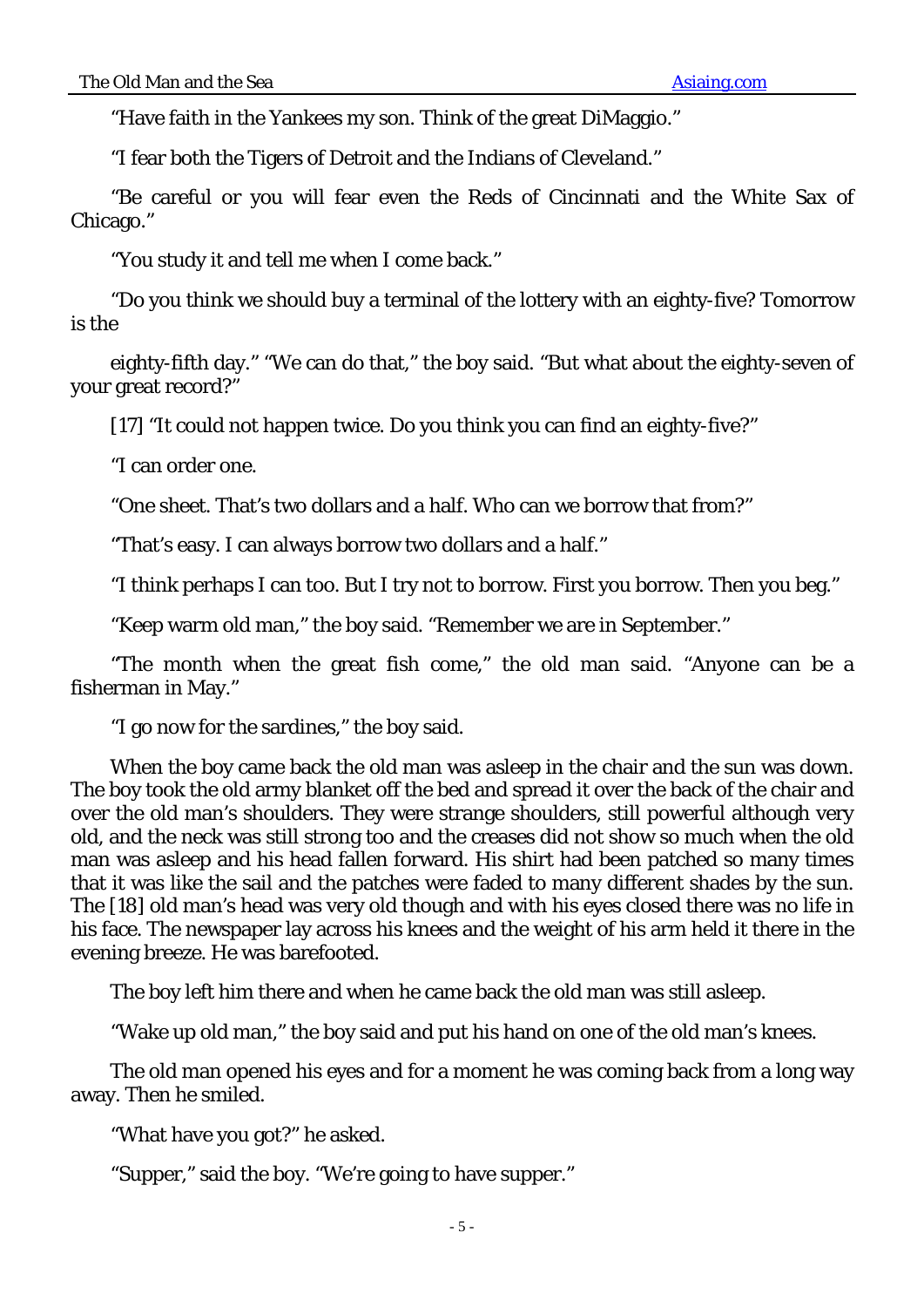"Have faith in the Yankees my son. Think of the great DiMaggio."

"I fear both the Tigers of Detroit and the Indians of Cleveland."

"Be careful or you will fear even the Reds of Cincinnati and the White Sax of Chicago."

"You study it and tell me when I come back."

"Do you think we should buy a terminal of the lottery with an eighty-five? Tomorrow is the

eighty-fifth day." "We can do that," the boy said. "But what about the eighty-seven of your great record?"

[17] "It could not happen twice. Do you think you can find an eighty-five?"

"I can order one.

"One sheet. That's two dollars and a half. Who can we borrow that from?"

"That's easy. I can always borrow two dollars and a half."

"I think perhaps I can too. But I try not to borrow. First you borrow. Then you beg."

"Keep warm old man," the boy said. "Remember we are in September."

"The month when the great fish come," the old man said. "Anyone can be a fisherman in May."

"I go now for the sardines," the boy said.

When the boy came back the old man was asleep in the chair and the sun was down. The boy took the old army blanket off the bed and spread it over the back of the chair and over the old man's shoulders. They were strange shoulders, still powerful although very old, and the neck was still strong too and the creases did not show so much when the old man was asleep and his head fallen forward. His shirt had been patched so many times that it was like the sail and the patches were faded to many different shades by the sun. The [18] old man's head was very old though and with his eyes closed there was no life in his face. The newspaper lay across his knees and the weight of his arm held it there in the evening breeze. He was barefooted.

The boy left him there and when he came back the old man was still asleep.

"Wake up old man," the boy said and put his hand on one of the old man's knees.

The old man opened his eyes and for a moment he was coming back from a long way away. Then he smiled.

"What have you got?" he asked.

"Supper," said the boy. "We're going to have supper."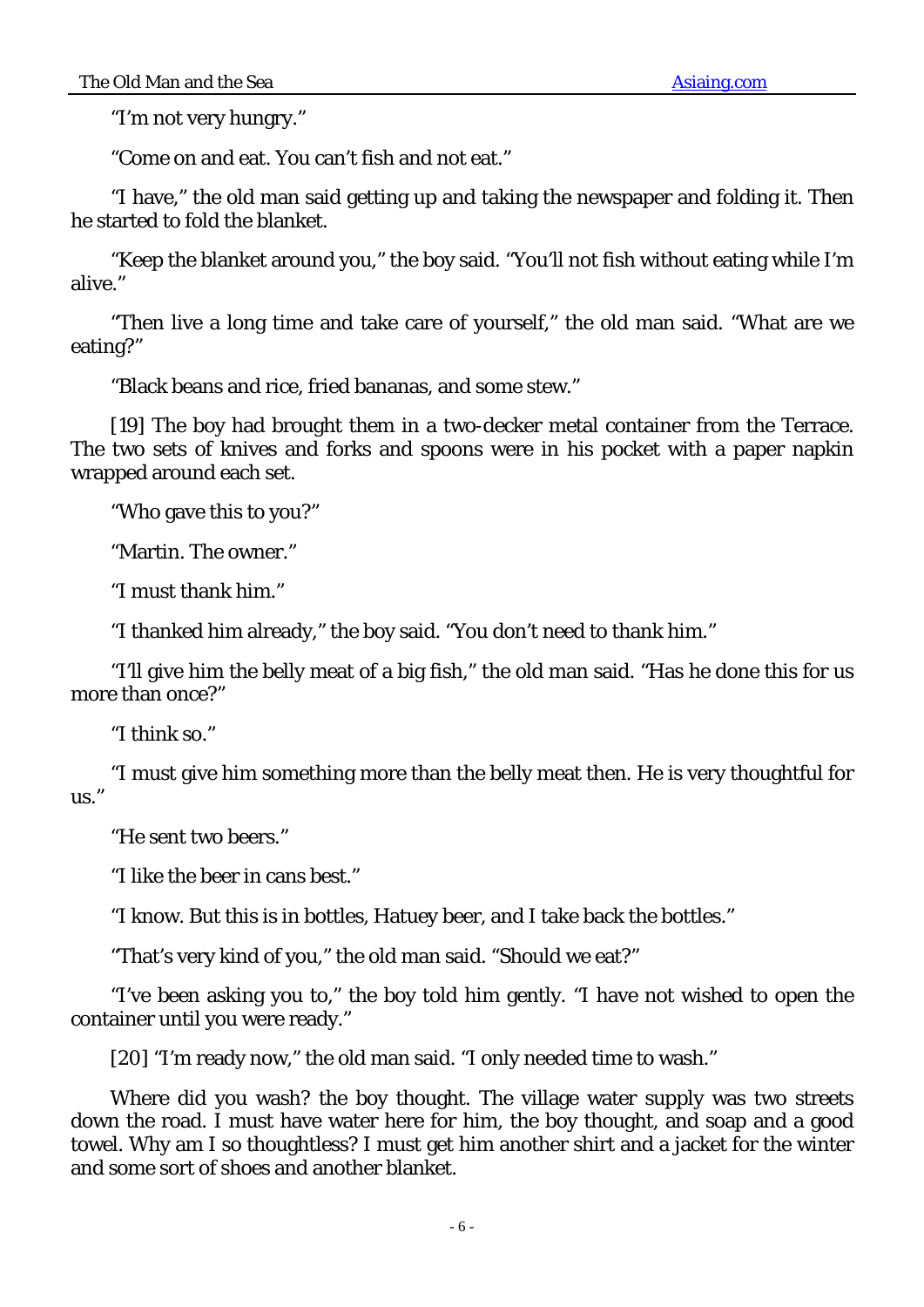"I'm not very hungry."

"Come on and eat. You can't fish and not eat."

"I have," the old man said getting up and taking the newspaper and folding it. Then he started to fold the blanket.

"Keep the blanket around you," the boy said. "You'll not fish without eating while I'm alive."

"Then live a long time and take care of yourself," the old man said. "What are we eating?"

"Black beans and rice, fried bananas, and some stew."

[19] The boy had brought them in a two-decker metal container from the Terrace. The two sets of knives and forks and spoons were in his pocket with a paper napkin wrapped around each set.

"Who gave this to you?"

"Martin. The owner."

"I must thank him."

"I thanked him already," the boy said. "You don't need to thank him."

"I'll give him the belly meat of a big fish," the old man said. "Has he done this for us more than once?"

"I think so."

"I must give him something more than the belly meat then. He is very thoughtful for us."

"He sent two beers."

"I like the beer in cans best."

"I know. But this is in bottles, Hatuey beer, and I take back the bottles."

"That's very kind of you," the old man said. "Should we eat?"

"I've been asking you to," the boy told him gently. "I have not wished to open the container until you were ready."

[20] "I'm ready now," the old man said. "I only needed time to wash."

Where did you wash? the boy thought. The village water supply was two streets down the road. I must have water here for him, the boy thought, and soap and a good towel. Why am I so thoughtless? I must get him another shirt and a jacket for the winter and some sort of shoes and another blanket.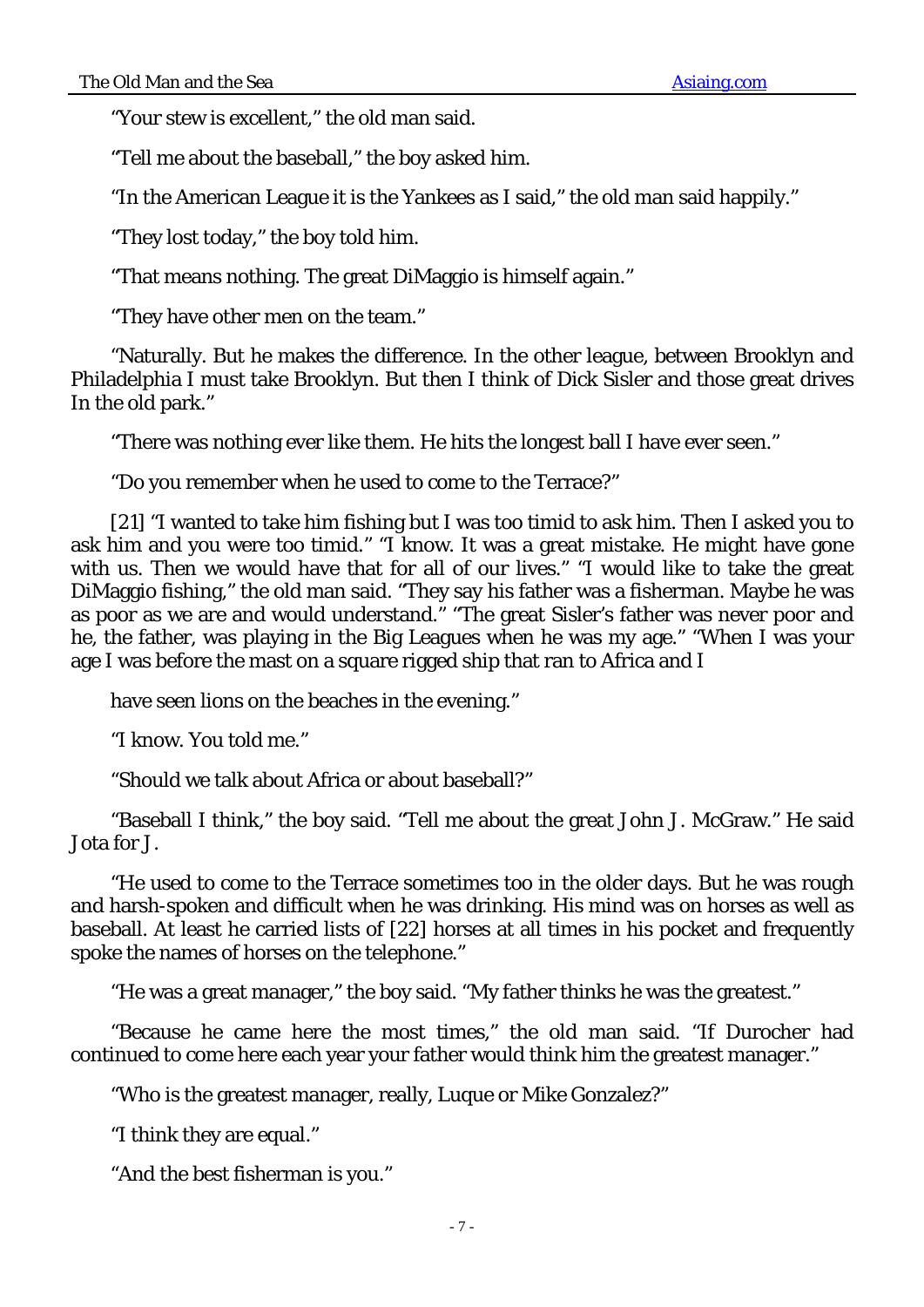"Your stew is excellent," the old man said.

"Tell me about the baseball," the boy asked him.

"In the American League it is the Yankees as I said," the old man said happily."

"They lost today," the boy told him.

"That means nothing. The great DiMaggio is himself again."

"They have other men on the team."

"Naturally. But he makes the difference. In the other league, between Brooklyn and Philadelphia I must take Brooklyn. But then I think of Dick Sisler and those great drives In the old park."

"There was nothing ever like them. He hits the longest ball I have ever seen."

"Do you remember when he used to come to the Terrace?"

[21] "I wanted to take him fishing but I was too timid to ask him. Then I asked you to ask him and you were too timid." "I know. It was a great mistake. He might have gone with us. Then we would have that for all of our lives." "I would like to take the great DiMaggio fishing," the old man said. "They say his father was a fisherman. Maybe he was as poor as we are and would understand." "The great Sisler's father was never poor and he, the father, was playing in the Big Leagues when he was my age." "When I was your age I was before the mast on a square rigged ship that ran to Africa and I

have seen lions on the beaches in the evening."

"I know. You told me."

"Should we talk about Africa or about baseball?"

"Baseball I think," the boy said. "Tell me about the great John J. McGraw." He said Jota for J.

"He used to come to the Terrace sometimes too in the older days. But he was rough and harsh-spoken and difficult when he was drinking. His mind was on horses as well as baseball. At least he carried lists of [22] horses at all times in his pocket and frequently spoke the names of horses on the telephone."

"He was a great manager," the boy said. "My father thinks he was the greatest."

"Because he came here the most times," the old man said. "If Durocher had continued to come here each year your father would think him the greatest manager."

"Who is the greatest manager, really, Luque or Mike Gonzalez?"

"I think they are equal."

"And the best fisherman is you."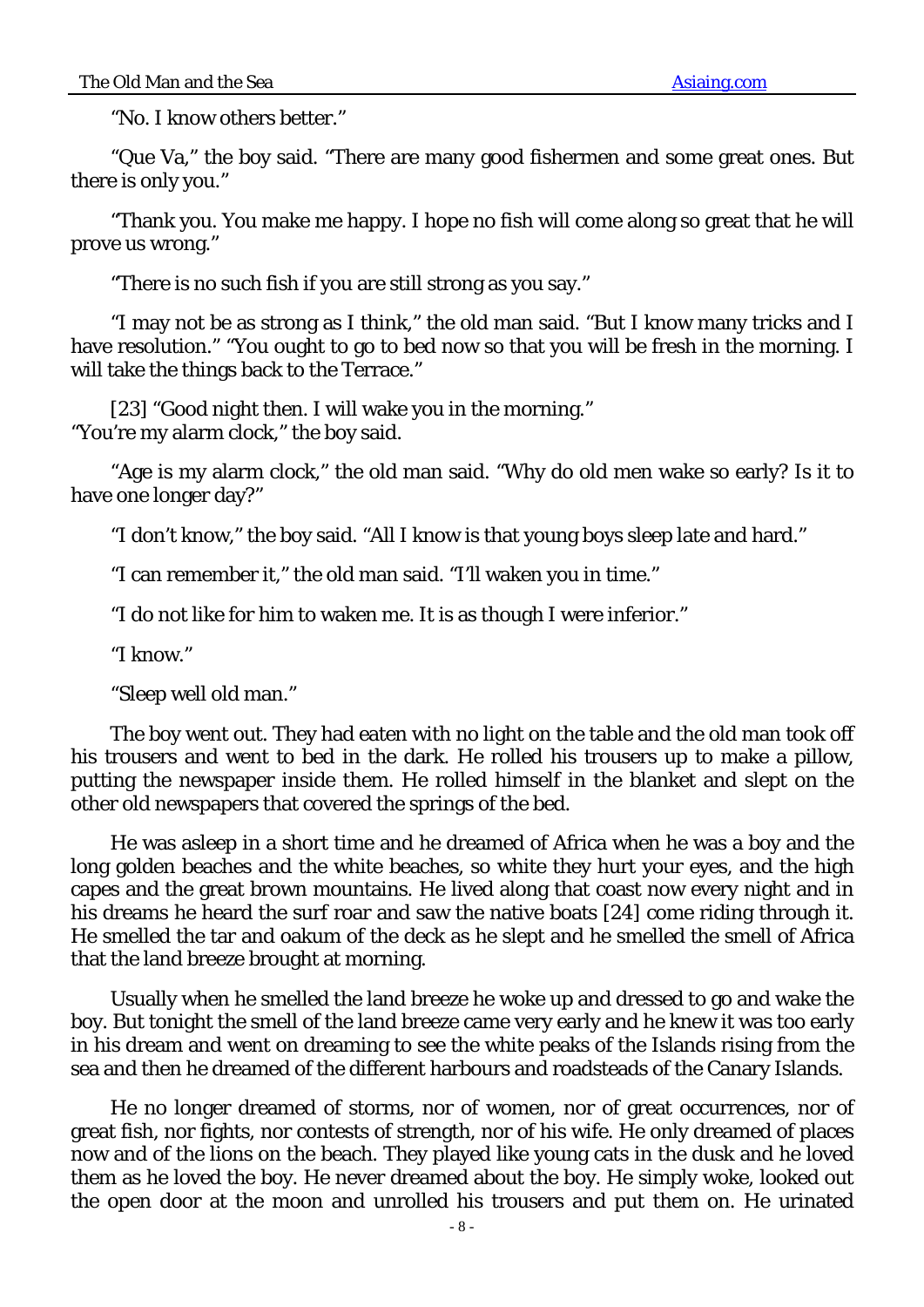"No. I know others better."

"Que Va," the boy said. "There are many good fishermen and some great ones. But there is only you."

"Thank you. You make me happy. I hope no fish will come along so great that he will prove us wrong."

"There is no such fish if you are still strong as you say."

"I may not be as strong as I think," the old man said. "But I know many tricks and I have resolution." "You ought to go to bed now so that you will be fresh in the morning. I will take the things back to the Terrace."

[23] "Good night then. I will wake you in the morning." "You're my alarm clock," the boy said.

"Age is my alarm clock," the old man said. "Why do old men wake so early? Is it to have one longer day?"

"I don't know," the boy said. "All I know is that young boys sleep late and hard."

"I can remember it," the old man said. "I'll waken you in time."

"I do not like for him to waken me. It is as though I were inferior."

"I know."

"Sleep well old man."

The boy went out. They had eaten with no light on the table and the old man took off his trousers and went to bed in the dark. He rolled his trousers up to make a pillow, putting the newspaper inside them. He rolled himself in the blanket and slept on the other old newspapers that covered the springs of the bed.

He was asleep in a short time and he dreamed of Africa when he was a boy and the long golden beaches and the white beaches, so white they hurt your eyes, and the high capes and the great brown mountains. He lived along that coast now every night and in his dreams he heard the surf roar and saw the native boats [24] come riding through it. He smelled the tar and oakum of the deck as he slept and he smelled the smell of Africa that the land breeze brought at morning.

Usually when he smelled the land breeze he woke up and dressed to go and wake the boy. But tonight the smell of the land breeze came very early and he knew it was too early in his dream and went on dreaming to see the white peaks of the Islands rising from the sea and then he dreamed of the different harbours and roadsteads of the Canary Islands.

He no longer dreamed of storms, nor of women, nor of great occurrences, nor of great fish, nor fights, nor contests of strength, nor of his wife. He only dreamed of places now and of the lions on the beach. They played like young cats in the dusk and he loved them as he loved the boy. He never dreamed about the boy. He simply woke, looked out the open door at the moon and unrolled his trousers and put them on. He urinated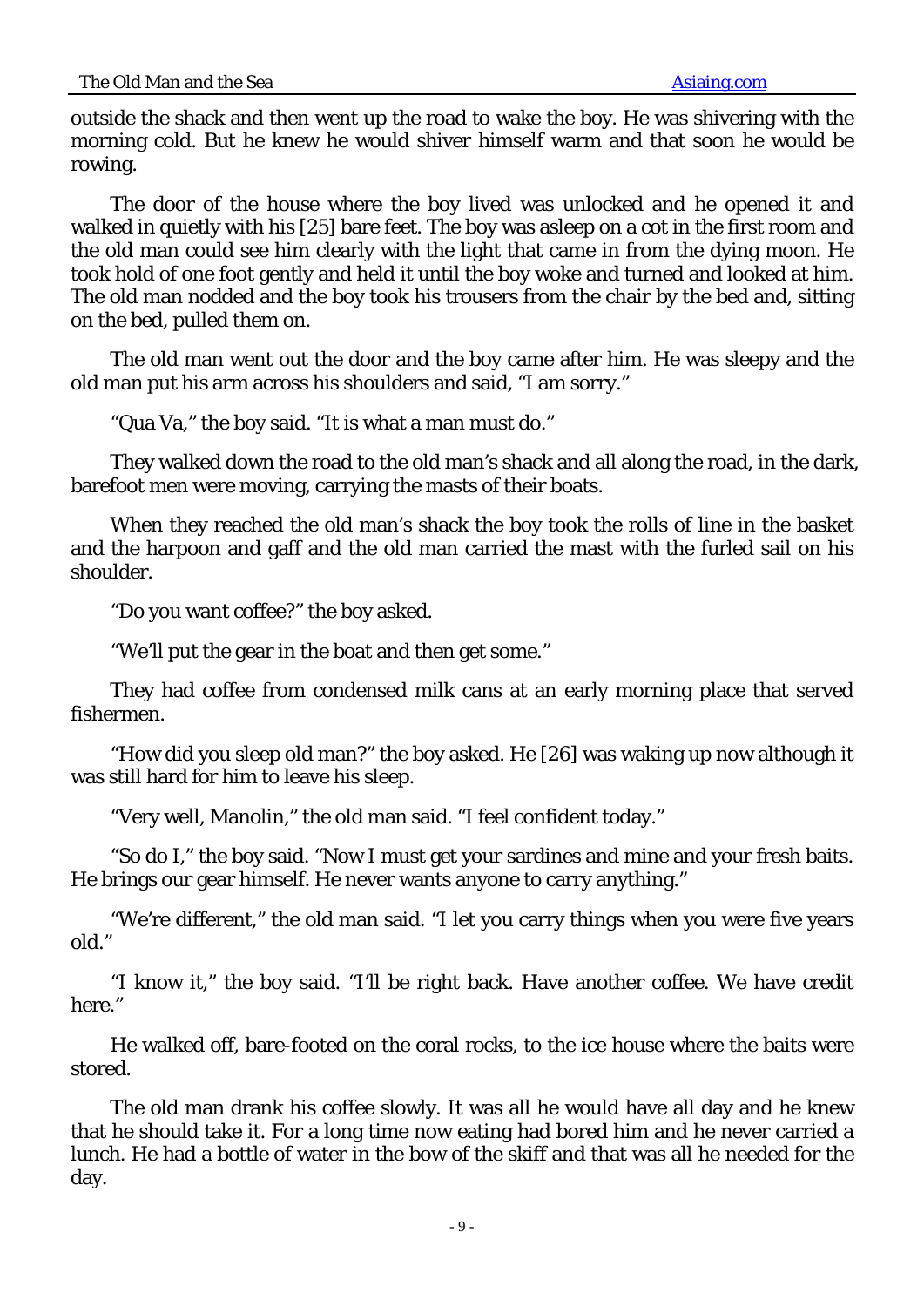outside the shack and then went up the road to wake the boy. He was shivering with the morning cold. But he knew he would shiver himself warm and that soon he would be rowing.

The door of the house where the boy lived was unlocked and he opened it and walked in quietly with his [25] bare feet. The boy was asleep on a cot in the first room and the old man could see him clearly with the light that came in from the dying moon. He took hold of one foot gently and held it until the boy woke and turned and looked at him. The old man nodded and the boy took his trousers from the chair by the bed and, sitting on the bed, pulled them on.

The old man went out the door and the boy came after him. He was sleepy and the old man put his arm across his shoulders and said, "I am sorry."

"Qua Va," the boy said. "It is what a man must do."

They walked down the road to the old man's shack and all along the road, in the dark, barefoot men were moving, carrying the masts of their boats.

When they reached the old man's shack the boy took the rolls of line in the basket and the harpoon and gaff and the old man carried the mast with the furled sail on his shoulder.

"Do you want coffee?" the boy asked.

"We'll put the gear in the boat and then get some."

They had coffee from condensed milk cans at an early morning place that served fishermen.

"How did you sleep old man?" the boy asked. He [26] was waking up now although it was still hard for him to leave his sleep.

"Very well, Manolin," the old man said. "I feel confident today."

"So do I," the boy said. "Now I must get your sardines and mine and your fresh baits. He brings our gear himself. He never wants anyone to carry anything."

"We're different," the old man said. "I let you carry things when you were five years old."

"I know it," the boy said. "I'll be right back. Have another coffee. We have credit here."

He walked off, bare-footed on the coral rocks, to the ice house where the baits were stored.

The old man drank his coffee slowly. It was all he would have all day and he knew that he should take it. For a long time now eating had bored him and he never carried a lunch. He had a bottle of water in the bow of the skiff and that was all he needed for the day.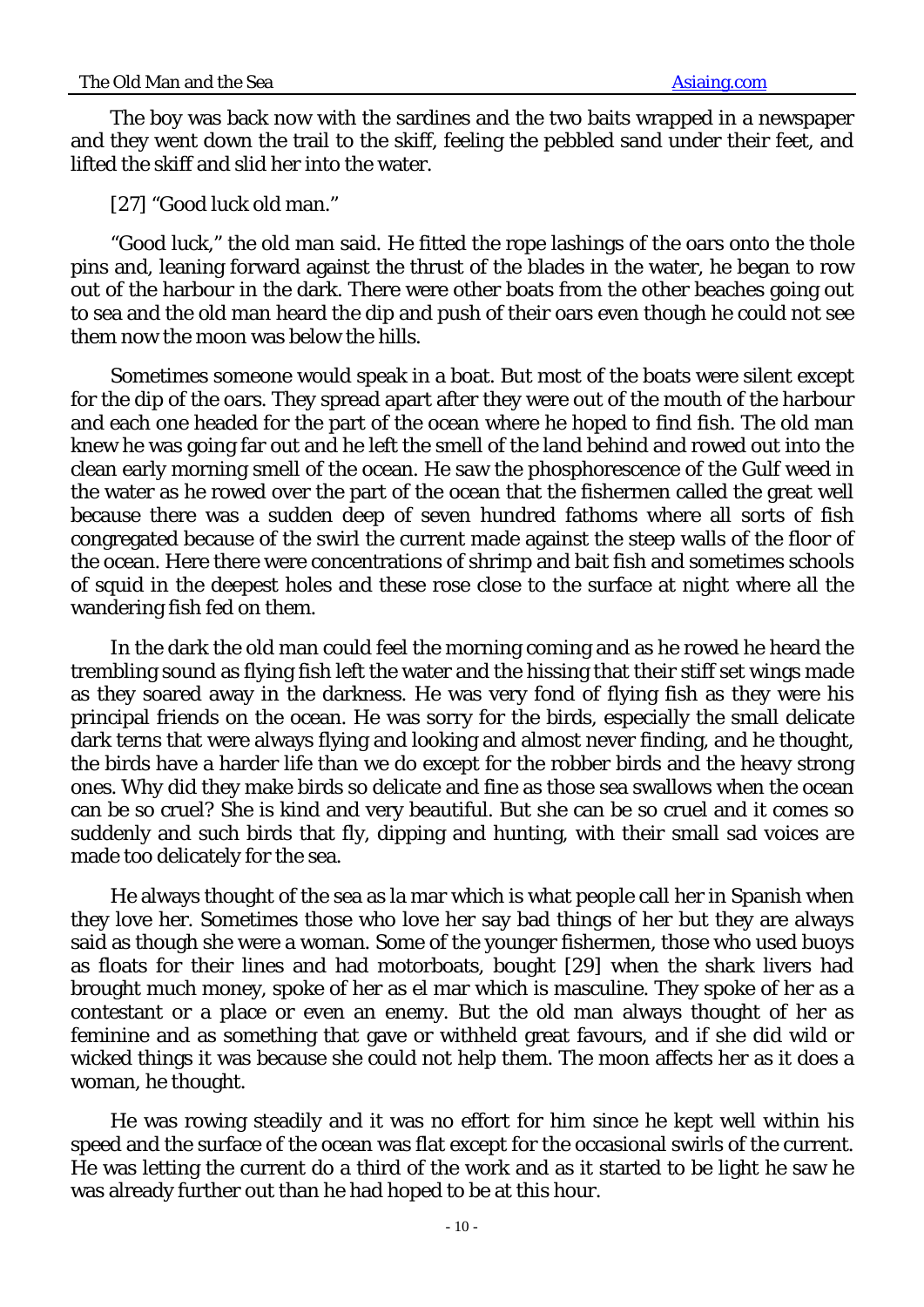The boy was back now with the sardines and the two baits wrapped in a newspaper and they went down the trail to the skiff, feeling the pebbled sand under their feet, and lifted the skiff and slid her into the water.

[27] "Good luck old man."

"Good luck," the old man said. He fitted the rope lashings of the oars onto the thole pins and, leaning forward against the thrust of the blades in the water, he began to row out of the harbour in the dark. There were other boats from the other beaches going out to sea and the old man heard the dip and push of their oars even though he could not see them now the moon was below the hills.

Sometimes someone would speak in a boat. But most of the boats were silent except for the dip of the oars. They spread apart after they were out of the mouth of the harbour and each one headed for the part of the ocean where he hoped to find fish. The old man knew he was going far out and he left the smell of the land behind and rowed out into the clean early morning smell of the ocean. He saw the phosphorescence of the Gulf weed in the water as he rowed over the part of the ocean that the fishermen called the great well because there was a sudden deep of seven hundred fathoms where all sorts of fish congregated because of the swirl the current made against the steep walls of the floor of the ocean. Here there were concentrations of shrimp and bait fish and sometimes schools of squid in the deepest holes and these rose close to the surface at night where all the wandering fish fed on them.

In the dark the old man could feel the morning coming and as he rowed he heard the trembling sound as flying fish left the water and the hissing that their stiff set wings made as they soared away in the darkness. He was very fond of flying fish as they were his principal friends on the ocean. He was sorry for the birds, especially the small delicate dark terns that were always flying and looking and almost never finding, and he thought, the birds have a harder life than we do except for the robber birds and the heavy strong ones. Why did they make birds so delicate and fine as those sea swallows when the ocean can be so cruel? She is kind and very beautiful. But she can be so cruel and it comes so suddenly and such birds that fly, dipping and hunting, with their small sad voices are made too delicately for the sea.

He always thought of the sea as la mar which is what people call her in Spanish when they love her. Sometimes those who love her say bad things of her but they are always said as though she were a woman. Some of the younger fishermen, those who used buoys as floats for their lines and had motorboats, bought [29] when the shark livers had brought much money, spoke of her as el mar which is masculine. They spoke of her as a contestant or a place or even an enemy. But the old man always thought of her as feminine and as something that gave or withheld great favours, and if she did wild or wicked things it was because she could not help them. The moon affects her as it does a woman, he thought.

He was rowing steadily and it was no effort for him since he kept well within his speed and the surface of the ocean was flat except for the occasional swirls of the current. He was letting the current do a third of the work and as it started to be light he saw he was already further out than he had hoped to be at this hour.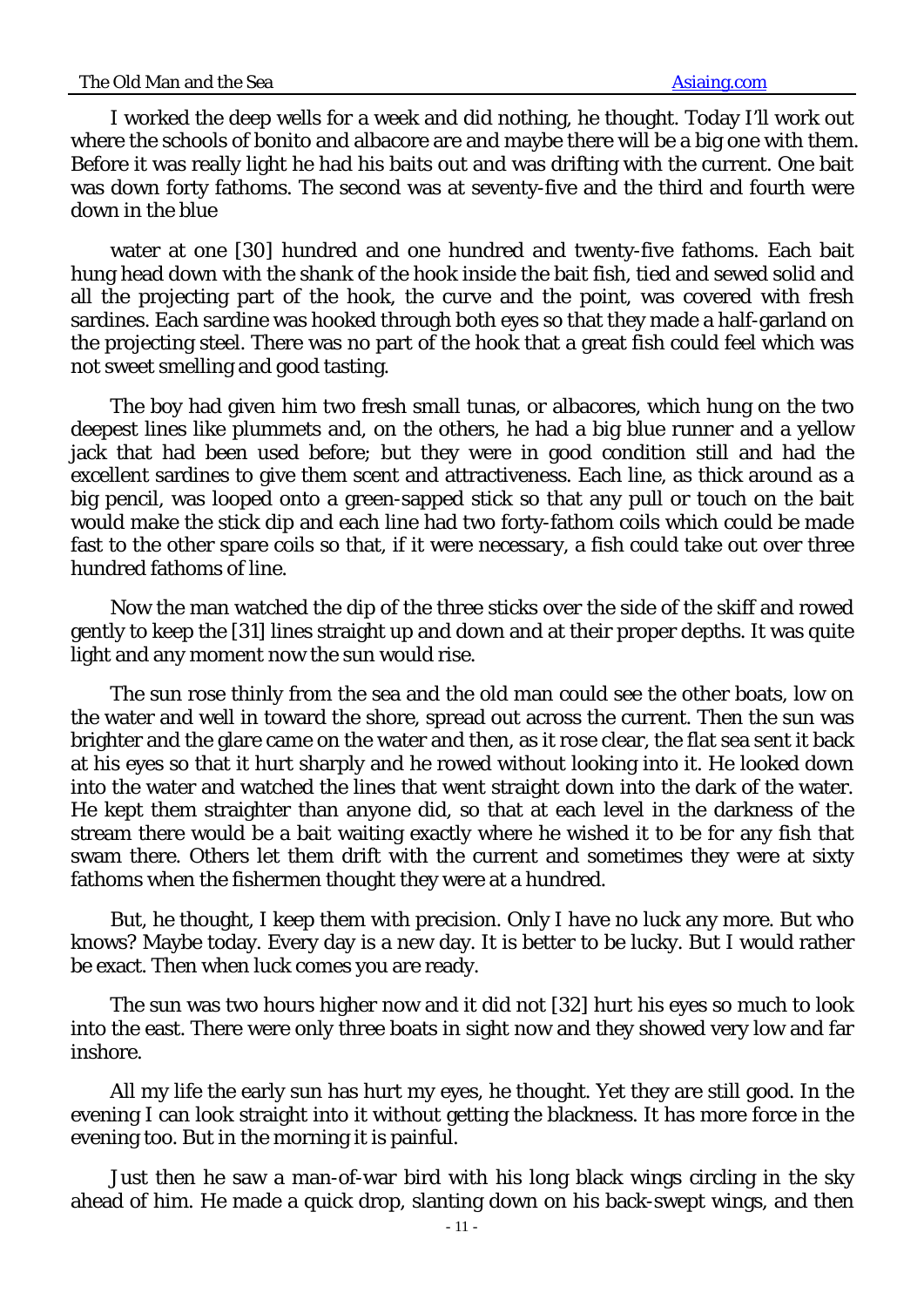I worked the deep wells for a week and did nothing, he thought. Today I'll work out where the schools of bonito and albacore are and maybe there will be a big one with them. Before it was really light he had his baits out and was drifting with the current. One bait was down forty fathoms. The second was at seventy-five and the third and fourth were down in the blue

water at one [30] hundred and one hundred and twenty-five fathoms. Each bait hung head down with the shank of the hook inside the bait fish, tied and sewed solid and all the projecting part of the hook, the curve and the point, was covered with fresh sardines. Each sardine was hooked through both eyes so that they made a half-garland on the projecting steel. There was no part of the hook that a great fish could feel which was not sweet smelling and good tasting.

The boy had given him two fresh small tunas, or albacores, which hung on the two deepest lines like plummets and, on the others, he had a big blue runner and a yellow jack that had been used before; but they were in good condition still and had the excellent sardines to give them scent and attractiveness. Each line, as thick around as a big pencil, was looped onto a green-sapped stick so that any pull or touch on the bait would make the stick dip and each line had two forty-fathom coils which could be made fast to the other spare coils so that, if it were necessary, a fish could take out over three hundred fathoms of line.

Now the man watched the dip of the three sticks over the side of the skiff and rowed gently to keep the [31] lines straight up and down and at their proper depths. It was quite light and any moment now the sun would rise.

The sun rose thinly from the sea and the old man could see the other boats, low on the water and well in toward the shore, spread out across the current. Then the sun was brighter and the glare came on the water and then, as it rose clear, the flat sea sent it back at his eyes so that it hurt sharply and he rowed without looking into it. He looked down into the water and watched the lines that went straight down into the dark of the water. He kept them straighter than anyone did, so that at each level in the darkness of the stream there would be a bait waiting exactly where he wished it to be for any fish that swam there. Others let them drift with the current and sometimes they were at sixty fathoms when the fishermen thought they were at a hundred.

But, he thought, I keep them with precision. Only I have no luck any more. But who knows? Maybe today. Every day is a new day. It is better to be lucky. But I would rather be exact. Then when luck comes you are ready.

The sun was two hours higher now and it did not [32] hurt his eyes so much to look into the east. There were only three boats in sight now and they showed very low and far inshore.

All my life the early sun has hurt my eyes, he thought. Yet they are still good. In the evening I can look straight into it without getting the blackness. It has more force in the evening too. But in the morning it is painful.

Just then he saw a man-of-war bird with his long black wings circling in the sky ahead of him. He made a quick drop, slanting down on his back-swept wings, and then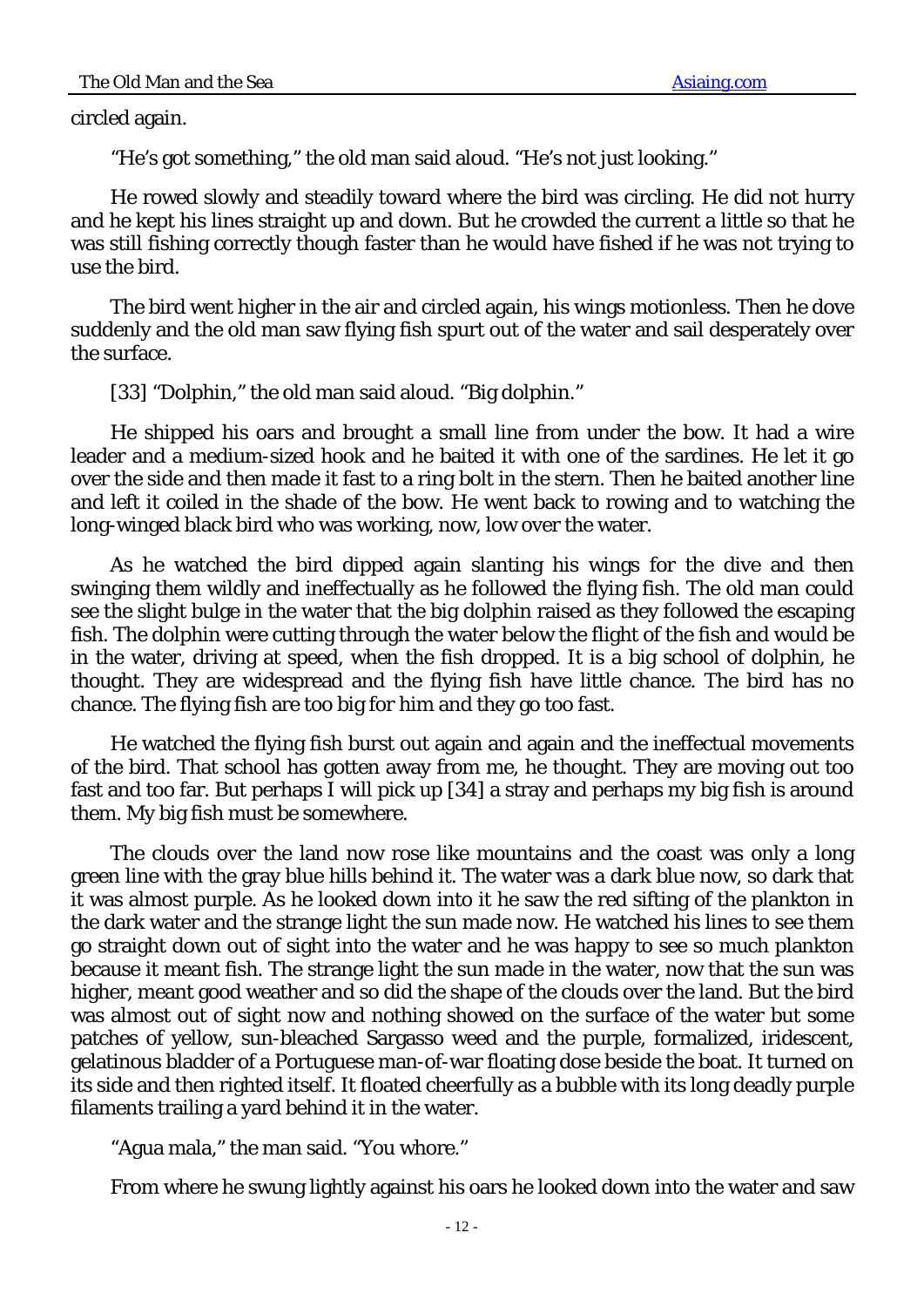circled again.

"He's got something," the old man said aloud. "He's not just looking."

He rowed slowly and steadily toward where the bird was circling. He did not hurry and he kept his lines straight up and down. But he crowded the current a little so that he was still fishing correctly though faster than he would have fished if he was not trying to use the bird.

The bird went higher in the air and circled again, his wings motionless. Then he dove suddenly and the old man saw flying fish spurt out of the water and sail desperately over the surface.

[33] "Dolphin," the old man said aloud. "Big dolphin."

He shipped his oars and brought a small line from under the bow. It had a wire leader and a medium-sized hook and he baited it with one of the sardines. He let it go over the side and then made it fast to a ring bolt in the stern. Then he baited another line and left it coiled in the shade of the bow. He went back to rowing and to watching the long-winged black bird who was working, now, low over the water.

As he watched the bird dipped again slanting his wings for the dive and then swinging them wildly and ineffectually as he followed the flying fish. The old man could see the slight bulge in the water that the big dolphin raised as they followed the escaping fish. The dolphin were cutting through the water below the flight of the fish and would be in the water, driving at speed, when the fish dropped. It is a big school of dolphin, he thought. They are widespread and the flying fish have little chance. The bird has no chance. The flying fish are too big for him and they go too fast.

He watched the flying fish burst out again and again and the ineffectual movements of the bird. That school has gotten away from me, he thought. They are moving out too fast and too far. But perhaps I will pick up [34] a stray and perhaps my big fish is around them. My big fish must be somewhere.

The clouds over the land now rose like mountains and the coast was only a long green line with the gray blue hills behind it. The water was a dark blue now, so dark that it was almost purple. As he looked down into it he saw the red sifting of the plankton in the dark water and the strange light the sun made now. He watched his lines to see them go straight down out of sight into the water and he was happy to see so much plankton because it meant fish. The strange light the sun made in the water, now that the sun was higher, meant good weather and so did the shape of the clouds over the land. But the bird was almost out of sight now and nothing showed on the surface of the water but some patches of yellow, sun-bleached Sargasso weed and the purple, formalized, iridescent, gelatinous bladder of a Portuguese man-of-war floating dose beside the boat. It turned on its side and then righted itself. It floated cheerfully as a bubble with its long deadly purple filaments trailing a yard behind it in the water.

"Agua mala," the man said. "You whore."

From where he swung lightly against his oars he looked down into the water and saw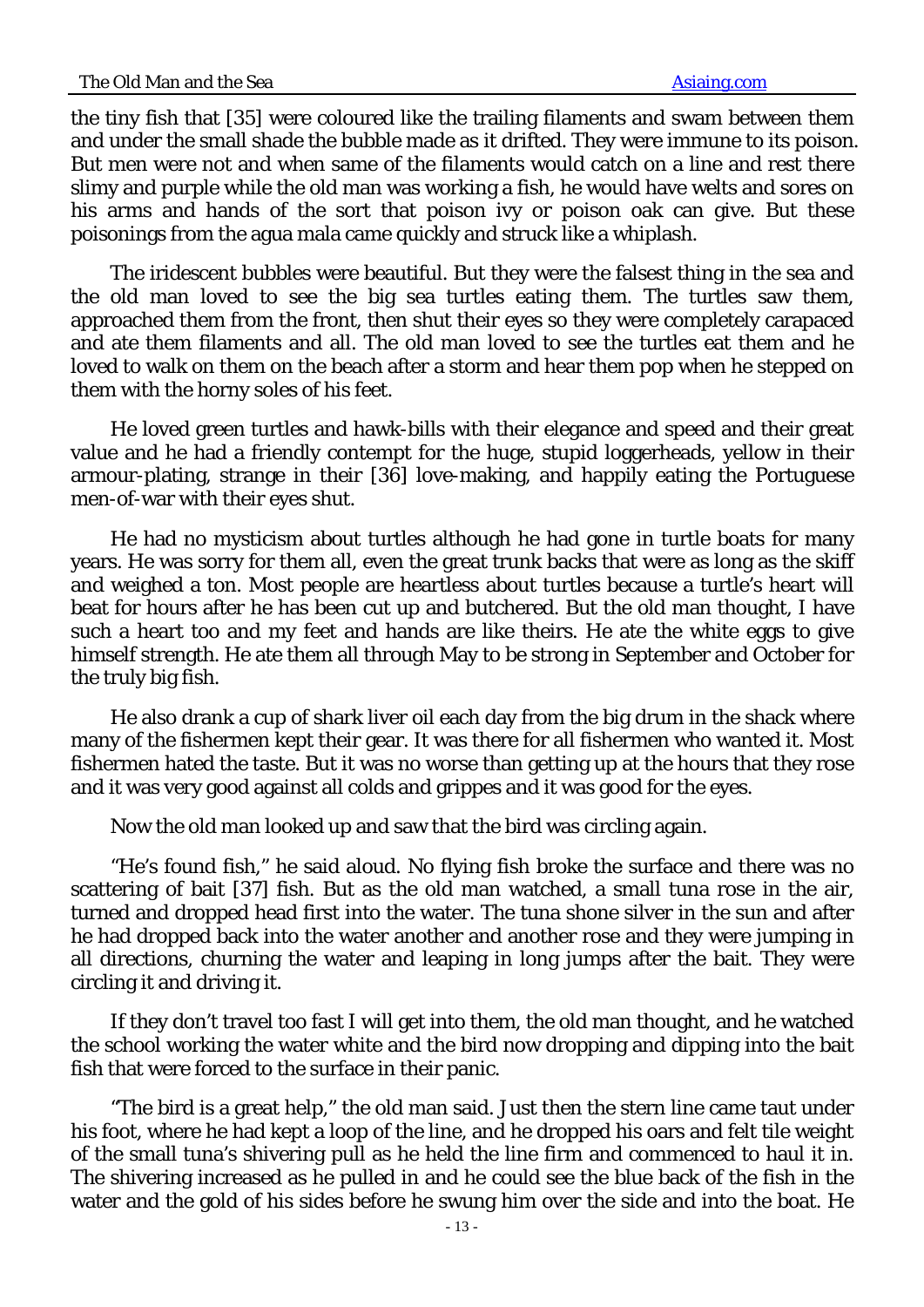the tiny fish that [35] were coloured like the trailing filaments and swam between them and under the small shade the bubble made as it drifted. They were immune to its poison. But men were not and when same of the filaments would catch on a line and rest there slimy and purple while the old man was working a fish, he would have welts and sores on his arms and hands of the sort that poison ivy or poison oak can give. But these poisonings from the agua mala came quickly and struck like a whiplash.

The iridescent bubbles were beautiful. But they were the falsest thing in the sea and the old man loved to see the big sea turtles eating them. The turtles saw them, approached them from the front, then shut their eyes so they were completely carapaced and ate them filaments and all. The old man loved to see the turtles eat them and he loved to walk on them on the beach after a storm and hear them pop when he stepped on them with the horny soles of his feet.

He loved green turtles and hawk-bills with their elegance and speed and their great value and he had a friendly contempt for the huge, stupid loggerheads, yellow in their armour-plating, strange in their [36] love-making, and happily eating the Portuguese men-of-war with their eyes shut.

He had no mysticism about turtles although he had gone in turtle boats for many years. He was sorry for them all, even the great trunk backs that were as long as the skiff and weighed a ton. Most people are heartless about turtles because a turtle's heart will beat for hours after he has been cut up and butchered. But the old man thought, I have such a heart too and my feet and hands are like theirs. He ate the white eggs to give himself strength. He ate them all through May to be strong in September and October for the truly big fish.

He also drank a cup of shark liver oil each day from the big drum in the shack where many of the fishermen kept their gear. It was there for all fishermen who wanted it. Most fishermen hated the taste. But it was no worse than getting up at the hours that they rose and it was very good against all colds and grippes and it was good for the eyes.

Now the old man looked up and saw that the bird was circling again.

"He's found fish," he said aloud. No flying fish broke the surface and there was no scattering of bait [37] fish. But as the old man watched, a small tuna rose in the air, turned and dropped head first into the water. The tuna shone silver in the sun and after he had dropped back into the water another and another rose and they were jumping in all directions, churning the water and leaping in long jumps after the bait. They were circling it and driving it.

If they don't travel too fast I will get into them, the old man thought, and he watched the school working the water white and the bird now dropping and dipping into the bait fish that were forced to the surface in their panic.

"The bird is a great help," the old man said. Just then the stern line came taut under his foot, where he had kept a loop of the line, and he dropped his oars and felt tile weight of the small tuna's shivering pull as he held the line firm and commenced to haul it in. The shivering increased as he pulled in and he could see the blue back of the fish in the water and the gold of his sides before he swung him over the side and into the boat. He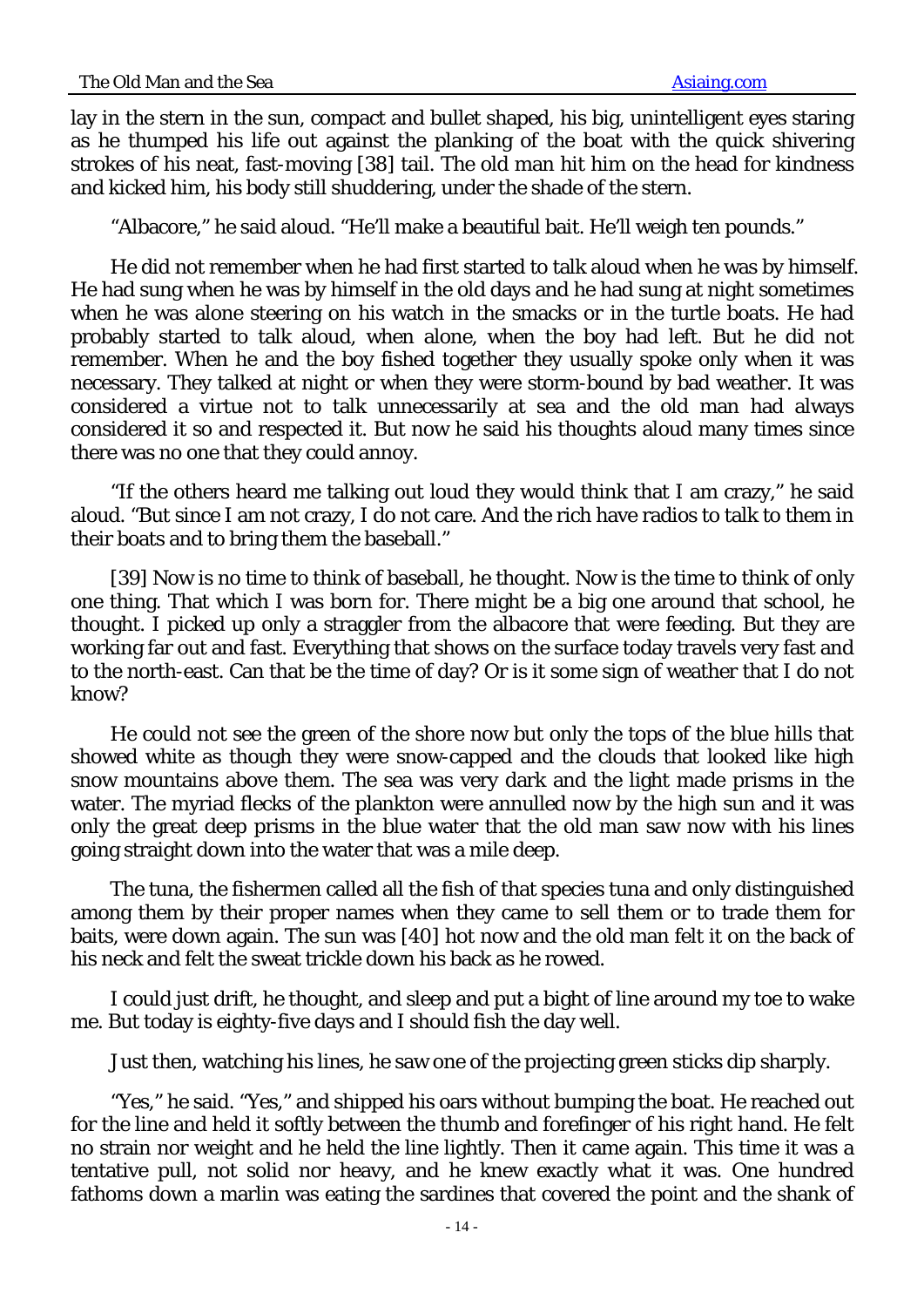lay in the stern in the sun, compact and bullet shaped, his big, unintelligent eyes staring as he thumped his life out against the planking of the boat with the quick shivering strokes of his neat, fast-moving [38] tail. The old man hit him on the head for kindness and kicked him, his body still shuddering, under the shade of the stern.

"Albacore," he said aloud. "He'll make a beautiful bait. He'll weigh ten pounds."

He did not remember when he had first started to talk aloud when he was by himself. He had sung when he was by himself in the old days and he had sung at night sometimes when he was alone steering on his watch in the smacks or in the turtle boats. He had probably started to talk aloud, when alone, when the boy had left. But he did not remember. When he and the boy fished together they usually spoke only when it was necessary. They talked at night or when they were storm-bound by bad weather. It was considered a virtue not to talk unnecessarily at sea and the old man had always considered it so and respected it. But now he said his thoughts aloud many times since there was no one that they could annoy.

"If the others heard me talking out loud they would think that I am crazy," he said aloud. "But since I am not crazy, I do not care. And the rich have radios to talk to them in their boats and to bring them the baseball."

[39] Now is no time to think of baseball, he thought. Now is the time to think of only one thing. That which I was born for. There might be a big one around that school, he thought. I picked up only a straggler from the albacore that were feeding. But they are working far out and fast. Everything that shows on the surface today travels very fast and to the north-east. Can that be the time of day? Or is it some sign of weather that I do not know?

He could not see the green of the shore now but only the tops of the blue hills that showed white as though they were snow-capped and the clouds that looked like high snow mountains above them. The sea was very dark and the light made prisms in the water. The myriad flecks of the plankton were annulled now by the high sun and it was only the great deep prisms in the blue water that the old man saw now with his lines going straight down into the water that was a mile deep.

The tuna, the fishermen called all the fish of that species tuna and only distinguished among them by their proper names when they came to sell them or to trade them for baits, were down again. The sun was [40] hot now and the old man felt it on the back of his neck and felt the sweat trickle down his back as he rowed.

I could just drift, he thought, and sleep and put a bight of line around my toe to wake me. But today is eighty-five days and I should fish the day well.

Just then, watching his lines, he saw one of the projecting green sticks dip sharply.

"Yes," he said. "Yes," and shipped his oars without bumping the boat. He reached out for the line and held it softly between the thumb and forefinger of his right hand. He felt no strain nor weight and he held the line lightly. Then it came again. This time it was a tentative pull, not solid nor heavy, and he knew exactly what it was. One hundred fathoms down a marlin was eating the sardines that covered the point and the shank of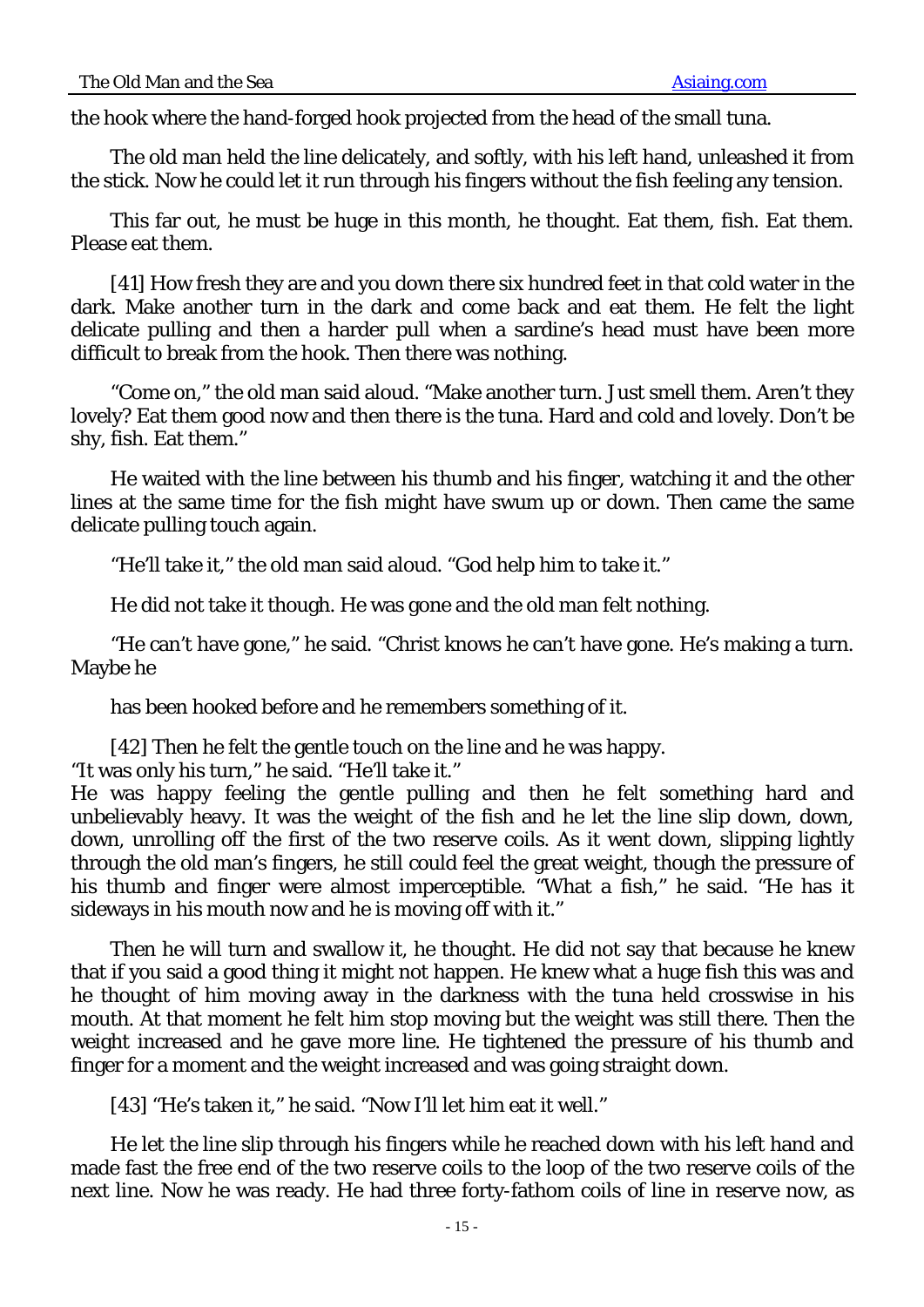the hook where the hand-forged hook projected from the head of the small tuna.

The old man held the line delicately, and softly, with his left hand, unleashed it from the stick. Now he could let it run through his fingers without the fish feeling any tension.

This far out, he must be huge in this month, he thought. Eat them, fish. Eat them. Please eat them.

[41] How fresh they are and you down there six hundred feet in that cold water in the dark. Make another turn in the dark and come back and eat them. He felt the light delicate pulling and then a harder pull when a sardine's head must have been more difficult to break from the hook. Then there was nothing.

"Come on," the old man said aloud. "Make another turn. Just smell them. Aren't they lovely? Eat them good now and then there is the tuna. Hard and cold and lovely. Don't be shy, fish. Eat them."

He waited with the line between his thumb and his finger, watching it and the other lines at the same time for the fish might have swum up or down. Then came the same delicate pulling touch again.

"He'll take it," the old man said aloud. "God help him to take it."

He did not take it though. He was gone and the old man felt nothing.

"He can't have gone," he said. "Christ knows he can't have gone. He's making a turn. Maybe he

has been hooked before and he remembers something of it.

[42] Then he felt the gentle touch on the line and he was happy.

"It was only his turn," he said. "He'll take it."

He was happy feeling the gentle pulling and then he felt something hard and unbelievably heavy. It was the weight of the fish and he let the line slip down, down, down, unrolling off the first of the two reserve coils. As it went down, slipping lightly through the old man's fingers, he still could feel the great weight, though the pressure of his thumb and finger were almost imperceptible. "What a fish," he said. "He has it sideways in his mouth now and he is moving off with it."

Then he will turn and swallow it, he thought. He did not say that because he knew that if you said a good thing it might not happen. He knew what a huge fish this was and he thought of him moving away in the darkness with the tuna held crosswise in his mouth. At that moment he felt him stop moving but the weight was still there. Then the weight increased and he gave more line. He tightened the pressure of his thumb and finger for a moment and the weight increased and was going straight down.

[43] "He's taken it," he said. "Now I'll let him eat it well."

He let the line slip through his fingers while he reached down with his left hand and made fast the free end of the two reserve coils to the loop of the two reserve coils of the next line. Now he was ready. He had three forty-fathom coils of line in reserve now, as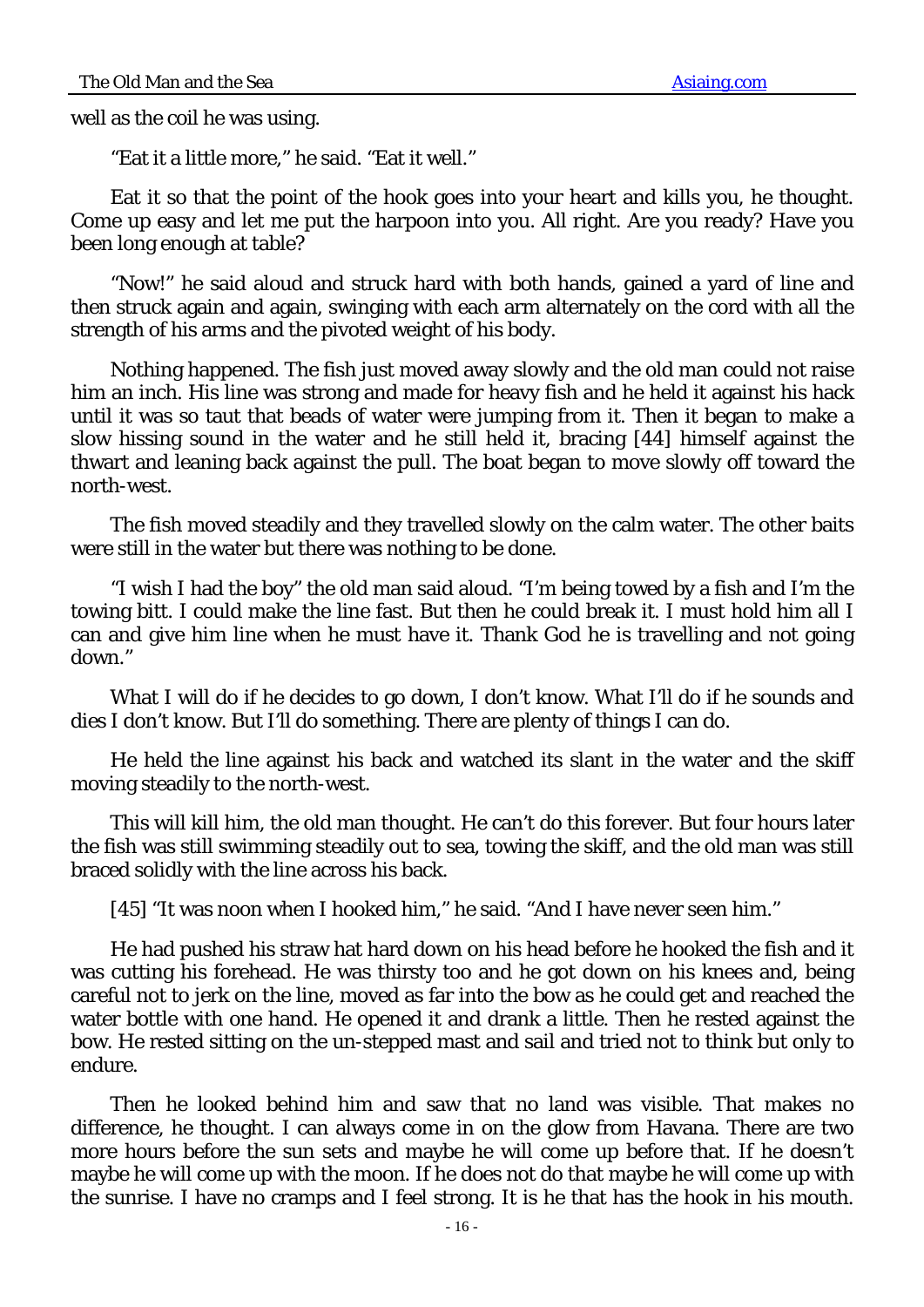well as the coil he was using.

"Eat it a little more," he said. "Eat it well."

Eat it so that the point of the hook goes into your heart and kills you, he thought. Come up easy and let me put the harpoon into you. All right. Are you ready? Have you been long enough at table?

"Now!" he said aloud and struck hard with both hands, gained a yard of line and then struck again and again, swinging with each arm alternately on the cord with all the strength of his arms and the pivoted weight of his body.

Nothing happened. The fish just moved away slowly and the old man could not raise him an inch. His line was strong and made for heavy fish and he held it against his hack until it was so taut that beads of water were jumping from it. Then it began to make a slow hissing sound in the water and he still held it, bracing [44] himself against the thwart and leaning back against the pull. The boat began to move slowly off toward the north-west.

The fish moved steadily and they travelled slowly on the calm water. The other baits were still in the water but there was nothing to be done.

"I wish I had the boy" the old man said aloud. "I'm being towed by a fish and I'm the towing bitt. I could make the line fast. But then he could break it. I must hold him all I can and give him line when he must have it. Thank God he is travelling and not going down."

What I will do if he decides to go down, I don't know. What I'll do if he sounds and dies I don't know. But I'll do something. There are plenty of things I can do.

He held the line against his back and watched its slant in the water and the skiff moving steadily to the north-west.

This will kill him, the old man thought. He can't do this forever. But four hours later the fish was still swimming steadily out to sea, towing the skiff, and the old man was still braced solidly with the line across his back.

[45] "It was noon when I hooked him," he said. "And I have never seen him."

He had pushed his straw hat hard down on his head before he hooked the fish and it was cutting his forehead. He was thirsty too and he got down on his knees and, being careful not to jerk on the line, moved as far into the bow as he could get and reached the water bottle with one hand. He opened it and drank a little. Then he rested against the bow. He rested sitting on the un-stepped mast and sail and tried not to think but only to endure.

Then he looked behind him and saw that no land was visible. That makes no difference, he thought. I can always come in on the glow from Havana. There are two more hours before the sun sets and maybe he will come up before that. If he doesn't maybe he will come up with the moon. If he does not do that maybe he will come up with the sunrise. I have no cramps and I feel strong. It is he that has the hook in his mouth.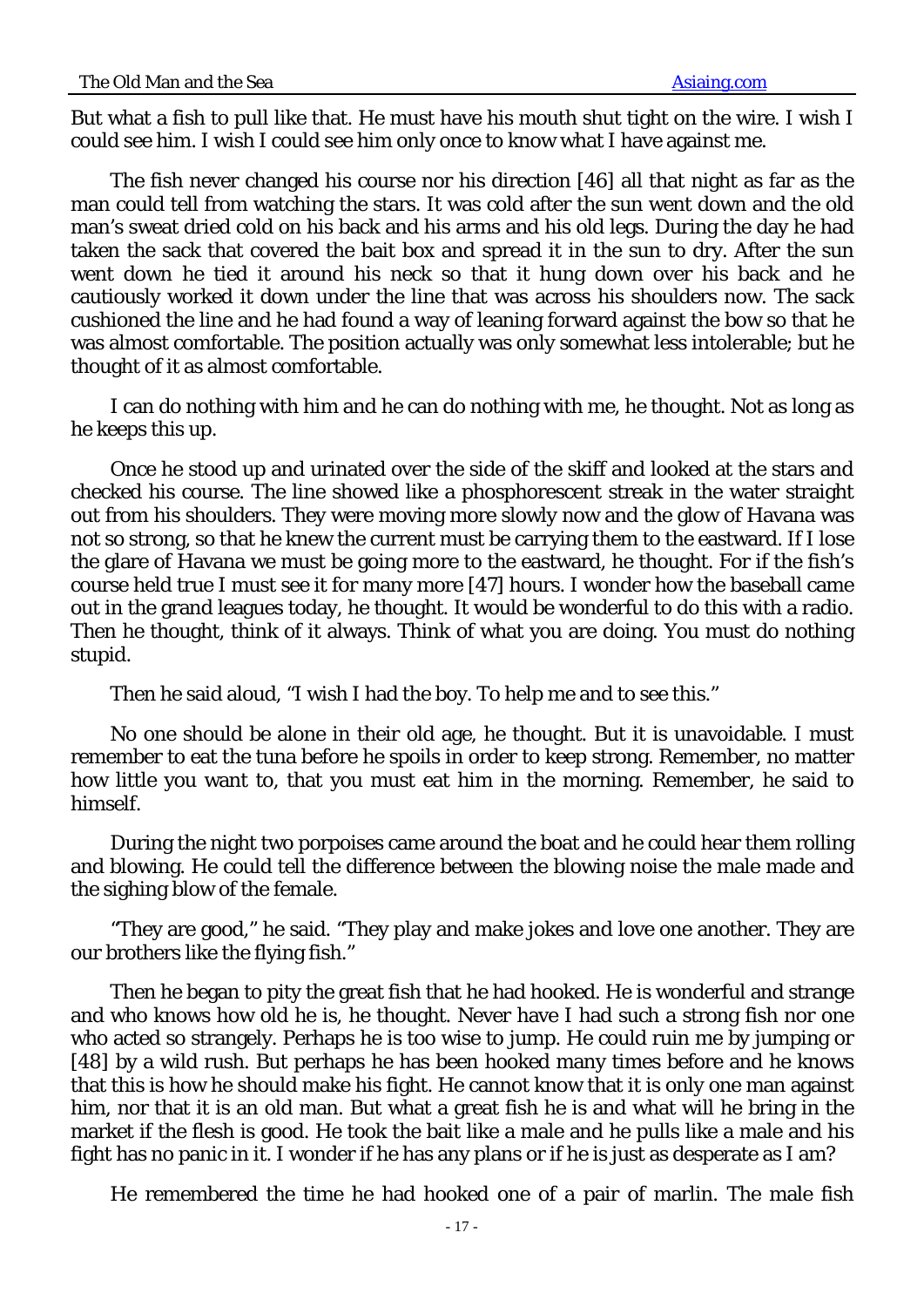But what a fish to pull like that. He must have his mouth shut tight on the wire. I wish I could see him. I wish I could see him only once to know what I have against me.

The fish never changed his course nor his direction [46] all that night as far as the man could tell from watching the stars. It was cold after the sun went down and the old man's sweat dried cold on his back and his arms and his old legs. During the day he had taken the sack that covered the bait box and spread it in the sun to dry. After the sun went down he tied it around his neck so that it hung down over his back and he cautiously worked it down under the line that was across his shoulders now. The sack cushioned the line and he had found a way of leaning forward against the bow so that he was almost comfortable. The position actually was only somewhat less intolerable; but he thought of it as almost comfortable.

I can do nothing with him and he can do nothing with me, he thought. Not as long as he keeps this up.

Once he stood up and urinated over the side of the skiff and looked at the stars and checked his course. The line showed like a phosphorescent streak in the water straight out from his shoulders. They were moving more slowly now and the glow of Havana was not so strong, so that he knew the current must be carrying them to the eastward. If I lose the glare of Havana we must be going more to the eastward, he thought. For if the fish's course held true I must see it for many more [47] hours. I wonder how the baseball came out in the grand leagues today, he thought. It would be wonderful to do this with a radio. Then he thought, think of it always. Think of what you are doing. You must do nothing stupid.

Then he said aloud, "I wish I had the boy. To help me and to see this."

No one should be alone in their old age, he thought. But it is unavoidable. I must remember to eat the tuna before he spoils in order to keep strong. Remember, no matter how little you want to, that you must eat him in the morning. Remember, he said to himself.

During the night two porpoises came around the boat and he could hear them rolling and blowing. He could tell the difference between the blowing noise the male made and the sighing blow of the female.

"They are good," he said. "They play and make jokes and love one another. They are our brothers like the flying fish."

Then he began to pity the great fish that he had hooked. He is wonderful and strange and who knows how old he is, he thought. Never have I had such a strong fish nor one who acted so strangely. Perhaps he is too wise to jump. He could ruin me by jumping or [48] by a wild rush. But perhaps he has been hooked many times before and he knows that this is how he should make his fight. He cannot know that it is only one man against him, nor that it is an old man. But what a great fish he is and what will he bring in the market if the flesh is good. He took the bait like a male and he pulls like a male and his fight has no panic in it. I wonder if he has any plans or if he is just as desperate as I am?

He remembered the time he had hooked one of a pair of marlin. The male fish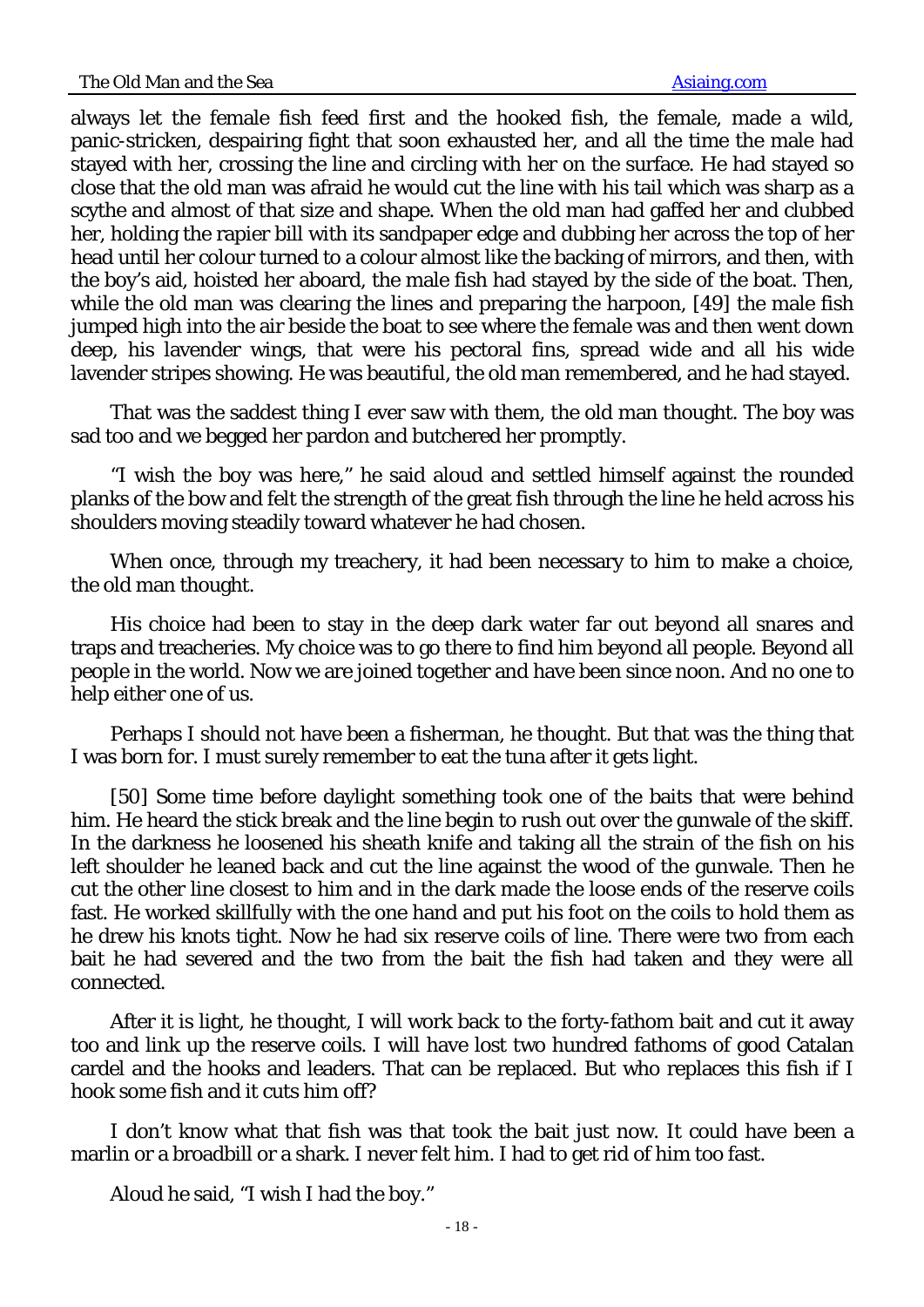always let the female fish feed first and the hooked fish, the female, made a wild, panic-stricken, despairing fight that soon exhausted her, and all the time the male had stayed with her, crossing the line and circling with her on the surface. He had stayed so close that the old man was afraid he would cut the line with his tail which was sharp as a scythe and almost of that size and shape. When the old man had gaffed her and clubbed her, holding the rapier bill with its sandpaper edge and dubbing her across the top of her head until her colour turned to a colour almost like the backing of mirrors, and then, with the boy's aid, hoisted her aboard, the male fish had stayed by the side of the boat. Then, while the old man was clearing the lines and preparing the harpoon, [49] the male fish jumped high into the air beside the boat to see where the female was and then went down deep, his lavender wings, that were his pectoral fins, spread wide and all his wide lavender stripes showing. He was beautiful, the old man remembered, and he had stayed.

That was the saddest thing I ever saw with them, the old man thought. The boy was sad too and we begged her pardon and butchered her promptly.

"I wish the boy was here," he said aloud and settled himself against the rounded planks of the bow and felt the strength of the great fish through the line he held across his shoulders moving steadily toward whatever he had chosen.

When once, through my treachery, it had been necessary to him to make a choice, the old man thought.

His choice had been to stay in the deep dark water far out beyond all snares and traps and treacheries. My choice was to go there to find him beyond all people. Beyond all people in the world. Now we are joined together and have been since noon. And no one to help either one of us.

Perhaps I should not have been a fisherman, he thought. But that was the thing that I was born for. I must surely remember to eat the tuna after it gets light.

[50] Some time before daylight something took one of the baits that were behind him. He heard the stick break and the line begin to rush out over the gunwale of the skiff. In the darkness he loosened his sheath knife and taking all the strain of the fish on his left shoulder he leaned back and cut the line against the wood of the gunwale. Then he cut the other line closest to him and in the dark made the loose ends of the reserve coils fast. He worked skillfully with the one hand and put his foot on the coils to hold them as he drew his knots tight. Now he had six reserve coils of line. There were two from each bait he had severed and the two from the bait the fish had taken and they were all connected.

After it is light, he thought, I will work back to the forty-fathom bait and cut it away too and link up the reserve coils. I will have lost two hundred fathoms of good Catalan cardel and the hooks and leaders. That can be replaced. But who replaces this fish if I hook some fish and it cuts him off?

I don't know what that fish was that took the bait just now. It could have been a marlin or a broadbill or a shark. I never felt him. I had to get rid of him too fast.

Aloud he said, "I wish I had the boy."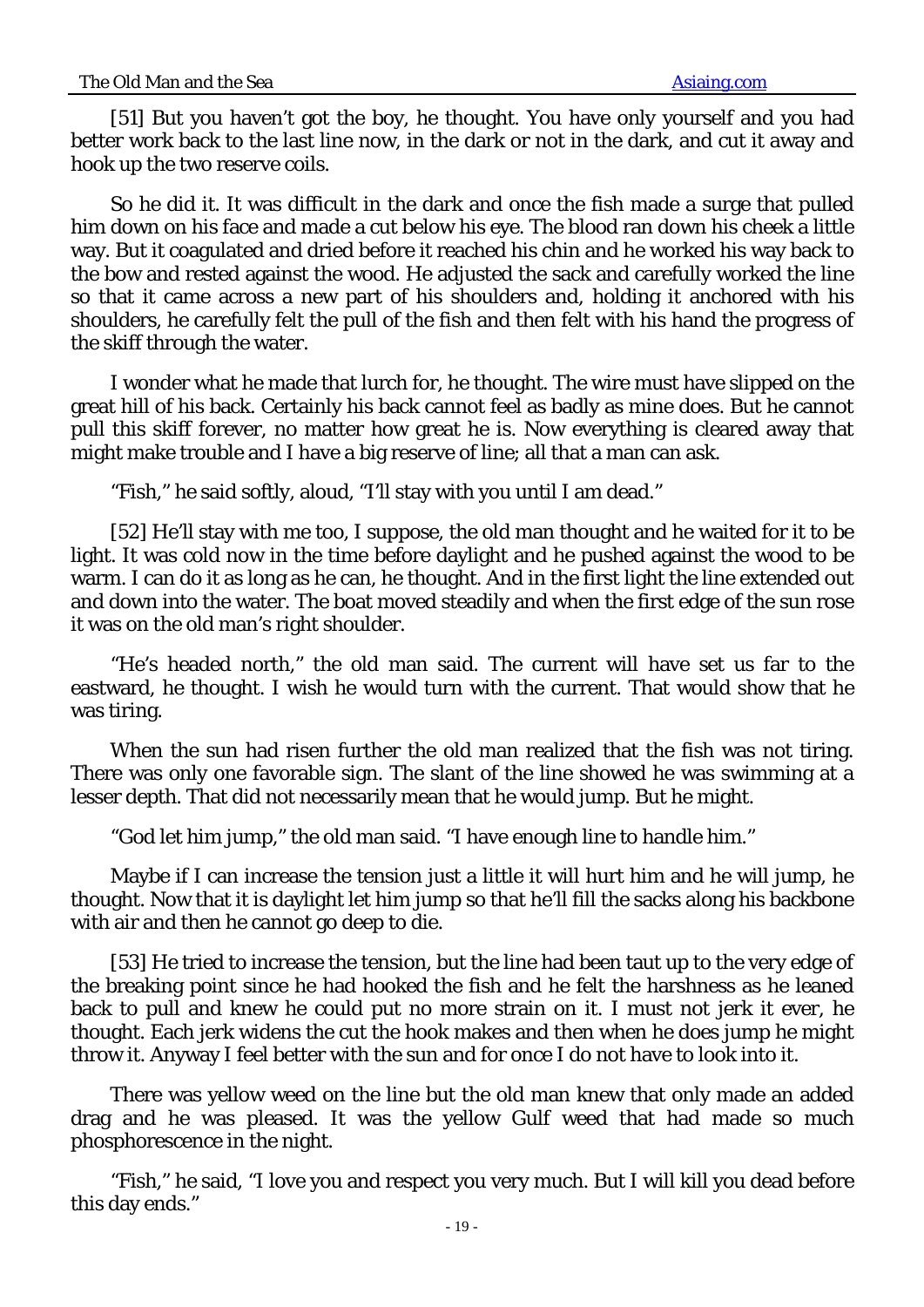[51] But you haven't got the boy, he thought. You have only yourself and you had better work back to the last line now, in the dark or not in the dark, and cut it away and hook up the two reserve coils.

So he did it. It was difficult in the dark and once the fish made a surge that pulled him down on his face and made a cut below his eye. The blood ran down his cheek a little way. But it coagulated and dried before it reached his chin and he worked his way back to the bow and rested against the wood. He adjusted the sack and carefully worked the line so that it came across a new part of his shoulders and, holding it anchored with his shoulders, he carefully felt the pull of the fish and then felt with his hand the progress of the skiff through the water.

I wonder what he made that lurch for, he thought. The wire must have slipped on the great hill of his back. Certainly his back cannot feel as badly as mine does. But he cannot pull this skiff forever, no matter how great he is. Now everything is cleared away that might make trouble and I have a big reserve of line; all that a man can ask.

"Fish," he said softly, aloud, "I'll stay with you until I am dead."

[52] He'll stay with me too, I suppose, the old man thought and he waited for it to be light. It was cold now in the time before daylight and he pushed against the wood to be warm. I can do it as long as he can, he thought. And in the first light the line extended out and down into the water. The boat moved steadily and when the first edge of the sun rose it was on the old man's right shoulder.

"He's headed north," the old man said. The current will have set us far to the eastward, he thought. I wish he would turn with the current. That would show that he was tiring.

When the sun had risen further the old man realized that the fish was not tiring. There was only one favorable sign. The slant of the line showed he was swimming at a lesser depth. That did not necessarily mean that he would jump. But he might.

"God let him jump," the old man said. "I have enough line to handle him."

Maybe if I can increase the tension just a little it will hurt him and he will jump, he thought. Now that it is daylight let him jump so that he'll fill the sacks along his backbone with air and then he cannot go deep to die.

[53] He tried to increase the tension, but the line had been taut up to the very edge of the breaking point since he had hooked the fish and he felt the harshness as he leaned back to pull and knew he could put no more strain on it. I must not jerk it ever, he thought. Each jerk widens the cut the hook makes and then when he does jump he might throw it. Anyway I feel better with the sun and for once I do not have to look into it.

There was yellow weed on the line but the old man knew that only made an added drag and he was pleased. It was the yellow Gulf weed that had made so much phosphorescence in the night.

"Fish," he said, "I love you and respect you very much. But I will kill you dead before this day ends."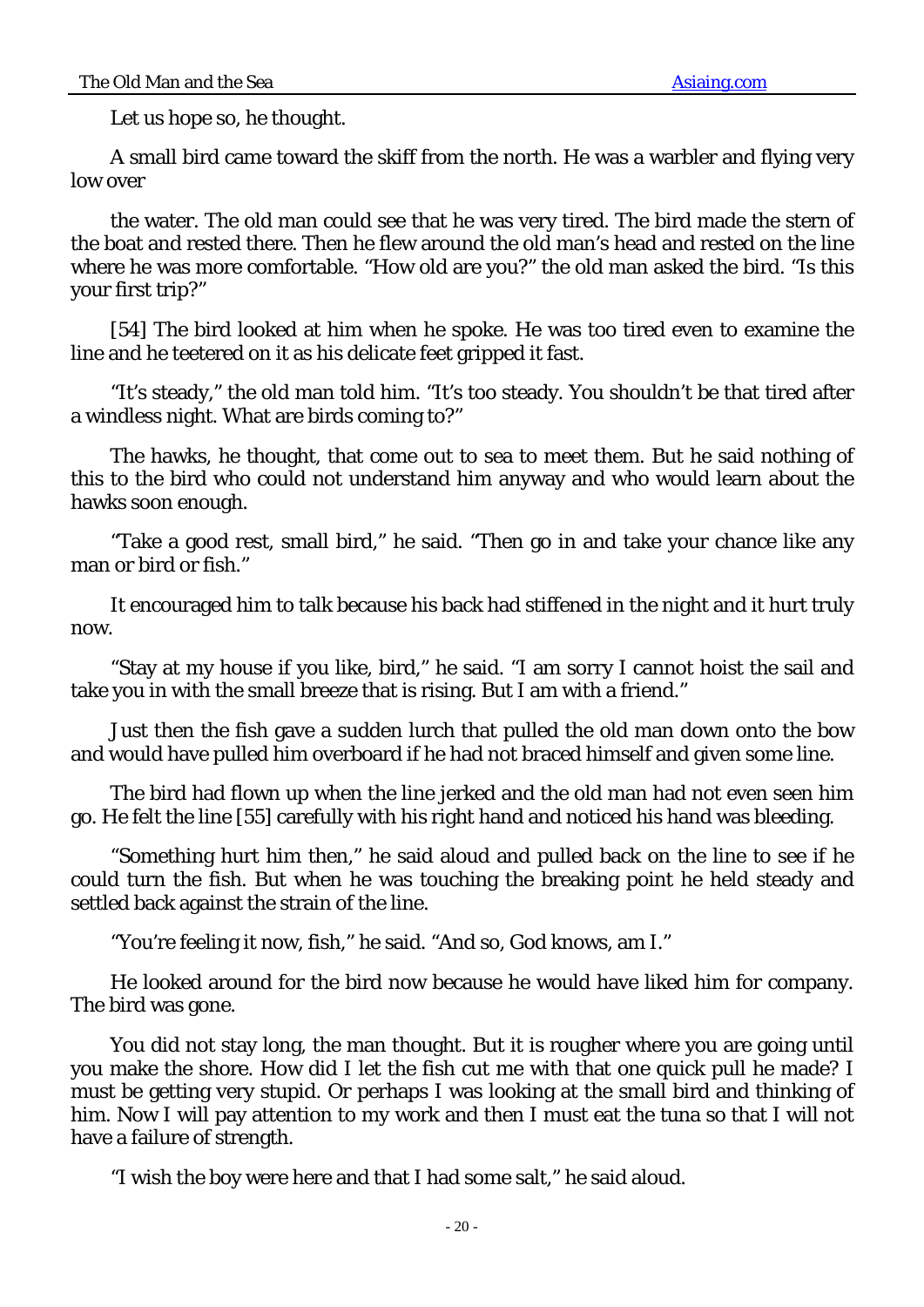Let us hope so, he thought.

A small bird came toward the skiff from the north. He was a warbler and flying very low over

the water. The old man could see that he was very tired. The bird made the stern of the boat and rested there. Then he flew around the old man's head and rested on the line where he was more comfortable. "How old are you?" the old man asked the bird. "Is this your first trip?"

[54] The bird looked at him when he spoke. He was too tired even to examine the line and he teetered on it as his delicate feet gripped it fast.

"It's steady," the old man told him. "It's too steady. You shouldn't be that tired after a windless night. What are birds coming to?"

The hawks, he thought, that come out to sea to meet them. But he said nothing of this to the bird who could not understand him anyway and who would learn about the hawks soon enough.

"Take a good rest, small bird," he said. "Then go in and take your chance like any man or bird or fish."

It encouraged him to talk because his back had stiffened in the night and it hurt truly now.

"Stay at my house if you like, bird," he said. "I am sorry I cannot hoist the sail and take you in with the small breeze that is rising. But I am with a friend."

Just then the fish gave a sudden lurch that pulled the old man down onto the bow and would have pulled him overboard if he had not braced himself and given some line.

The bird had flown up when the line jerked and the old man had not even seen him go. He felt the line [55] carefully with his right hand and noticed his hand was bleeding.

"Something hurt him then," he said aloud and pulled back on the line to see if he could turn the fish. But when he was touching the breaking point he held steady and settled back against the strain of the line.

"You're feeling it now, fish," he said. "And so, God knows, am I."

He looked around for the bird now because he would have liked him for company. The bird was gone.

You did not stay long, the man thought. But it is rougher where you are going until you make the shore. How did I let the fish cut me with that one quick pull he made? I must be getting very stupid. Or perhaps I was looking at the small bird and thinking of him. Now I will pay attention to my work and then I must eat the tuna so that I will not have a failure of strength.

"I wish the boy were here and that I had some salt," he said aloud.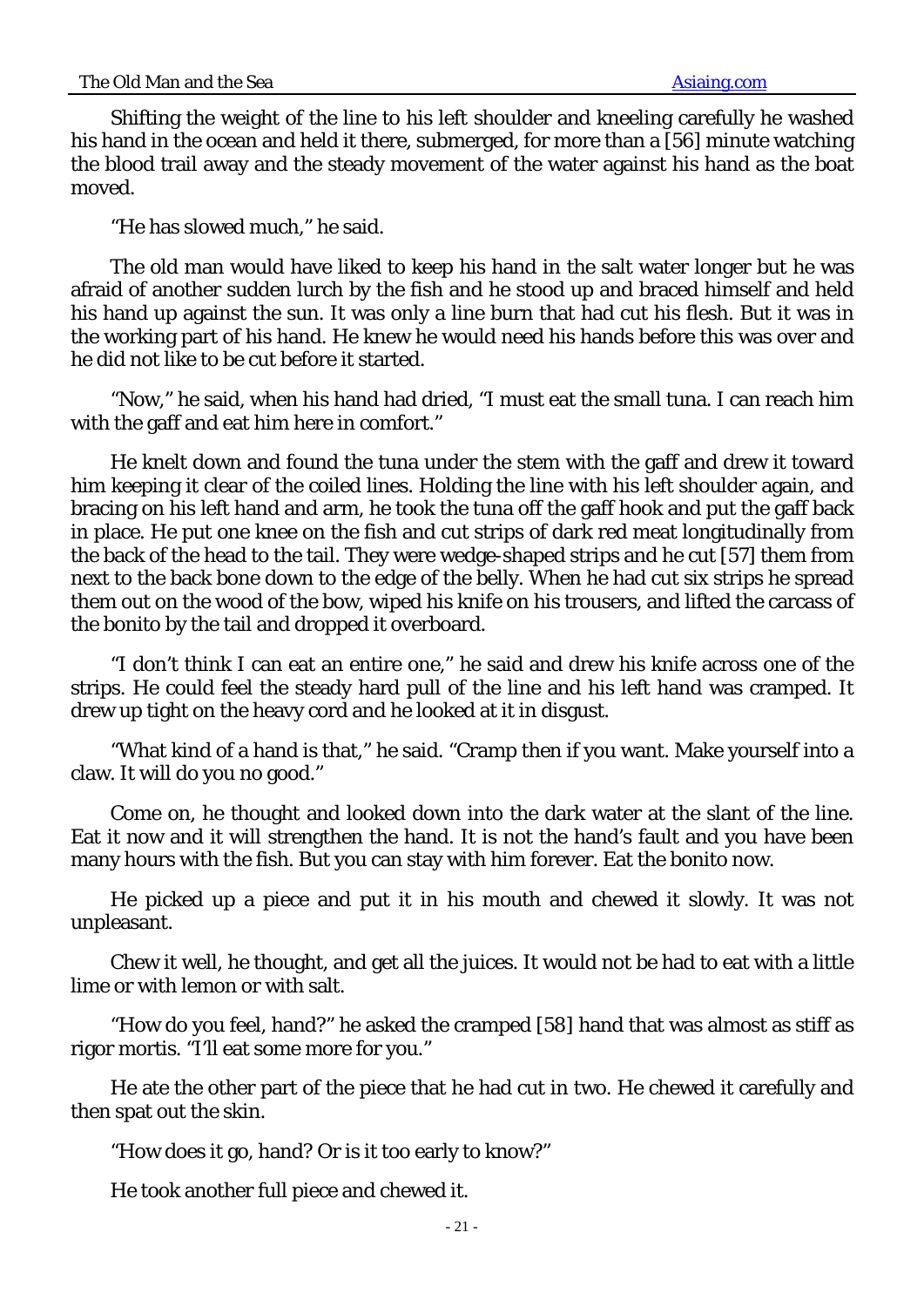Shifting the weight of the line to his left shoulder and kneeling carefully he washed his hand in the ocean and held it there, submerged, for more than a [56] minute watching the blood trail away and the steady movement of the water against his hand as the boat moved.

"He has slowed much," he said.

The old man would have liked to keep his hand in the salt water longer but he was afraid of another sudden lurch by the fish and he stood up and braced himself and held his hand up against the sun. It was only a line burn that had cut his flesh. But it was in the working part of his hand. He knew he would need his hands before this was over and he did not like to be cut before it started.

"Now," he said, when his hand had dried, "I must eat the small tuna. I can reach him with the gaff and eat him here in comfort."

He knelt down and found the tuna under the stem with the gaff and drew it toward him keeping it clear of the coiled lines. Holding the line with his left shoulder again, and bracing on his left hand and arm, he took the tuna off the gaff hook and put the gaff back in place. He put one knee on the fish and cut strips of dark red meat longitudinally from the back of the head to the tail. They were wedge-shaped strips and he cut [57] them from next to the back bone down to the edge of the belly. When he had cut six strips he spread them out on the wood of the bow, wiped his knife on his trousers, and lifted the carcass of the bonito by the tail and dropped it overboard.

"I don't think I can eat an entire one," he said and drew his knife across one of the strips. He could feel the steady hard pull of the line and his left hand was cramped. It drew up tight on the heavy cord and he looked at it in disgust.

"What kind of a hand is that," he said. "Cramp then if you want. Make yourself into a claw. It will do you no good."

Come on, he thought and looked down into the dark water at the slant of the line. Eat it now and it will strengthen the hand. It is not the hand's fault and you have been many hours with the fish. But you can stay with him forever. Eat the bonito now.

He picked up a piece and put it in his mouth and chewed it slowly. It was not unpleasant.

Chew it well, he thought, and get all the juices. It would not be had to eat with a little lime or with lemon or with salt.

"How do you feel, hand?" he asked the cramped [58] hand that was almost as stiff as rigor mortis. "I'll eat some more for you."

He ate the other part of the piece that he had cut in two. He chewed it carefully and then spat out the skin.

"How does it go, hand? Or is it too early to know?"

He took another full piece and chewed it.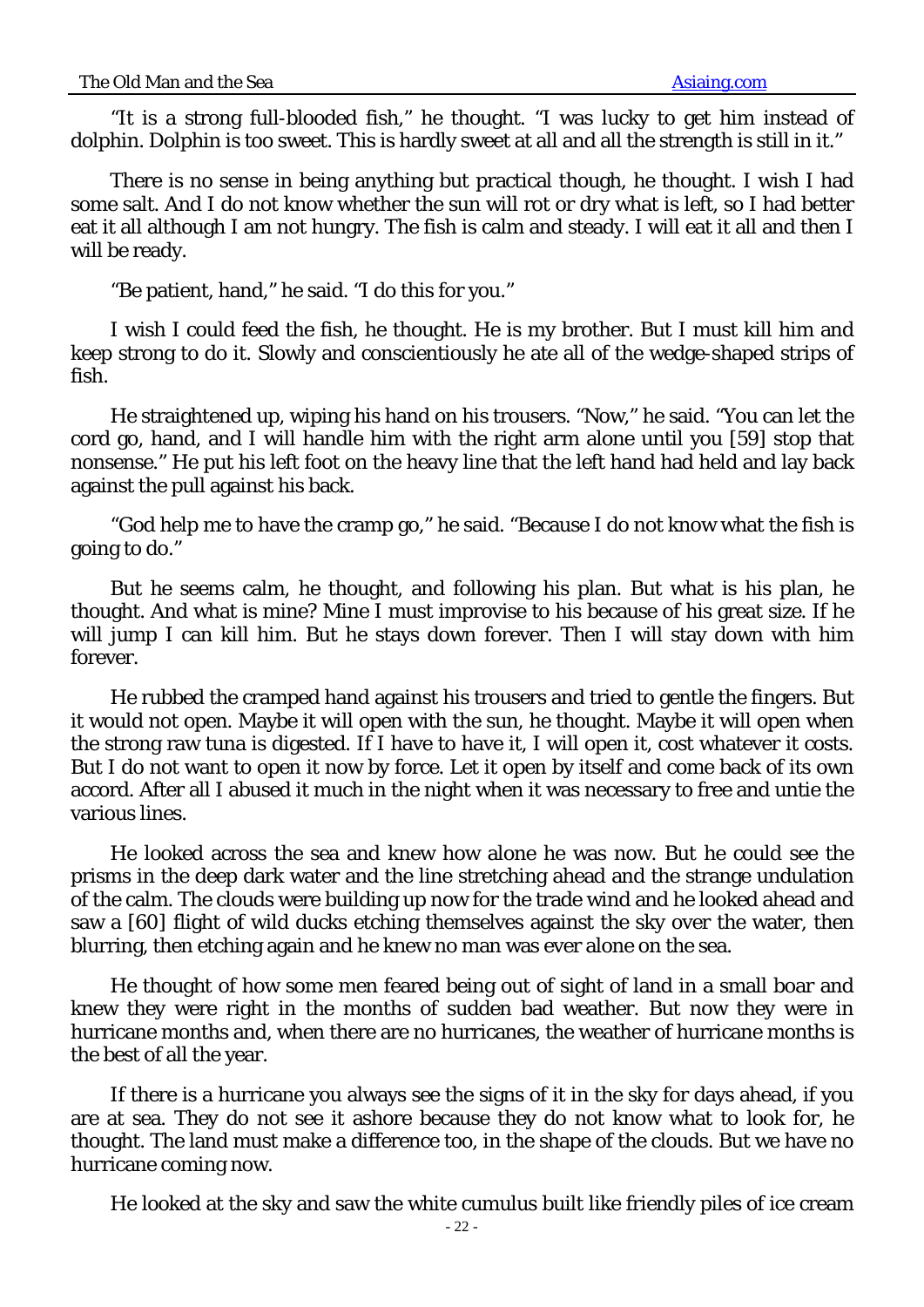"It is a strong full-blooded fish," he thought. "I was lucky to get him instead of dolphin. Dolphin is too sweet. This is hardly sweet at all and all the strength is still in it."

There is no sense in being anything but practical though, he thought. I wish I had some salt. And I do not know whether the sun will rot or dry what is left, so I had better eat it all although I am not hungry. The fish is calm and steady. I will eat it all and then I will be ready.

"Be patient, hand," he said. "I do this for you."

I wish I could feed the fish, he thought. He is my brother. But I must kill him and keep strong to do it. Slowly and conscientiously he ate all of the wedge-shaped strips of fish.

He straightened up, wiping his hand on his trousers. "Now," he said. "You can let the cord go, hand, and I will handle him with the right arm alone until you [59] stop that nonsense." He put his left foot on the heavy line that the left hand had held and lay back against the pull against his back.

"God help me to have the cramp go," he said. "Because I do not know what the fish is going to do."

But he seems calm, he thought, and following his plan. But what is his plan, he thought. And what is mine? Mine I must improvise to his because of his great size. If he will jump I can kill him. But he stays down forever. Then I will stay down with him forever.

He rubbed the cramped hand against his trousers and tried to gentle the fingers. But it would not open. Maybe it will open with the sun, he thought. Maybe it will open when the strong raw tuna is digested. If I have to have it, I will open it, cost whatever it costs. But I do not want to open it now by force. Let it open by itself and come back of its own accord. After all I abused it much in the night when it was necessary to free and untie the various lines.

He looked across the sea and knew how alone he was now. But he could see the prisms in the deep dark water and the line stretching ahead and the strange undulation of the calm. The clouds were building up now for the trade wind and he looked ahead and saw a [60] flight of wild ducks etching themselves against the sky over the water, then blurring, then etching again and he knew no man was ever alone on the sea.

He thought of how some men feared being out of sight of land in a small boar and knew they were right in the months of sudden bad weather. But now they were in hurricane months and, when there are no hurricanes, the weather of hurricane months is the best of all the year.

If there is a hurricane you always see the signs of it in the sky for days ahead, if you are at sea. They do not see it ashore because they do not know what to look for, he thought. The land must make a difference too, in the shape of the clouds. But we have no hurricane coming now.

He looked at the sky and saw the white cumulus built like friendly piles of ice cream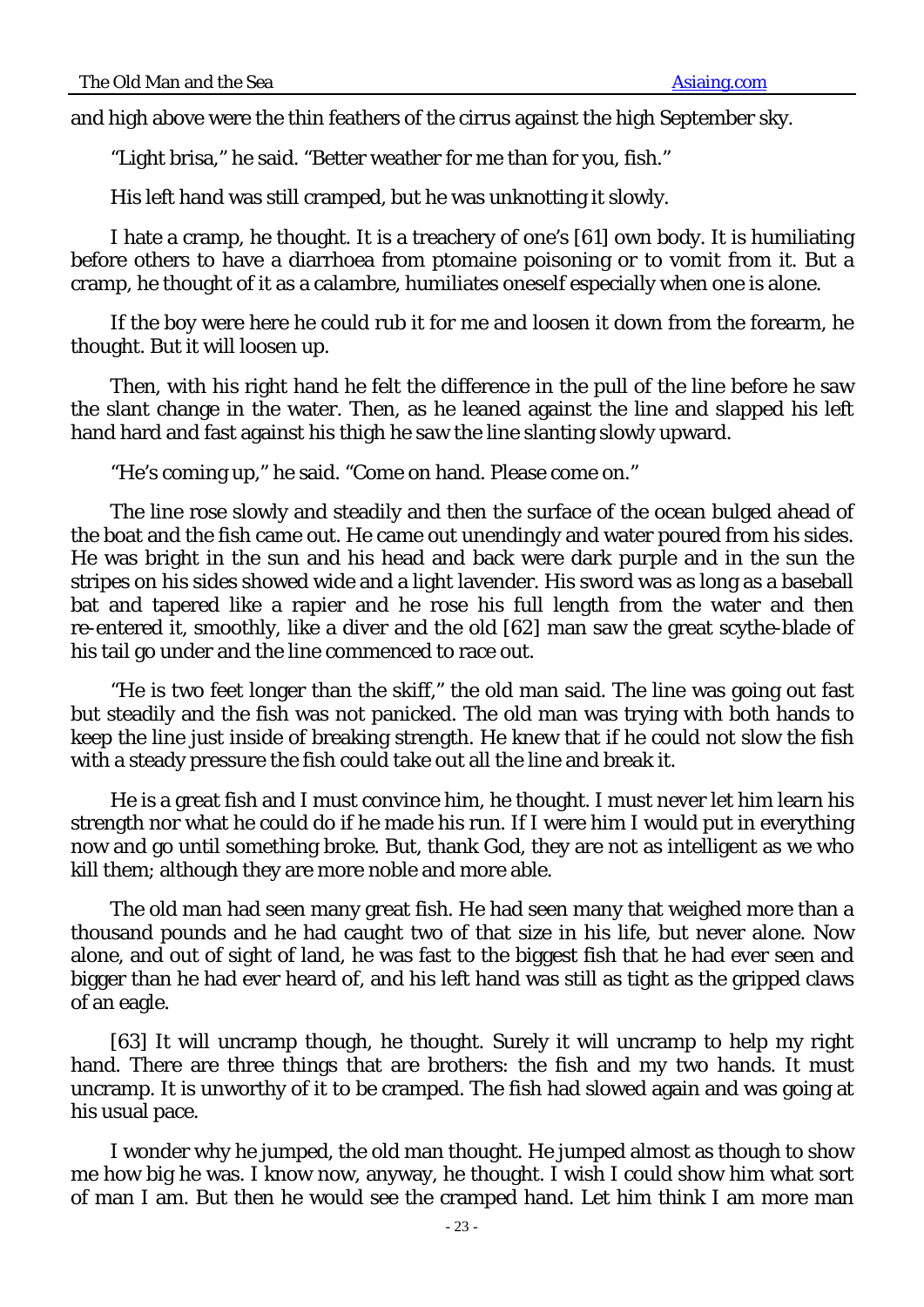and high above were the thin feathers of the cirrus against the high September sky.

"Light brisa," he said. "Better weather for me than for you, fish."

His left hand was still cramped, but he was unknotting it slowly.

I hate a cramp, he thought. It is a treachery of one's [61] own body. It is humiliating before others to have a diarrhoea from ptomaine poisoning or to vomit from it. But a cramp, he thought of it as a calambre, humiliates oneself especially when one is alone.

If the boy were here he could rub it for me and loosen it down from the forearm, he thought. But it will loosen up.

Then, with his right hand he felt the difference in the pull of the line before he saw the slant change in the water. Then, as he leaned against the line and slapped his left hand hard and fast against his thigh he saw the line slanting slowly upward.

"He's coming up," he said. "Come on hand. Please come on."

The line rose slowly and steadily and then the surface of the ocean bulged ahead of the boat and the fish came out. He came out unendingly and water poured from his sides. He was bright in the sun and his head and back were dark purple and in the sun the stripes on his sides showed wide and a light lavender. His sword was as long as a baseball bat and tapered like a rapier and he rose his full length from the water and then re-entered it, smoothly, like a diver and the old [62] man saw the great scythe-blade of his tail go under and the line commenced to race out.

"He is two feet longer than the skiff," the old man said. The line was going out fast but steadily and the fish was not panicked. The old man was trying with both hands to keep the line just inside of breaking strength. He knew that if he could not slow the fish with a steady pressure the fish could take out all the line and break it.

He is a great fish and I must convince him, he thought. I must never let him learn his strength nor what he could do if he made his run. If I were him I would put in everything now and go until something broke. But, thank God, they are not as intelligent as we who kill them; although they are more noble and more able.

The old man had seen many great fish. He had seen many that weighed more than a thousand pounds and he had caught two of that size in his life, but never alone. Now alone, and out of sight of land, he was fast to the biggest fish that he had ever seen and bigger than he had ever heard of, and his left hand was still as tight as the gripped claws of an eagle.

[63] It will uncramp though, he thought. Surely it will uncramp to help my right hand. There are three things that are brothers: the fish and my two hands. It must uncramp. It is unworthy of it to be cramped. The fish had slowed again and was going at his usual pace.

I wonder why he jumped, the old man thought. He jumped almost as though to show me how big he was. I know now, anyway, he thought. I wish I could show him what sort of man I am. But then he would see the cramped hand. Let him think I am more man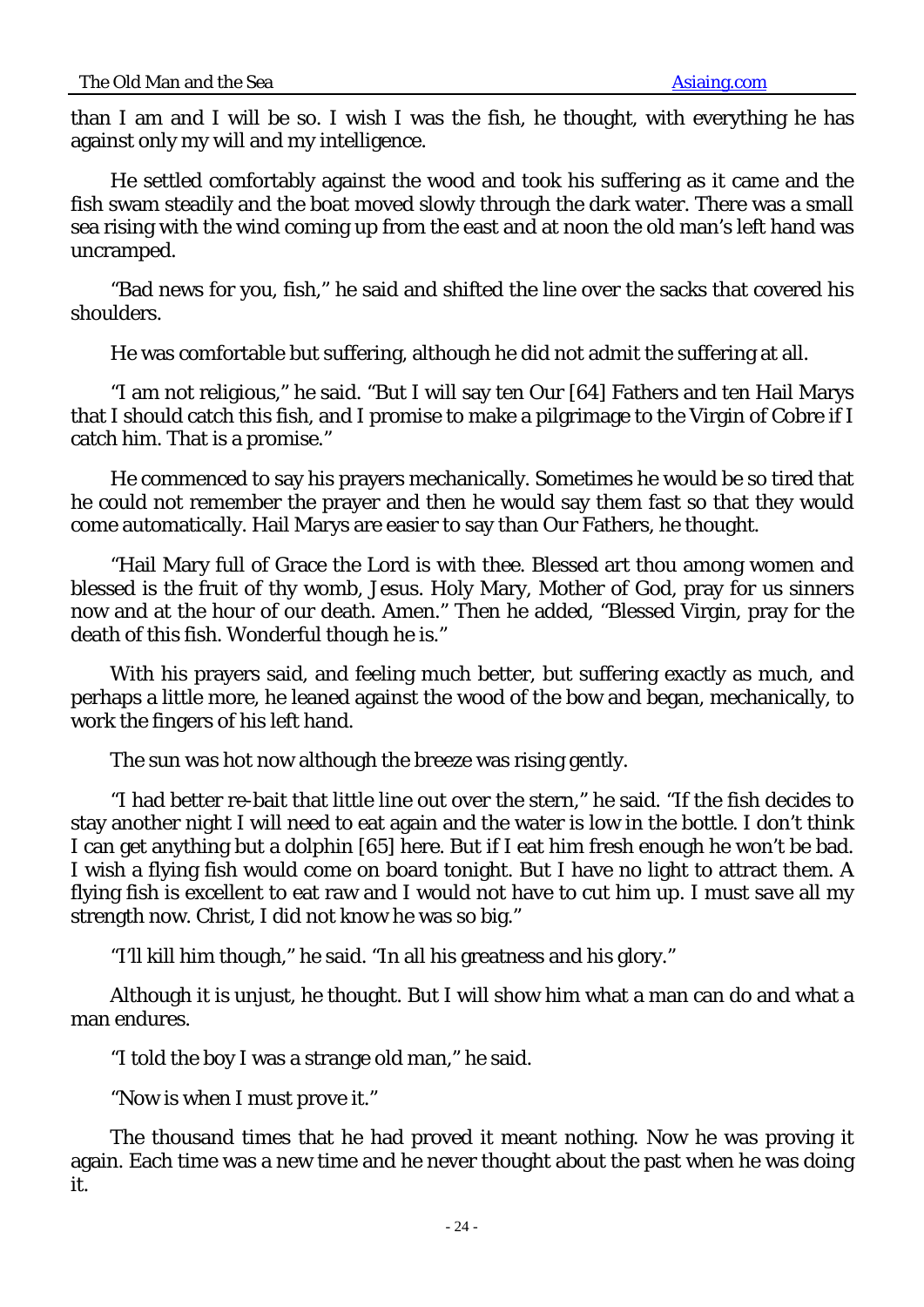than I am and I will be so. I wish I was the fish, he thought, with everything he has against only my will and my intelligence.

He settled comfortably against the wood and took his suffering as it came and the fish swam steadily and the boat moved slowly through the dark water. There was a small sea rising with the wind coming up from the east and at noon the old man's left hand was uncramped.

"Bad news for you, fish," he said and shifted the line over the sacks that covered his shoulders.

He was comfortable but suffering, although he did not admit the suffering at all.

"I am not religious," he said. "But I will say ten Our [64] Fathers and ten Hail Marys that I should catch this fish, and I promise to make a pilgrimage to the Virgin of Cobre if I catch him. That is a promise."

He commenced to say his prayers mechanically. Sometimes he would be so tired that he could not remember the prayer and then he would say them fast so that they would come automatically. Hail Marys are easier to say than Our Fathers, he thought.

"Hail Mary full of Grace the Lord is with thee. Blessed art thou among women and blessed is the fruit of thy womb, Jesus. Holy Mary, Mother of God, pray for us sinners now and at the hour of our death. Amen." Then he added, "Blessed Virgin, pray for the death of this fish. Wonderful though he is."

With his prayers said, and feeling much better, but suffering exactly as much, and perhaps a little more, he leaned against the wood of the bow and began, mechanically, to work the fingers of his left hand.

The sun was hot now although the breeze was rising gently.

"I had better re-bait that little line out over the stern," he said. "If the fish decides to stay another night I will need to eat again and the water is low in the bottle. I don't think I can get anything but a dolphin [65] here. But if I eat him fresh enough he won't be bad. I wish a flying fish would come on board tonight. But I have no light to attract them. A flying fish is excellent to eat raw and I would not have to cut him up. I must save all my strength now. Christ, I did not know he was so big."

"I'll kill him though," he said. "In all his greatness and his glory."

Although it is unjust, he thought. But I will show him what a man can do and what a man endures.

"I told the boy I was a strange old man," he said.

"Now is when I must prove it."

The thousand times that he had proved it meant nothing. Now he was proving it again. Each time was a new time and he never thought about the past when he was doing it.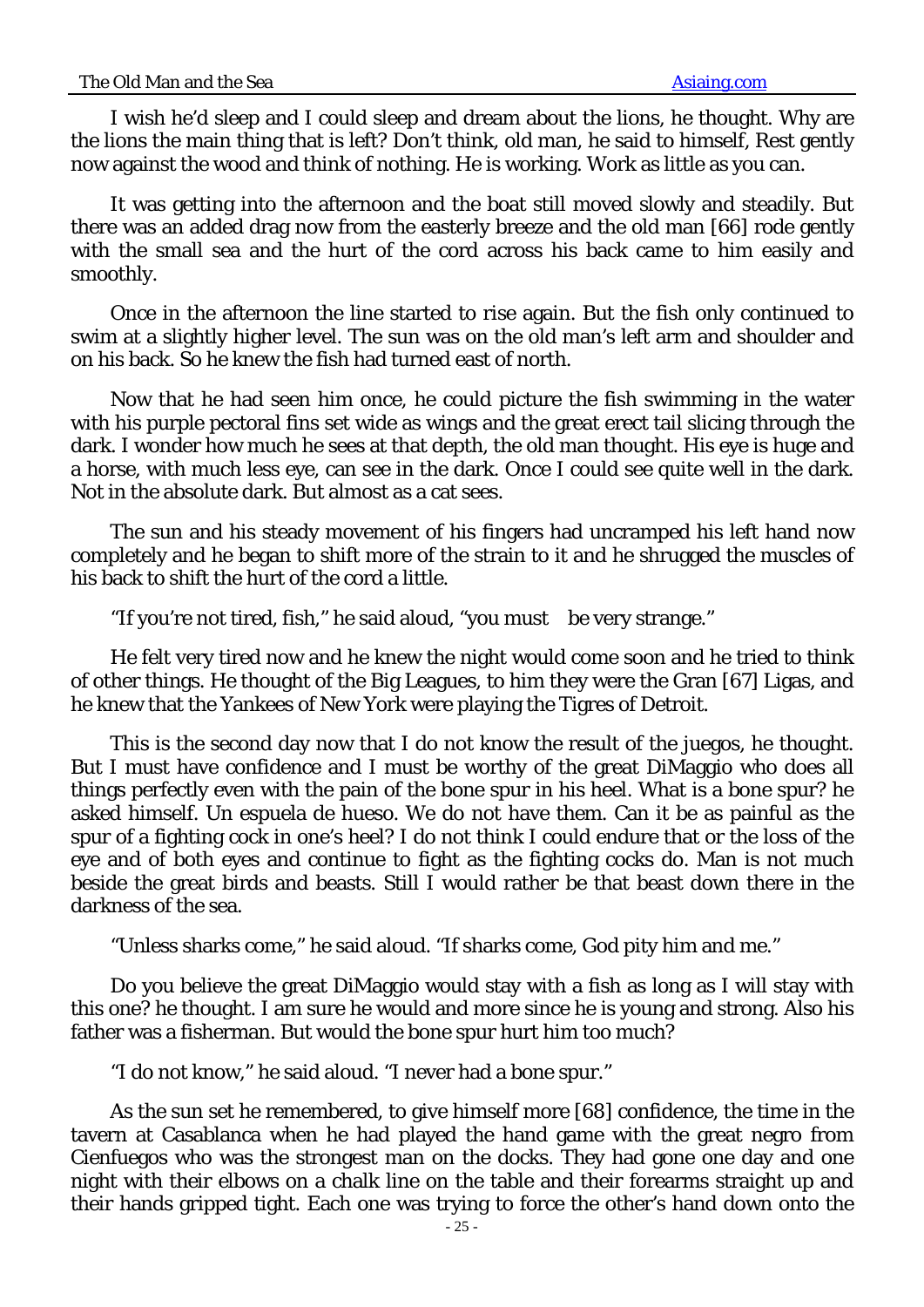I wish he'd sleep and I could sleep and dream about the lions, he thought. Why are the lions the main thing that is left? Don't think, old man, he said to himself, Rest gently now against the wood and think of nothing. He is working. Work as little as you can.

It was getting into the afternoon and the boat still moved slowly and steadily. But there was an added drag now from the easterly breeze and the old man [66] rode gently with the small sea and the hurt of the cord across his back came to him easily and smoothly.

Once in the afternoon the line started to rise again. But the fish only continued to swim at a slightly higher level. The sun was on the old man's left arm and shoulder and on his back. So he knew the fish had turned east of north.

Now that he had seen him once, he could picture the fish swimming in the water with his purple pectoral fins set wide as wings and the great erect tail slicing through the dark. I wonder how much he sees at that depth, the old man thought. His eye is huge and a horse, with much less eye, can see in the dark. Once I could see quite well in the dark. Not in the absolute dark. But almost as a cat sees.

The sun and his steady movement of his fingers had uncramped his left hand now completely and he began to shift more of the strain to it and he shrugged the muscles of his back to shift the hurt of the cord a little.

"If you're not tired, fish," he said aloud, "you must be very strange."

He felt very tired now and he knew the night would come soon and he tried to think of other things. He thought of the Big Leagues, to him they were the Gran [67] Ligas, and he knew that the Yankees of New York were playing the Tigres of Detroit.

This is the second day now that I do not know the result of the juegos, he thought. But I must have confidence and I must be worthy of the great DiMaggio who does all things perfectly even with the pain of the bone spur in his heel. What is a bone spur? he asked himself. Un espuela de hueso. We do not have them. Can it be as painful as the spur of a fighting cock in one's heel? I do not think I could endure that or the loss of the eye and of both eyes and continue to fight as the fighting cocks do. Man is not much beside the great birds and beasts. Still I would rather be that beast down there in the darkness of the sea.

"Unless sharks come," he said aloud. "If sharks come, God pity him and me."

Do you believe the great DiMaggio would stay with a fish as long as I will stay with this one? he thought. I am sure he would and more since he is young and strong. Also his father was a fisherman. But would the bone spur hurt him too much?

"I do not know," he said aloud. "I never had a bone spur."

As the sun set he remembered, to give himself more [68] confidence, the time in the tavern at Casablanca when he had played the hand game with the great negro from Cienfuegos who was the strongest man on the docks. They had gone one day and one night with their elbows on a chalk line on the table and their forearms straight up and their hands gripped tight. Each one was trying to force the other's hand down onto the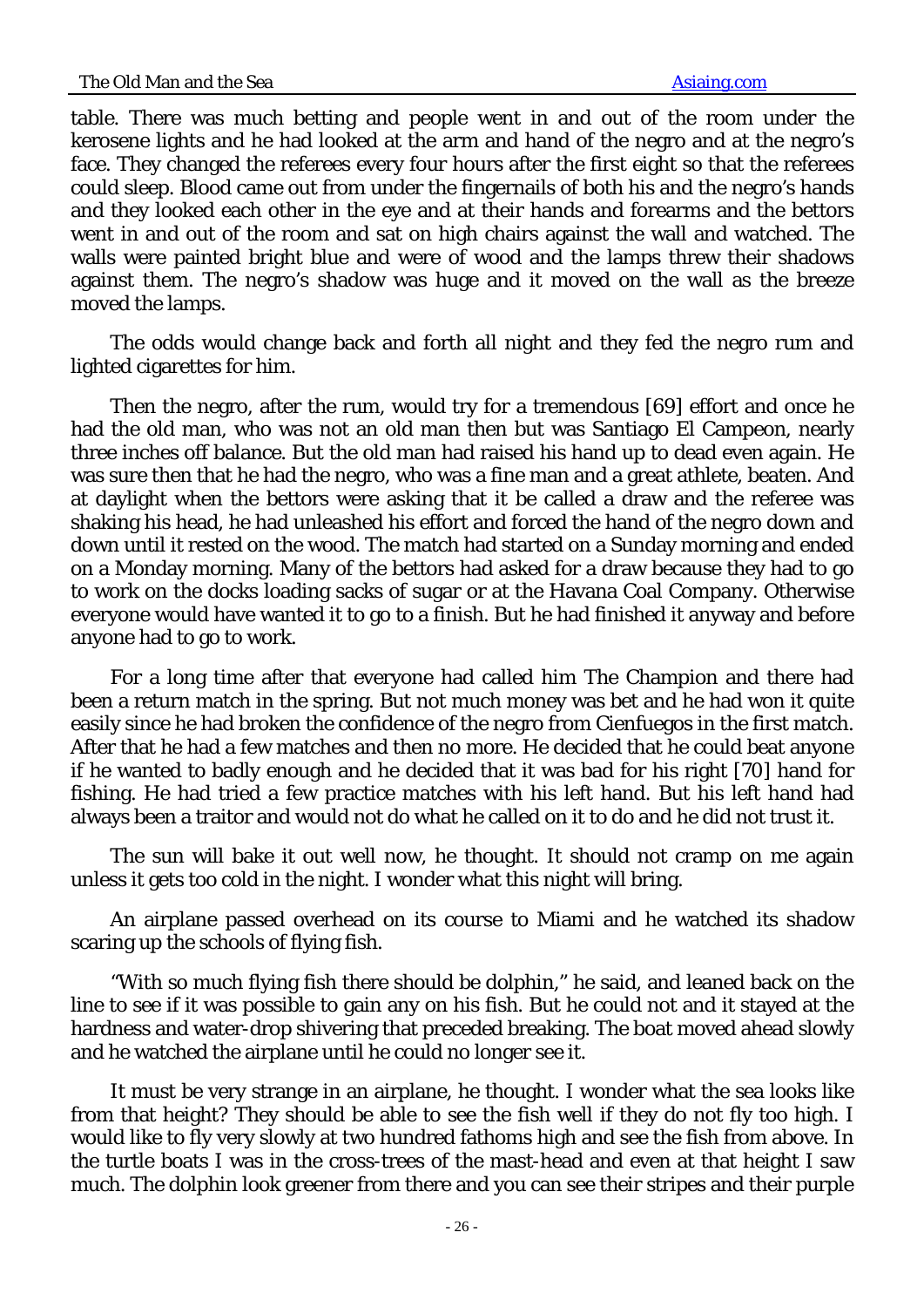table. There was much betting and people went in and out of the room under the kerosene lights and he had looked at the arm and hand of the negro and at the negro's face. They changed the referees every four hours after the first eight so that the referees could sleep. Blood came out from under the fingernails of both his and the negro's hands and they looked each other in the eye and at their hands and forearms and the bettors went in and out of the room and sat on high chairs against the wall and watched. The walls were painted bright blue and were of wood and the lamps threw their shadows against them. The negro's shadow was huge and it moved on the wall as the breeze moved the lamps.

The odds would change back and forth all night and they fed the negro rum and lighted cigarettes for him.

Then the negro, after the rum, would try for a tremendous [69] effort and once he had the old man, who was not an old man then but was Santiago El Campeon, nearly three inches off balance. But the old man had raised his hand up to dead even again. He was sure then that he had the negro, who was a fine man and a great athlete, beaten. And at daylight when the bettors were asking that it be called a draw and the referee was shaking his head, he had unleashed his effort and forced the hand of the negro down and down until it rested on the wood. The match had started on a Sunday morning and ended on a Monday morning. Many of the bettors had asked for a draw because they had to go to work on the docks loading sacks of sugar or at the Havana Coal Company. Otherwise everyone would have wanted it to go to a finish. But he had finished it anyway and before anyone had to go to work.

For a long time after that everyone had called him The Champion and there had been a return match in the spring. But not much money was bet and he had won it quite easily since he had broken the confidence of the negro from Cienfuegos in the first match. After that he had a few matches and then no more. He decided that he could beat anyone if he wanted to badly enough and he decided that it was bad for his right [70] hand for fishing. He had tried a few practice matches with his left hand. But his left hand had always been a traitor and would not do what he called on it to do and he did not trust it.

The sun will bake it out well now, he thought. It should not cramp on me again unless it gets too cold in the night. I wonder what this night will bring.

An airplane passed overhead on its course to Miami and he watched its shadow scaring up the schools of flying fish.

"With so much flying fish there should be dolphin," he said, and leaned back on the line to see if it was possible to gain any on his fish. But he could not and it stayed at the hardness and water-drop shivering that preceded breaking. The boat moved ahead slowly and he watched the airplane until he could no longer see it.

It must be very strange in an airplane, he thought. I wonder what the sea looks like from that height? They should be able to see the fish well if they do not fly too high. I would like to fly very slowly at two hundred fathoms high and see the fish from above. In the turtle boats I was in the cross-trees of the mast-head and even at that height I saw much. The dolphin look greener from there and you can see their stripes and their purple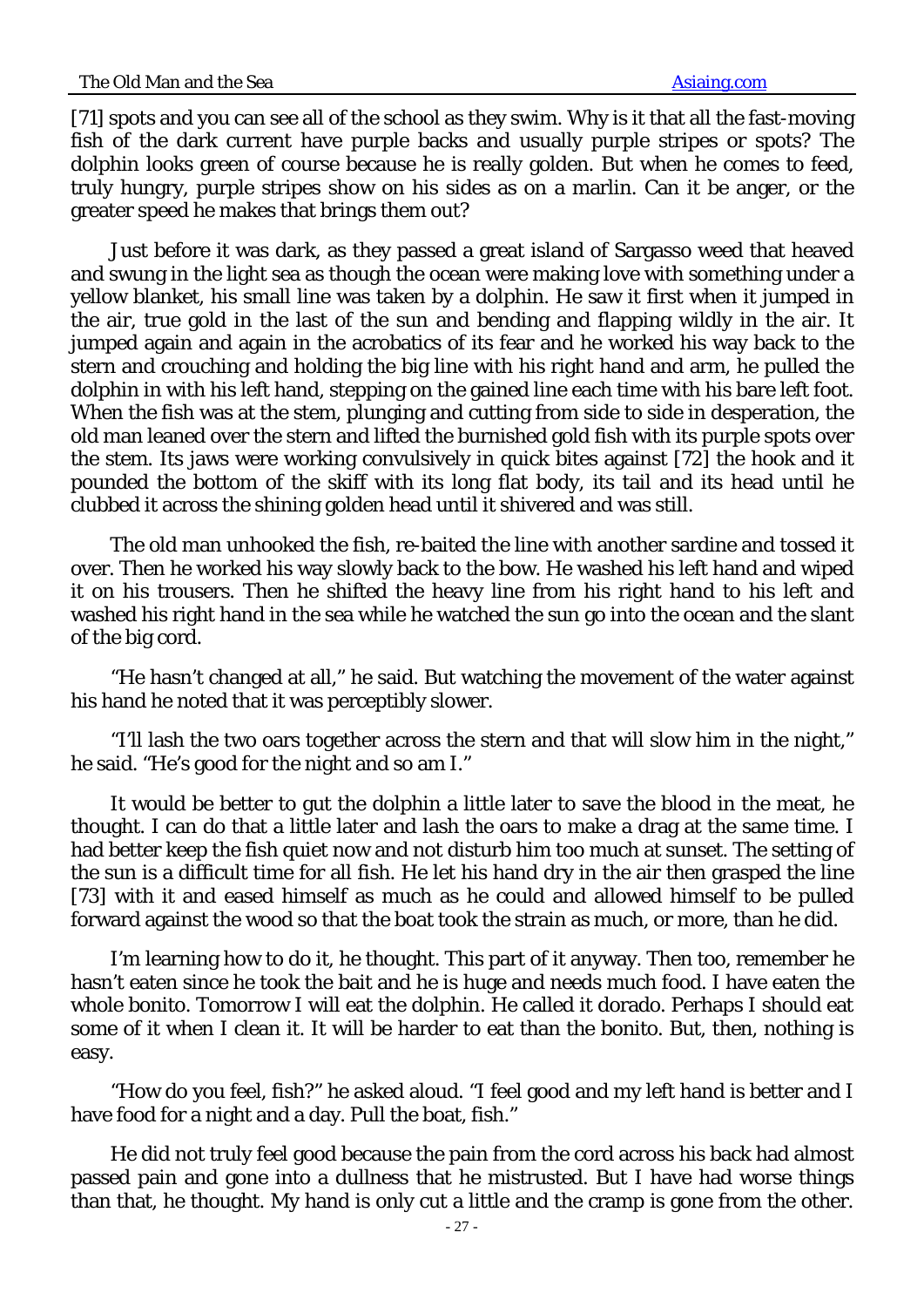[71] spots and you can see all of the school as they swim. Why is it that all the fast-moving fish of the dark current have purple backs and usually purple stripes or spots? The dolphin looks green of course because he is really golden. But when he comes to feed, truly hungry, purple stripes show on his sides as on a marlin. Can it be anger, or the greater speed he makes that brings them out?

Just before it was dark, as they passed a great island of Sargasso weed that heaved and swung in the light sea as though the ocean were making love with something under a yellow blanket, his small line was taken by a dolphin. He saw it first when it jumped in the air, true gold in the last of the sun and bending and flapping wildly in the air. It jumped again and again in the acrobatics of its fear and he worked his way back to the stern and crouching and holding the big line with his right hand and arm, he pulled the dolphin in with his left hand, stepping on the gained line each time with his bare left foot. When the fish was at the stem, plunging and cutting from side to side in desperation, the old man leaned over the stern and lifted the burnished gold fish with its purple spots over the stem. Its jaws were working convulsively in quick bites against [72] the hook and it pounded the bottom of the skiff with its long flat body, its tail and its head until he clubbed it across the shining golden head until it shivered and was still.

The old man unhooked the fish, re-baited the line with another sardine and tossed it over. Then he worked his way slowly back to the bow. He washed his left hand and wiped it on his trousers. Then he shifted the heavy line from his right hand to his left and washed his right hand in the sea while he watched the sun go into the ocean and the slant of the big cord.

"He hasn't changed at all," he said. But watching the movement of the water against his hand he noted that it was perceptibly slower.

"I'll lash the two oars together across the stern and that will slow him in the night," he said. "He's good for the night and so am I."

It would be better to gut the dolphin a little later to save the blood in the meat, he thought. I can do that a little later and lash the oars to make a drag at the same time. I had better keep the fish quiet now and not disturb him too much at sunset. The setting of the sun is a difficult time for all fish. He let his hand dry in the air then grasped the line [73] with it and eased himself as much as he could and allowed himself to be pulled forward against the wood so that the boat took the strain as much, or more, than he did.

I'm learning how to do it, he thought. This part of it anyway. Then too, remember he hasn't eaten since he took the bait and he is huge and needs much food. I have eaten the whole bonito. Tomorrow I will eat the dolphin. He called it dorado. Perhaps I should eat some of it when I clean it. It will be harder to eat than the bonito. But, then, nothing is easy.

"How do you feel, fish?" he asked aloud. "I feel good and my left hand is better and I have food for a night and a day. Pull the boat, fish."

He did not truly feel good because the pain from the cord across his back had almost passed pain and gone into a dullness that he mistrusted. But I have had worse things than that, he thought. My hand is only cut a little and the cramp is gone from the other.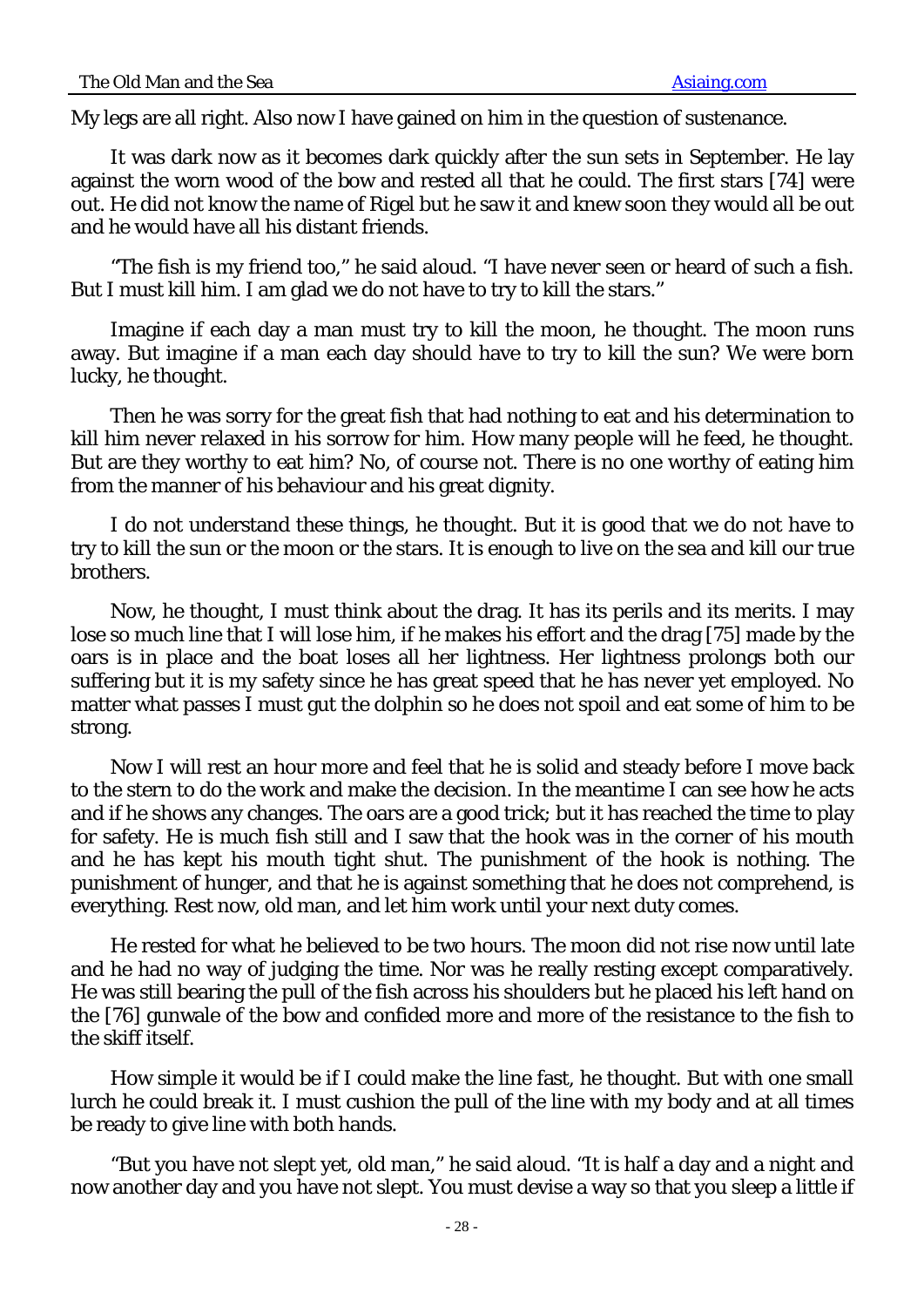My legs are all right. Also now I have gained on him in the question of sustenance.

It was dark now as it becomes dark quickly after the sun sets in September. He lay against the worn wood of the bow and rested all that he could. The first stars [74] were out. He did not know the name of Rigel but he saw it and knew soon they would all be out and he would have all his distant friends.

"The fish is my friend too," he said aloud. "I have never seen or heard of such a fish. But I must kill him. I am glad we do not have to try to kill the stars."

Imagine if each day a man must try to kill the moon, he thought. The moon runs away. But imagine if a man each day should have to try to kill the sun? We were born lucky, he thought.

Then he was sorry for the great fish that had nothing to eat and his determination to kill him never relaxed in his sorrow for him. How many people will he feed, he thought. But are they worthy to eat him? No, of course not. There is no one worthy of eating him from the manner of his behaviour and his great dignity.

I do not understand these things, he thought. But it is good that we do not have to try to kill the sun or the moon or the stars. It is enough to live on the sea and kill our true brothers.

Now, he thought, I must think about the drag. It has its perils and its merits. I may lose so much line that I will lose him, if he makes his effort and the drag [75] made by the oars is in place and the boat loses all her lightness. Her lightness prolongs both our suffering but it is my safety since he has great speed that he has never yet employed. No matter what passes I must gut the dolphin so he does not spoil and eat some of him to be strong.

Now I will rest an hour more and feel that he is solid and steady before I move back to the stern to do the work and make the decision. In the meantime I can see how he acts and if he shows any changes. The oars are a good trick; but it has reached the time to play for safety. He is much fish still and I saw that the hook was in the corner of his mouth and he has kept his mouth tight shut. The punishment of the hook is nothing. The punishment of hunger, and that he is against something that he does not comprehend, is everything. Rest now, old man, and let him work until your next duty comes.

He rested for what he believed to be two hours. The moon did not rise now until late and he had no way of judging the time. Nor was he really resting except comparatively. He was still bearing the pull of the fish across his shoulders but he placed his left hand on the [76] gunwale of the bow and confided more and more of the resistance to the fish to the skiff itself.

How simple it would be if I could make the line fast, he thought. But with one small lurch he could break it. I must cushion the pull of the line with my body and at all times be ready to give line with both hands.

"But you have not slept yet, old man," he said aloud. "It is half a day and a night and now another day and you have not slept. You must devise a way so that you sleep a little if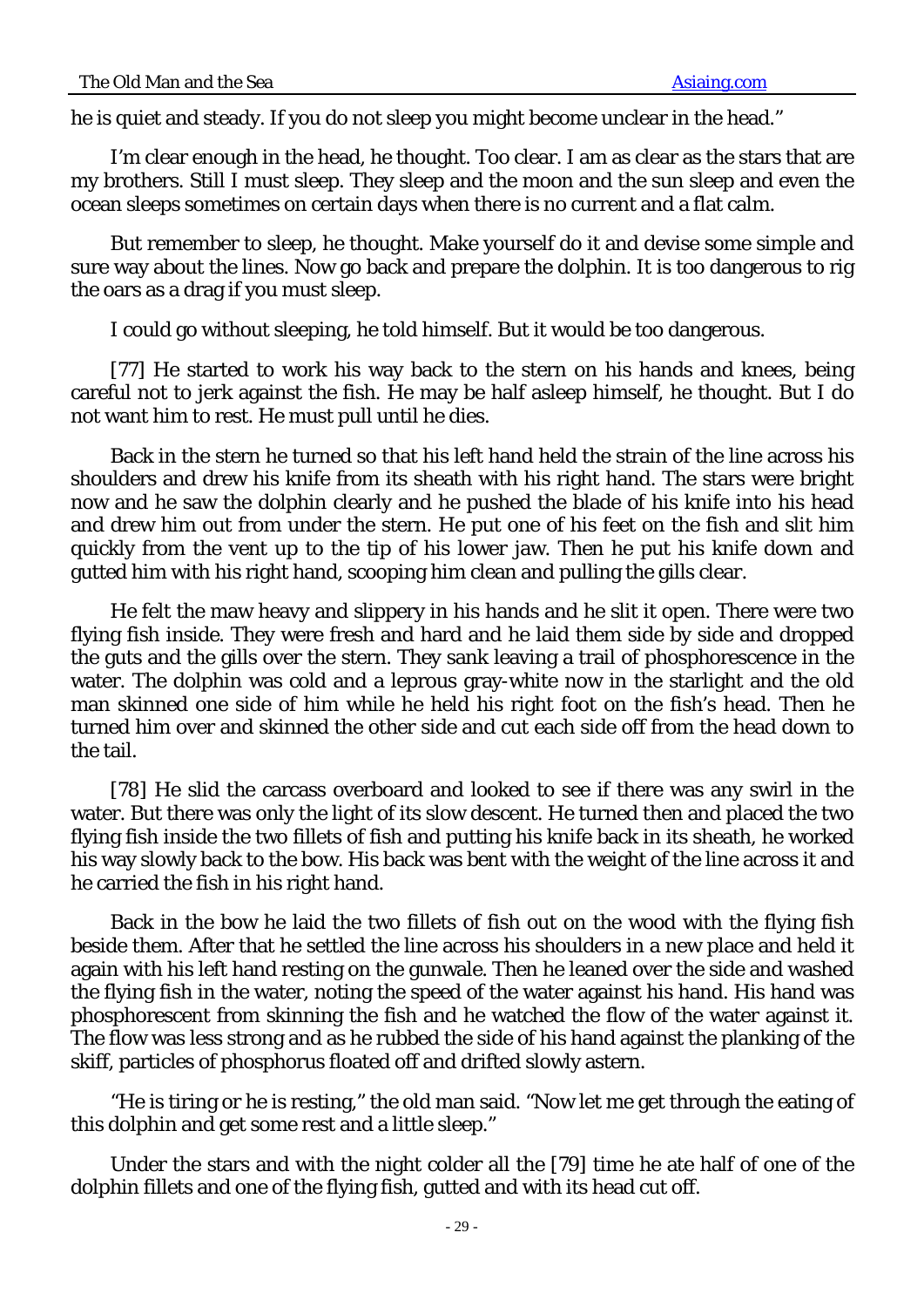he is quiet and steady. If you do not sleep you might become unclear in the head."

I'm clear enough in the head, he thought. Too clear. I am as clear as the stars that are my brothers. Still I must sleep. They sleep and the moon and the sun sleep and even the ocean sleeps sometimes on certain days when there is no current and a flat calm.

But remember to sleep, he thought. Make yourself do it and devise some simple and sure way about the lines. Now go back and prepare the dolphin. It is too dangerous to rig the oars as a drag if you must sleep.

I could go without sleeping, he told himself. But it would be too dangerous.

[77] He started to work his way back to the stern on his hands and knees, being careful not to jerk against the fish. He may be half asleep himself, he thought. But I do not want him to rest. He must pull until he dies.

Back in the stern he turned so that his left hand held the strain of the line across his shoulders and drew his knife from its sheath with his right hand. The stars were bright now and he saw the dolphin clearly and he pushed the blade of his knife into his head and drew him out from under the stern. He put one of his feet on the fish and slit him quickly from the vent up to the tip of his lower jaw. Then he put his knife down and gutted him with his right hand, scooping him clean and pulling the gills clear.

He felt the maw heavy and slippery in his hands and he slit it open. There were two flying fish inside. They were fresh and hard and he laid them side by side and dropped the guts and the gills over the stern. They sank leaving a trail of phosphorescence in the water. The dolphin was cold and a leprous gray-white now in the starlight and the old man skinned one side of him while he held his right foot on the fish's head. Then he turned him over and skinned the other side and cut each side off from the head down to the tail.

[78] He slid the carcass overboard and looked to see if there was any swirl in the water. But there was only the light of its slow descent. He turned then and placed the two flying fish inside the two fillets of fish and putting his knife back in its sheath, he worked his way slowly back to the bow. His back was bent with the weight of the line across it and he carried the fish in his right hand.

Back in the bow he laid the two fillets of fish out on the wood with the flying fish beside them. After that he settled the line across his shoulders in a new place and held it again with his left hand resting on the gunwale. Then he leaned over the side and washed the flying fish in the water, noting the speed of the water against his hand. His hand was phosphorescent from skinning the fish and he watched the flow of the water against it. The flow was less strong and as he rubbed the side of his hand against the planking of the skiff, particles of phosphorus floated off and drifted slowly astern.

"He is tiring or he is resting," the old man said. "Now let me get through the eating of this dolphin and get some rest and a little sleep."

Under the stars and with the night colder all the [79] time he ate half of one of the dolphin fillets and one of the flying fish, gutted and with its head cut off.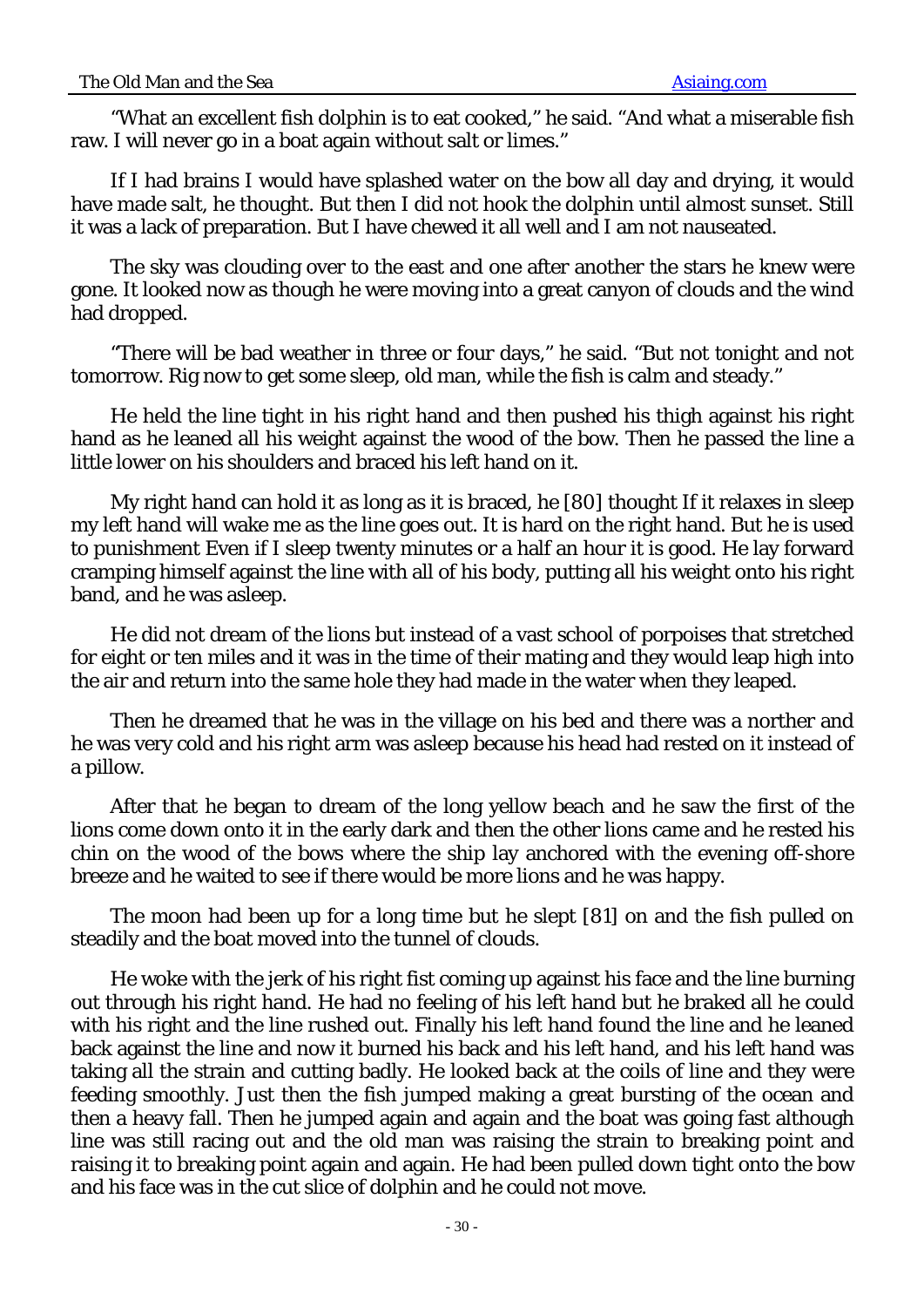"What an excellent fish dolphin is to eat cooked," he said. "And what a miserable fish raw. I will never go in a boat again without salt or limes."

If I had brains I would have splashed water on the bow all day and drying, it would have made salt, he thought. But then I did not hook the dolphin until almost sunset. Still it was a lack of preparation. But I have chewed it all well and I am not nauseated.

The sky was clouding over to the east and one after another the stars he knew were gone. It looked now as though he were moving into a great canyon of clouds and the wind had dropped.

"There will be bad weather in three or four days," he said. "But not tonight and not tomorrow. Rig now to get some sleep, old man, while the fish is calm and steady."

He held the line tight in his right hand and then pushed his thigh against his right hand as he leaned all his weight against the wood of the bow. Then he passed the line a little lower on his shoulders and braced his left hand on it.

My right hand can hold it as long as it is braced, he [80] thought If it relaxes in sleep my left hand will wake me as the line goes out. It is hard on the right hand. But he is used to punishment Even if I sleep twenty minutes or a half an hour it is good. He lay forward cramping himself against the line with all of his body, putting all his weight onto his right band, and he was asleep.

He did not dream of the lions but instead of a vast school of porpoises that stretched for eight or ten miles and it was in the time of their mating and they would leap high into the air and return into the same hole they had made in the water when they leaped.

Then he dreamed that he was in the village on his bed and there was a norther and he was very cold and his right arm was asleep because his head had rested on it instead of a pillow.

After that he began to dream of the long yellow beach and he saw the first of the lions come down onto it in the early dark and then the other lions came and he rested his chin on the wood of the bows where the ship lay anchored with the evening off-shore breeze and he waited to see if there would be more lions and he was happy.

The moon had been up for a long time but he slept [81] on and the fish pulled on steadily and the boat moved into the tunnel of clouds.

He woke with the jerk of his right fist coming up against his face and the line burning out through his right hand. He had no feeling of his left hand but he braked all he could with his right and the line rushed out. Finally his left hand found the line and he leaned back against the line and now it burned his back and his left hand, and his left hand was taking all the strain and cutting badly. He looked back at the coils of line and they were feeding smoothly. Just then the fish jumped making a great bursting of the ocean and then a heavy fall. Then he jumped again and again and the boat was going fast although line was still racing out and the old man was raising the strain to breaking point and raising it to breaking point again and again. He had been pulled down tight onto the bow and his face was in the cut slice of dolphin and he could not move.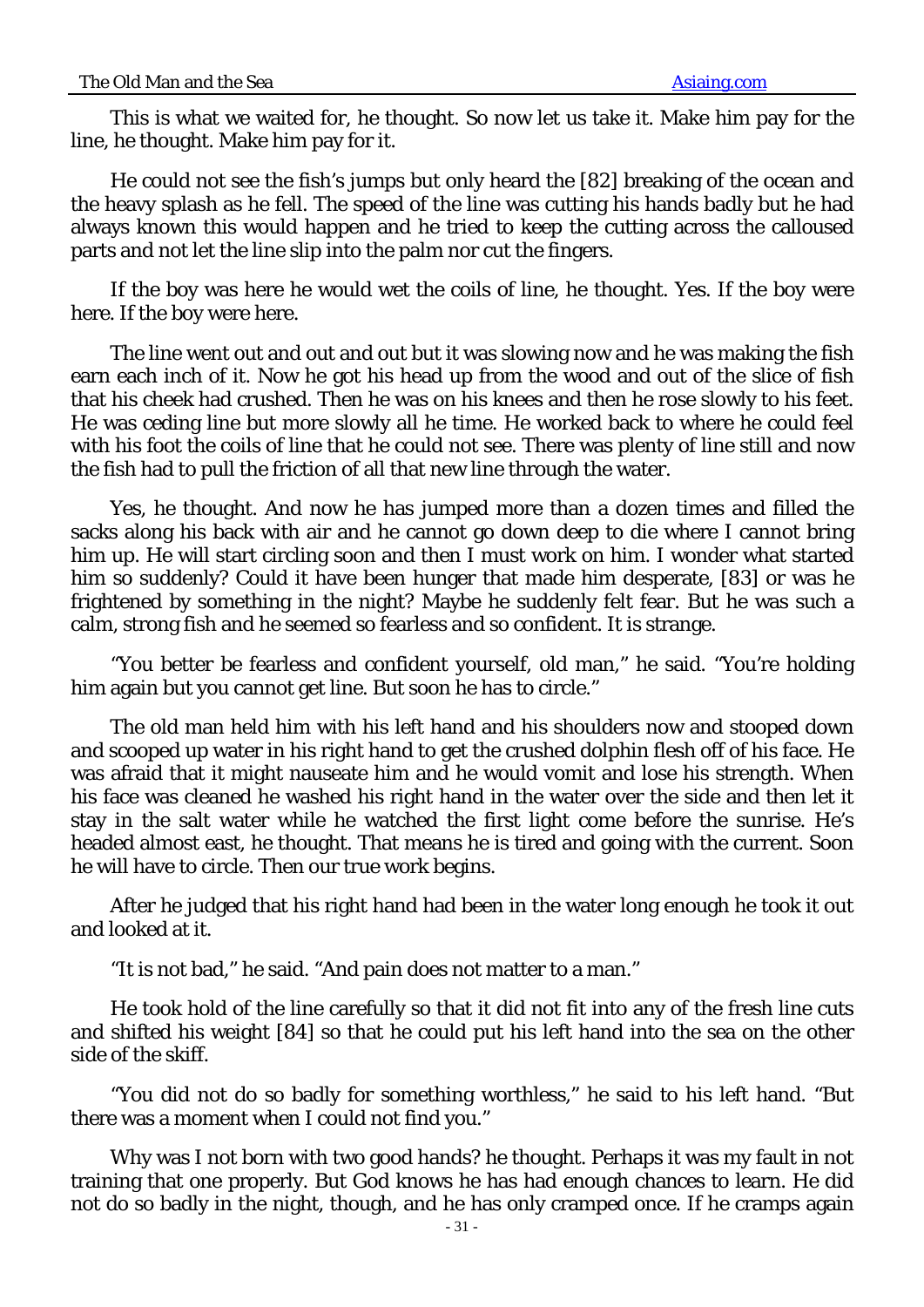This is what we waited for, he thought. So now let us take it. Make him pay for the line, he thought. Make him pay for it.

He could not see the fish's jumps but only heard the [82] breaking of the ocean and the heavy splash as he fell. The speed of the line was cutting his hands badly but he had always known this would happen and he tried to keep the cutting across the calloused parts and not let the line slip into the palm nor cut the fingers.

If the boy was here he would wet the coils of line, he thought. Yes. If the boy were here. If the boy were here.

The line went out and out and out but it was slowing now and he was making the fish earn each inch of it. Now he got his head up from the wood and out of the slice of fish that his cheek had crushed. Then he was on his knees and then he rose slowly to his feet. He was ceding line but more slowly all he time. He worked back to where he could feel with his foot the coils of line that he could not see. There was plenty of line still and now the fish had to pull the friction of all that new line through the water.

Yes, he thought. And now he has jumped more than a dozen times and filled the sacks along his back with air and he cannot go down deep to die where I cannot bring him up. He will start circling soon and then I must work on him. I wonder what started him so suddenly? Could it have been hunger that made him desperate, [83] or was he frightened by something in the night? Maybe he suddenly felt fear. But he was such a calm, strong fish and he seemed so fearless and so confident. It is strange.

"You better be fearless and confident yourself, old man," he said. "You're holding him again but you cannot get line. But soon he has to circle."

The old man held him with his left hand and his shoulders now and stooped down and scooped up water in his right hand to get the crushed dolphin flesh off of his face. He was afraid that it might nauseate him and he would vomit and lose his strength. When his face was cleaned he washed his right hand in the water over the side and then let it stay in the salt water while he watched the first light come before the sunrise. He's headed almost east, he thought. That means he is tired and going with the current. Soon he will have to circle. Then our true work begins.

After he judged that his right hand had been in the water long enough he took it out and looked at it.

"It is not bad," he said. "And pain does not matter to a man."

He took hold of the line carefully so that it did not fit into any of the fresh line cuts and shifted his weight [84] so that he could put his left hand into the sea on the other side of the skiff.

"You did not do so badly for something worthless," he said to his left hand. "But there was a moment when I could not find you."

Why was I not born with two good hands? he thought. Perhaps it was my fault in not training that one properly. But God knows he has had enough chances to learn. He did not do so badly in the night, though, and he has only cramped once. If he cramps again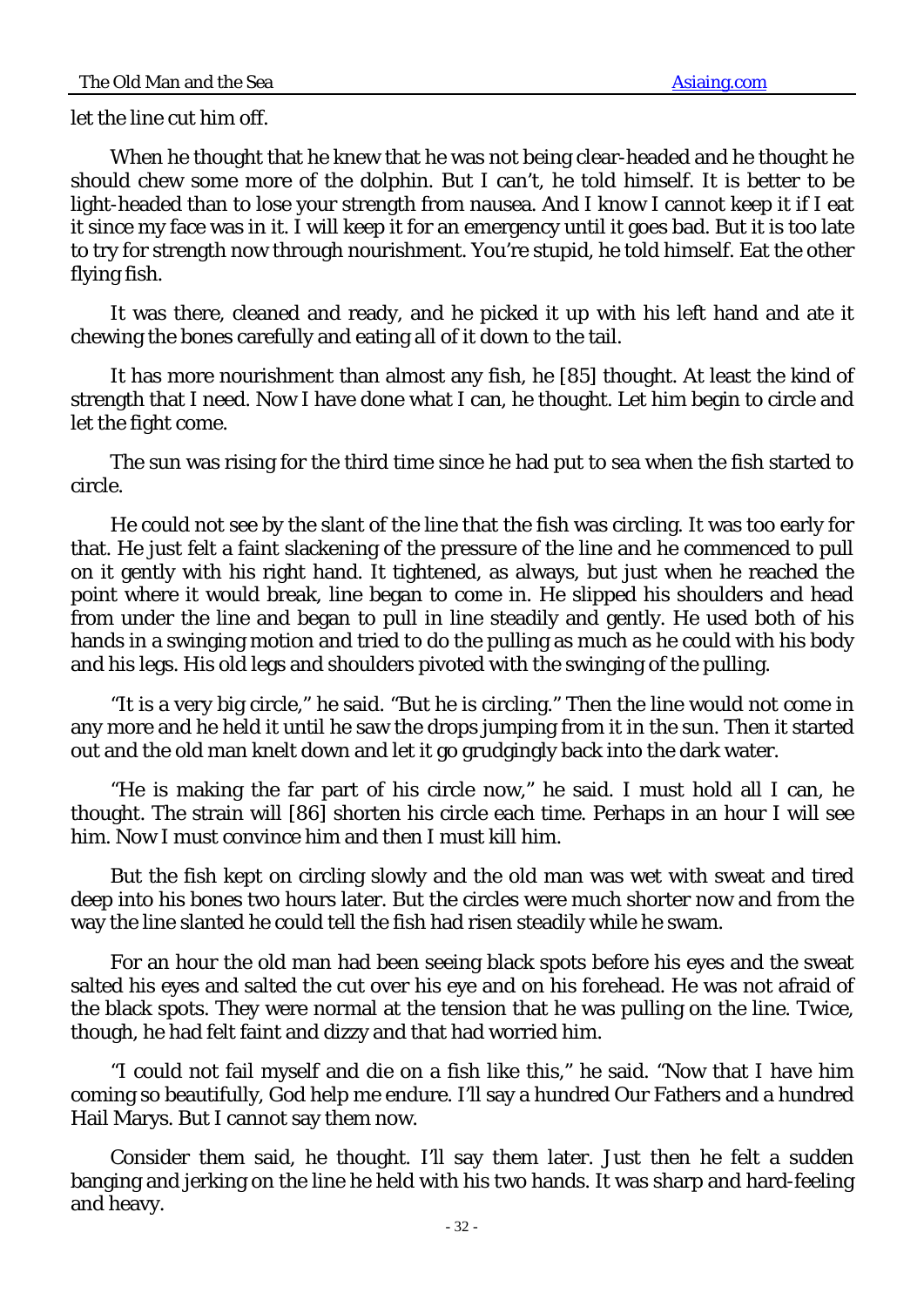let the line cut him off.

When he thought that he knew that he was not being clear-headed and he thought he should chew some more of the dolphin. But I can't, he told himself. It is better to be light-headed than to lose your strength from nausea. And I know I cannot keep it if I eat it since my face was in it. I will keep it for an emergency until it goes bad. But it is too late to try for strength now through nourishment. You're stupid, he told himself. Eat the other flying fish.

It was there, cleaned and ready, and he picked it up with his left hand and ate it chewing the bones carefully and eating all of it down to the tail.

It has more nourishment than almost any fish, he [85] thought. At least the kind of strength that I need. Now I have done what I can, he thought. Let him begin to circle and let the fight come.

The sun was rising for the third time since he had put to sea when the fish started to circle.

He could not see by the slant of the line that the fish was circling. It was too early for that. He just felt a faint slackening of the pressure of the line and he commenced to pull on it gently with his right hand. It tightened, as always, but just when he reached the point where it would break, line began to come in. He slipped his shoulders and head from under the line and began to pull in line steadily and gently. He used both of his hands in a swinging motion and tried to do the pulling as much as he could with his body and his legs. His old legs and shoulders pivoted with the swinging of the pulling.

"It is a very big circle," he said. "But he is circling." Then the line would not come in any more and he held it until he saw the drops jumping from it in the sun. Then it started out and the old man knelt down and let it go grudgingly back into the dark water.

"He is making the far part of his circle now," he said. I must hold all I can, he thought. The strain will [86] shorten his circle each time. Perhaps in an hour I will see him. Now I must convince him and then I must kill him.

But the fish kept on circling slowly and the old man was wet with sweat and tired deep into his bones two hours later. But the circles were much shorter now and from the way the line slanted he could tell the fish had risen steadily while he swam.

For an hour the old man had been seeing black spots before his eyes and the sweat salted his eyes and salted the cut over his eye and on his forehead. He was not afraid of the black spots. They were normal at the tension that he was pulling on the line. Twice, though, he had felt faint and dizzy and that had worried him.

"I could not fail myself and die on a fish like this," he said. "Now that I have him coming so beautifully, God help me endure. I'll say a hundred Our Fathers and a hundred Hail Marys. But I cannot say them now.

Consider them said, he thought. I'll say them later. Just then he felt a sudden banging and jerking on the line he held with his two hands. It was sharp and hard-feeling and heavy.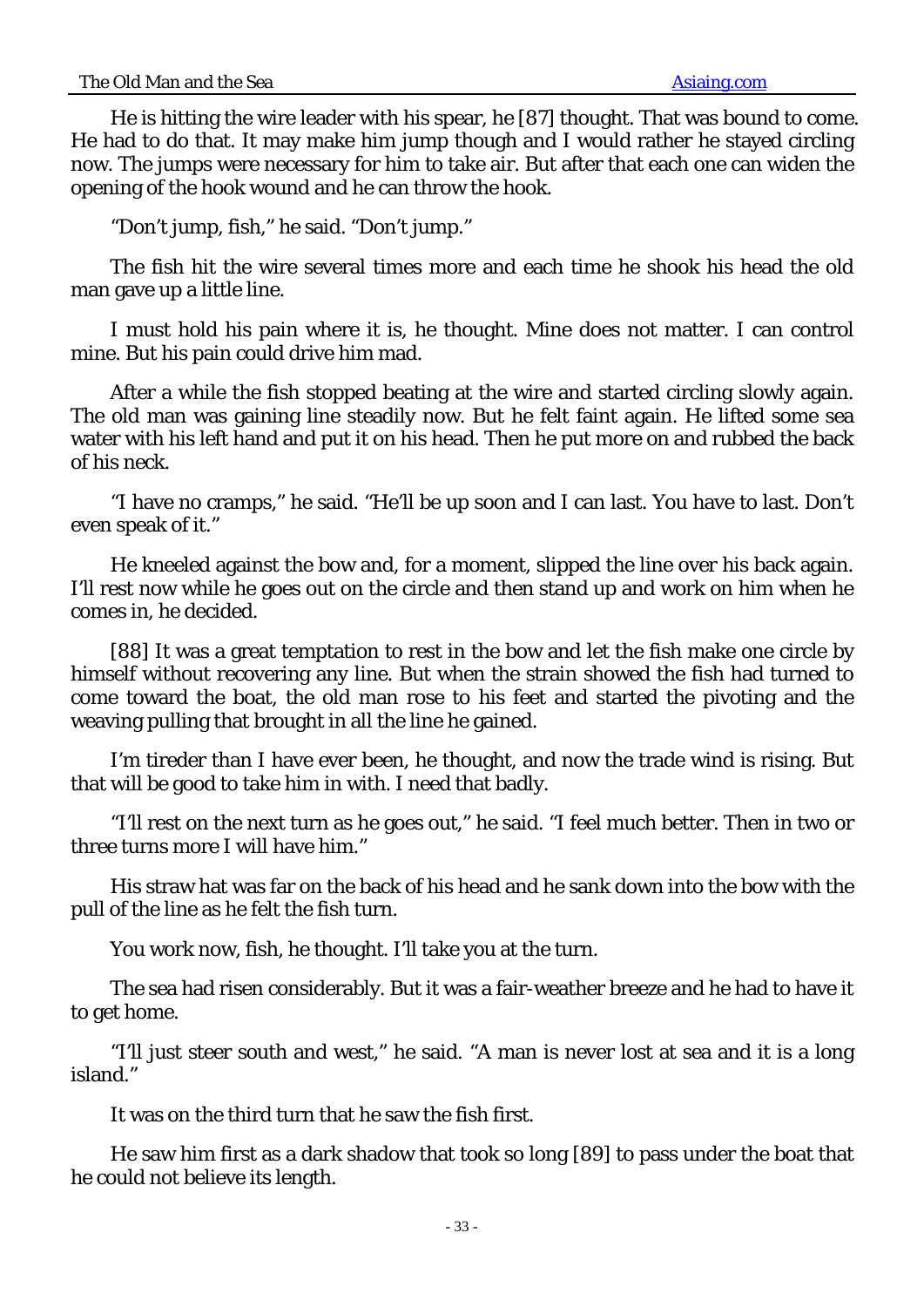He is hitting the wire leader with his spear, he [87] thought. That was bound to come. He had to do that. It may make him jump though and I would rather he stayed circling now. The jumps were necessary for him to take air. But after that each one can widen the opening of the hook wound and he can throw the hook.

"Don't jump, fish," he said. "Don't jump."

The fish hit the wire several times more and each time he shook his head the old man gave up a little line.

I must hold his pain where it is, he thought. Mine does not matter. I can control mine. But his pain could drive him mad.

After a while the fish stopped beating at the wire and started circling slowly again. The old man was gaining line steadily now. But he felt faint again. He lifted some sea water with his left hand and put it on his head. Then he put more on and rubbed the back of his neck.

"I have no cramps," he said. "He'll be up soon and I can last. You have to last. Don't even speak of it."

He kneeled against the bow and, for a moment, slipped the line over his back again. I'll rest now while he goes out on the circle and then stand up and work on him when he comes in, he decided.

[88] It was a great temptation to rest in the bow and let the fish make one circle by himself without recovering any line. But when the strain showed the fish had turned to come toward the boat, the old man rose to his feet and started the pivoting and the weaving pulling that brought in all the line he gained.

I'm tireder than I have ever been, he thought, and now the trade wind is rising. But that will be good to take him in with. I need that badly.

"I'll rest on the next turn as he goes out," he said. "I feel much better. Then in two or three turns more I will have him."

His straw hat was far on the back of his head and he sank down into the bow with the pull of the line as he felt the fish turn.

You work now, fish, he thought. I'll take you at the turn.

The sea had risen considerably. But it was a fair-weather breeze and he had to have it to get home.

"I'll just steer south and west," he said. "A man is never lost at sea and it is a long island."

It was on the third turn that he saw the fish first.

He saw him first as a dark shadow that took so long [89] to pass under the boat that he could not believe its length.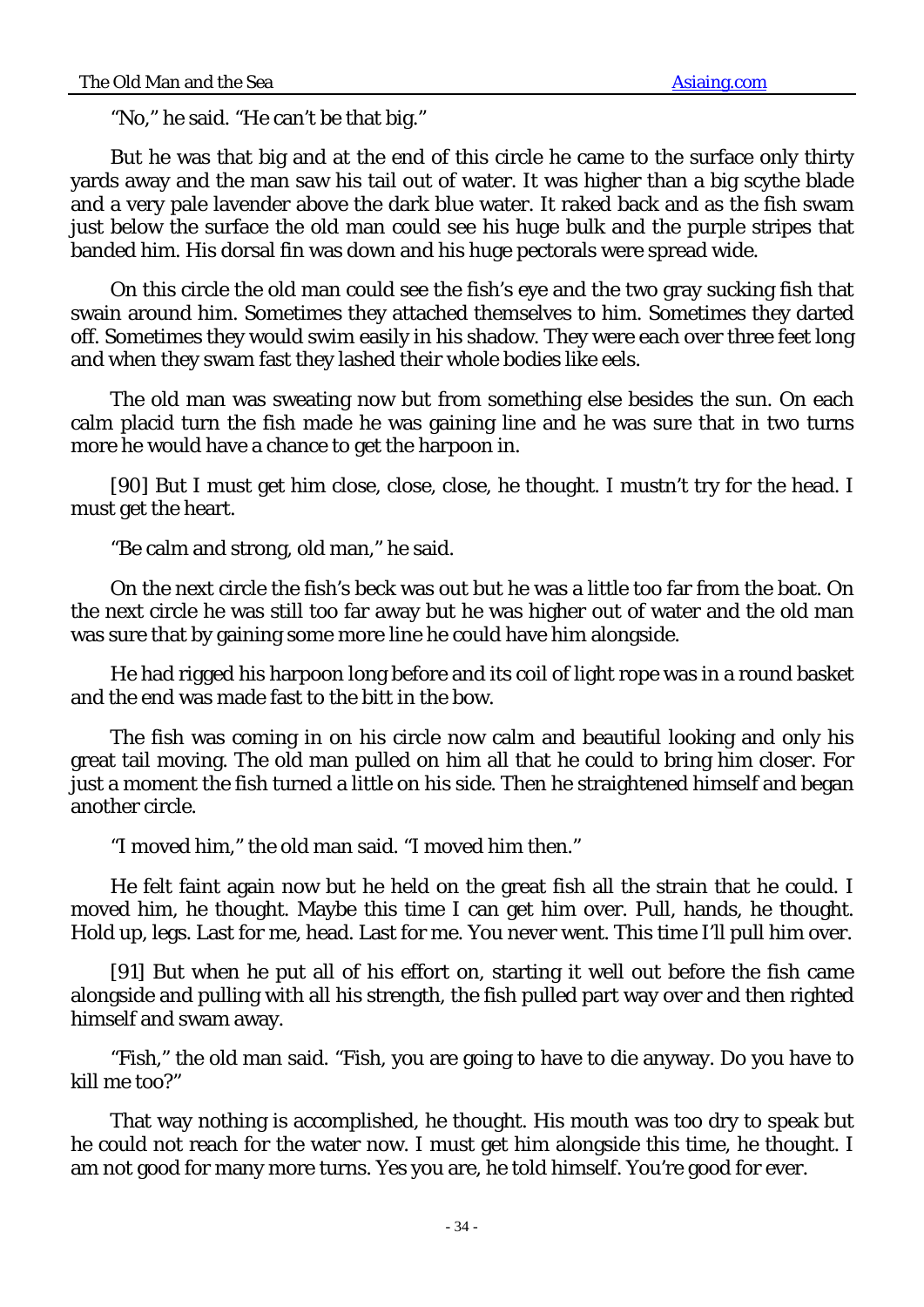"No," he said. "He can't be that big."

But he was that big and at the end of this circle he came to the surface only thirty yards away and the man saw his tail out of water. It was higher than a big scythe blade and a very pale lavender above the dark blue water. It raked back and as the fish swam just below the surface the old man could see his huge bulk and the purple stripes that banded him. His dorsal fin was down and his huge pectorals were spread wide.

On this circle the old man could see the fish's eye and the two gray sucking fish that swain around him. Sometimes they attached themselves to him. Sometimes they darted off. Sometimes they would swim easily in his shadow. They were each over three feet long and when they swam fast they lashed their whole bodies like eels.

The old man was sweating now but from something else besides the sun. On each calm placid turn the fish made he was gaining line and he was sure that in two turns more he would have a chance to get the harpoon in.

[90] But I must get him close, close, close, he thought. I mustn't try for the head. I must get the heart.

"Be calm and strong, old man," he said.

On the next circle the fish's beck was out but he was a little too far from the boat. On the next circle he was still too far away but he was higher out of water and the old man was sure that by gaining some more line he could have him alongside.

He had rigged his harpoon long before and its coil of light rope was in a round basket and the end was made fast to the bitt in the bow.

The fish was coming in on his circle now calm and beautiful looking and only his great tail moving. The old man pulled on him all that he could to bring him closer. For just a moment the fish turned a little on his side. Then he straightened himself and began another circle.

"I moved him," the old man said. "I moved him then."

He felt faint again now but he held on the great fish all the strain that he could. I moved him, he thought. Maybe this time I can get him over. Pull, hands, he thought. Hold up, legs. Last for me, head. Last for me. You never went. This time I'll pull him over.

[91] But when he put all of his effort on, starting it well out before the fish came alongside and pulling with all his strength, the fish pulled part way over and then righted himself and swam away.

"Fish," the old man said. "Fish, you are going to have to die anyway. Do you have to kill me too?"

That way nothing is accomplished, he thought. His mouth was too dry to speak but he could not reach for the water now. I must get him alongside this time, he thought. I am not good for many more turns. Yes you are, he told himself. You're good for ever.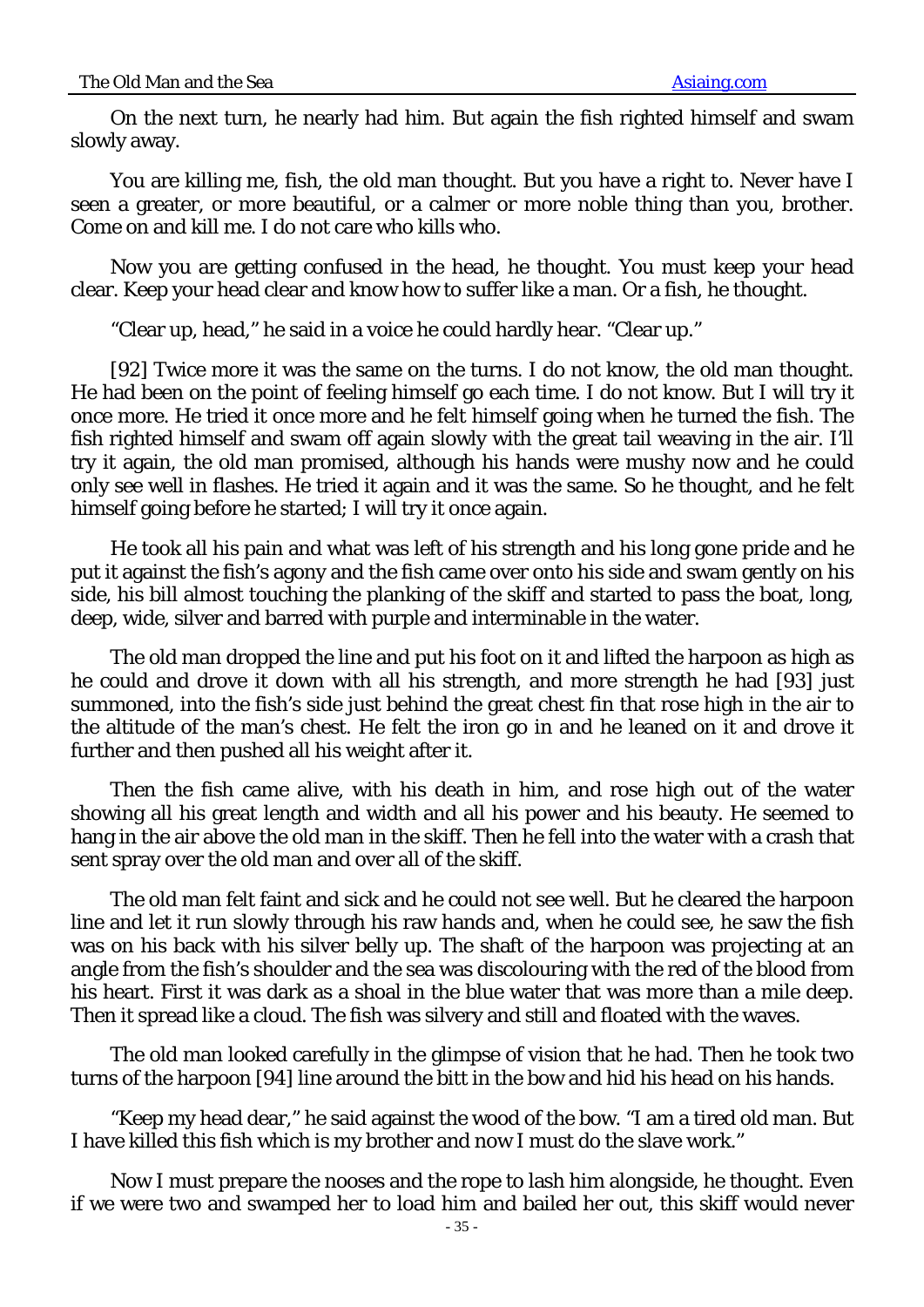On the next turn, he nearly had him. But again the fish righted himself and swam slowly away.

You are killing me, fish, the old man thought. But you have a right to. Never have I seen a greater, or more beautiful, or a calmer or more noble thing than you, brother. Come on and kill me. I do not care who kills who.

Now you are getting confused in the head, he thought. You must keep your head clear. Keep your head clear and know how to suffer like a man. Or a fish, he thought.

"Clear up, head," he said in a voice he could hardly hear. "Clear up."

[92] Twice more it was the same on the turns. I do not know, the old man thought. He had been on the point of feeling himself go each time. I do not know. But I will try it once more. He tried it once more and he felt himself going when he turned the fish. The fish righted himself and swam off again slowly with the great tail weaving in the air. I'll try it again, the old man promised, although his hands were mushy now and he could only see well in flashes. He tried it again and it was the same. So he thought, and he felt himself going before he started; I will try it once again.

He took all his pain and what was left of his strength and his long gone pride and he put it against the fish's agony and the fish came over onto his side and swam gently on his side, his bill almost touching the planking of the skiff and started to pass the boat, long, deep, wide, silver and barred with purple and interminable in the water.

The old man dropped the line and put his foot on it and lifted the harpoon as high as he could and drove it down with all his strength, and more strength he had [93] just summoned, into the fish's side just behind the great chest fin that rose high in the air to the altitude of the man's chest. He felt the iron go in and he leaned on it and drove it further and then pushed all his weight after it.

Then the fish came alive, with his death in him, and rose high out of the water showing all his great length and width and all his power and his beauty. He seemed to hang in the air above the old man in the skiff. Then he fell into the water with a crash that sent spray over the old man and over all of the skiff.

The old man felt faint and sick and he could not see well. But he cleared the harpoon line and let it run slowly through his raw hands and, when he could see, he saw the fish was on his back with his silver belly up. The shaft of the harpoon was projecting at an angle from the fish's shoulder and the sea was discolouring with the red of the blood from his heart. First it was dark as a shoal in the blue water that was more than a mile deep. Then it spread like a cloud. The fish was silvery and still and floated with the waves.

The old man looked carefully in the glimpse of vision that he had. Then he took two turns of the harpoon [94] line around the bitt in the bow and hid his head on his hands.

"Keep my head dear," he said against the wood of the bow. "I am a tired old man. But I have killed this fish which is my brother and now I must do the slave work."

Now I must prepare the nooses and the rope to lash him alongside, he thought. Even if we were two and swamped her to load him and bailed her out, this skiff would never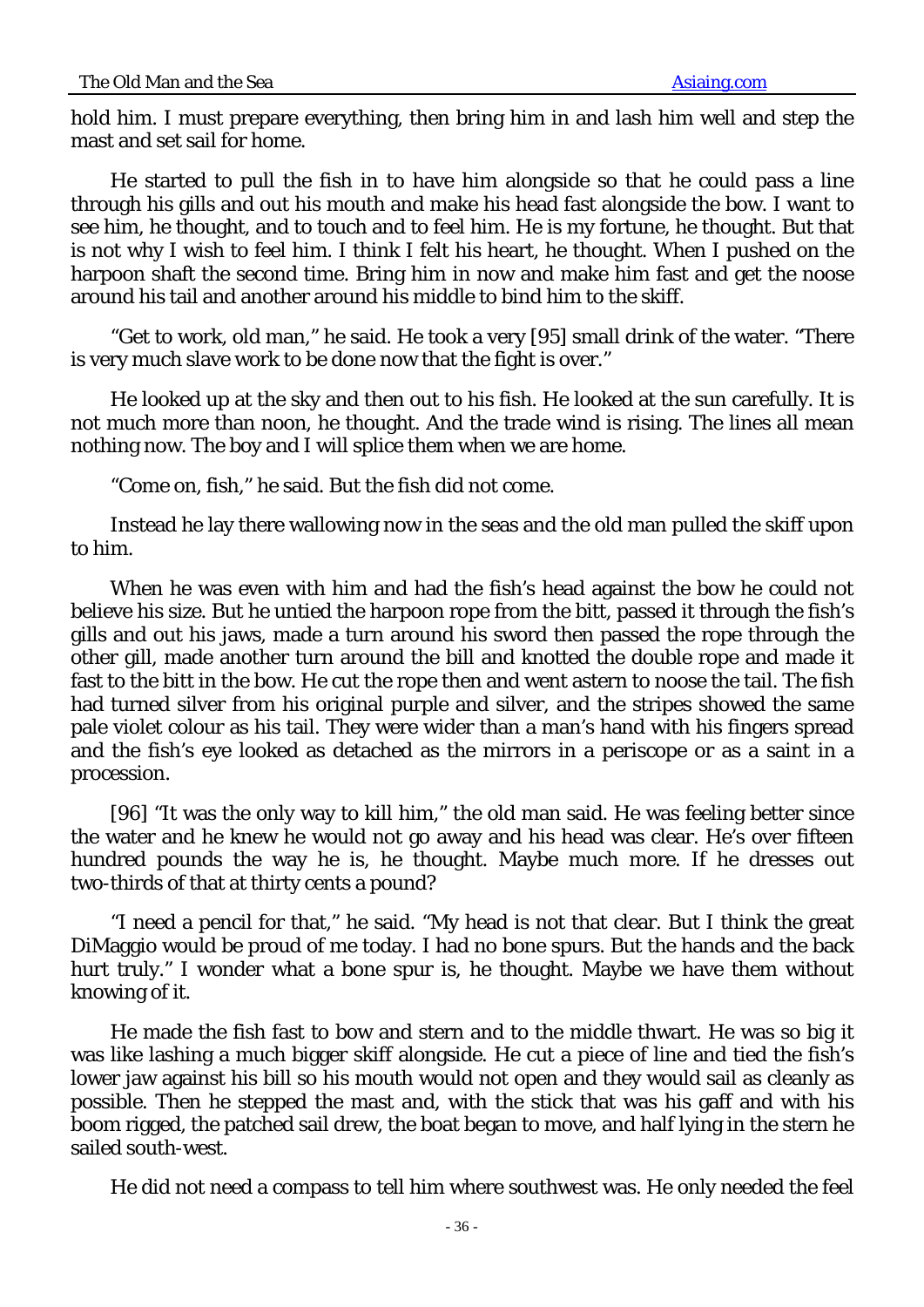hold him. I must prepare everything, then bring him in and lash him well and step the mast and set sail for home.

He started to pull the fish in to have him alongside so that he could pass a line through his gills and out his mouth and make his head fast alongside the bow. I want to see him, he thought, and to touch and to feel him. He is my fortune, he thought. But that is not why I wish to feel him. I think I felt his heart, he thought. When I pushed on the harpoon shaft the second time. Bring him in now and make him fast and get the noose around his tail and another around his middle to bind him to the skiff.

"Get to work, old man," he said. He took a very [95] small drink of the water. "There is very much slave work to be done now that the fight is over."

He looked up at the sky and then out to his fish. He looked at the sun carefully. It is not much more than noon, he thought. And the trade wind is rising. The lines all mean nothing now. The boy and I will splice them when we are home.

"Come on, fish," he said. But the fish did not come.

Instead he lay there wallowing now in the seas and the old man pulled the skiff upon to him.

When he was even with him and had the fish's head against the bow he could not believe his size. But he untied the harpoon rope from the bitt, passed it through the fish's gills and out his jaws, made a turn around his sword then passed the rope through the other gill, made another turn around the bill and knotted the double rope and made it fast to the bitt in the bow. He cut the rope then and went astern to noose the tail. The fish had turned silver from his original purple and silver, and the stripes showed the same pale violet colour as his tail. They were wider than a man's hand with his fingers spread and the fish's eye looked as detached as the mirrors in a periscope or as a saint in a procession.

[96] "It was the only way to kill him," the old man said. He was feeling better since the water and he knew he would not go away and his head was clear. He's over fifteen hundred pounds the way he is, he thought. Maybe much more. If he dresses out two-thirds of that at thirty cents a pound?

"I need a pencil for that," he said. "My head is not that clear. But I think the great DiMaggio would be proud of me today. I had no bone spurs. But the hands and the back hurt truly." I wonder what a bone spur is, he thought. Maybe we have them without knowing of it.

He made the fish fast to bow and stern and to the middle thwart. He was so big it was like lashing a much bigger skiff alongside. He cut a piece of line and tied the fish's lower jaw against his bill so his mouth would not open and they would sail as cleanly as possible. Then he stepped the mast and, with the stick that was his gaff and with his boom rigged, the patched sail drew, the boat began to move, and half lying in the stern he sailed south-west.

He did not need a compass to tell him where southwest was. He only needed the feel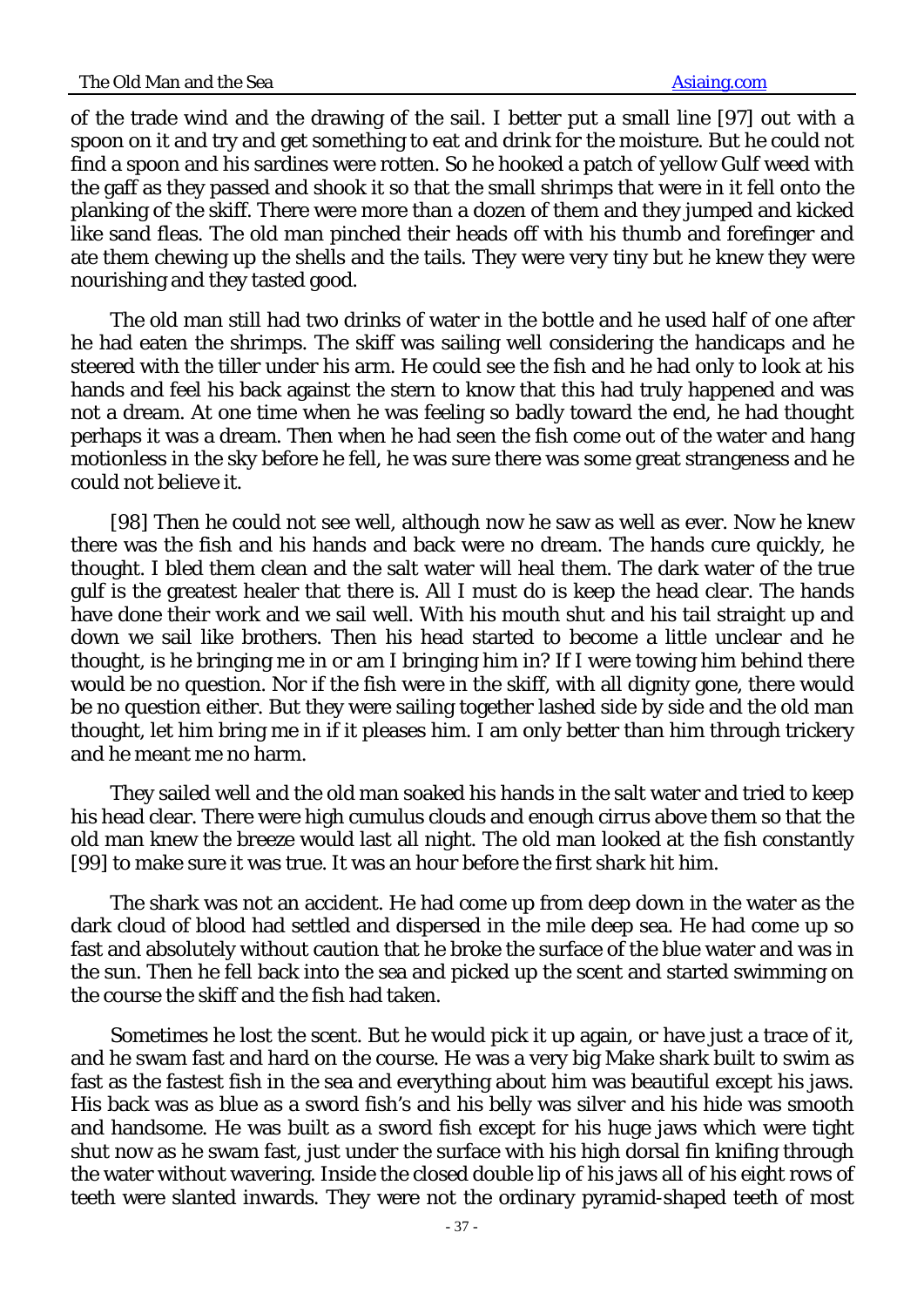of the trade wind and the drawing of the sail. I better put a small line [97] out with a spoon on it and try and get something to eat and drink for the moisture. But he could not find a spoon and his sardines were rotten. So he hooked a patch of yellow Gulf weed with the gaff as they passed and shook it so that the small shrimps that were in it fell onto the planking of the skiff. There were more than a dozen of them and they jumped and kicked like sand fleas. The old man pinched their heads off with his thumb and forefinger and ate them chewing up the shells and the tails. They were very tiny but he knew they were nourishing and they tasted good.

The old man still had two drinks of water in the bottle and he used half of one after he had eaten the shrimps. The skiff was sailing well considering the handicaps and he steered with the tiller under his arm. He could see the fish and he had only to look at his hands and feel his back against the stern to know that this had truly happened and was not a dream. At one time when he was feeling so badly toward the end, he had thought perhaps it was a dream. Then when he had seen the fish come out of the water and hang motionless in the sky before he fell, he was sure there was some great strangeness and he could not believe it.

[98] Then he could not see well, although now he saw as well as ever. Now he knew there was the fish and his hands and back were no dream. The hands cure quickly, he thought. I bled them clean and the salt water will heal them. The dark water of the true gulf is the greatest healer that there is. All I must do is keep the head clear. The hands have done their work and we sail well. With his mouth shut and his tail straight up and down we sail like brothers. Then his head started to become a little unclear and he thought, is he bringing me in or am I bringing him in? If I were towing him behind there would be no question. Nor if the fish were in the skiff, with all dignity gone, there would be no question either. But they were sailing together lashed side by side and the old man thought, let him bring me in if it pleases him. I am only better than him through trickery and he meant me no harm.

They sailed well and the old man soaked his hands in the salt water and tried to keep his head clear. There were high cumulus clouds and enough cirrus above them so that the old man knew the breeze would last all night. The old man looked at the fish constantly [99] to make sure it was true. It was an hour before the first shark hit him.

The shark was not an accident. He had come up from deep down in the water as the dark cloud of blood had settled and dispersed in the mile deep sea. He had come up so fast and absolutely without caution that he broke the surface of the blue water and was in the sun. Then he fell back into the sea and picked up the scent and started swimming on the course the skiff and the fish had taken.

Sometimes he lost the scent. But he would pick it up again, or have just a trace of it, and he swam fast and hard on the course. He was a very big Make shark built to swim as fast as the fastest fish in the sea and everything about him was beautiful except his jaws. His back was as blue as a sword fish's and his belly was silver and his hide was smooth and handsome. He was built as a sword fish except for his huge jaws which were tight shut now as he swam fast, just under the surface with his high dorsal fin knifing through the water without wavering. Inside the closed double lip of his jaws all of his eight rows of teeth were slanted inwards. They were not the ordinary pyramid-shaped teeth of most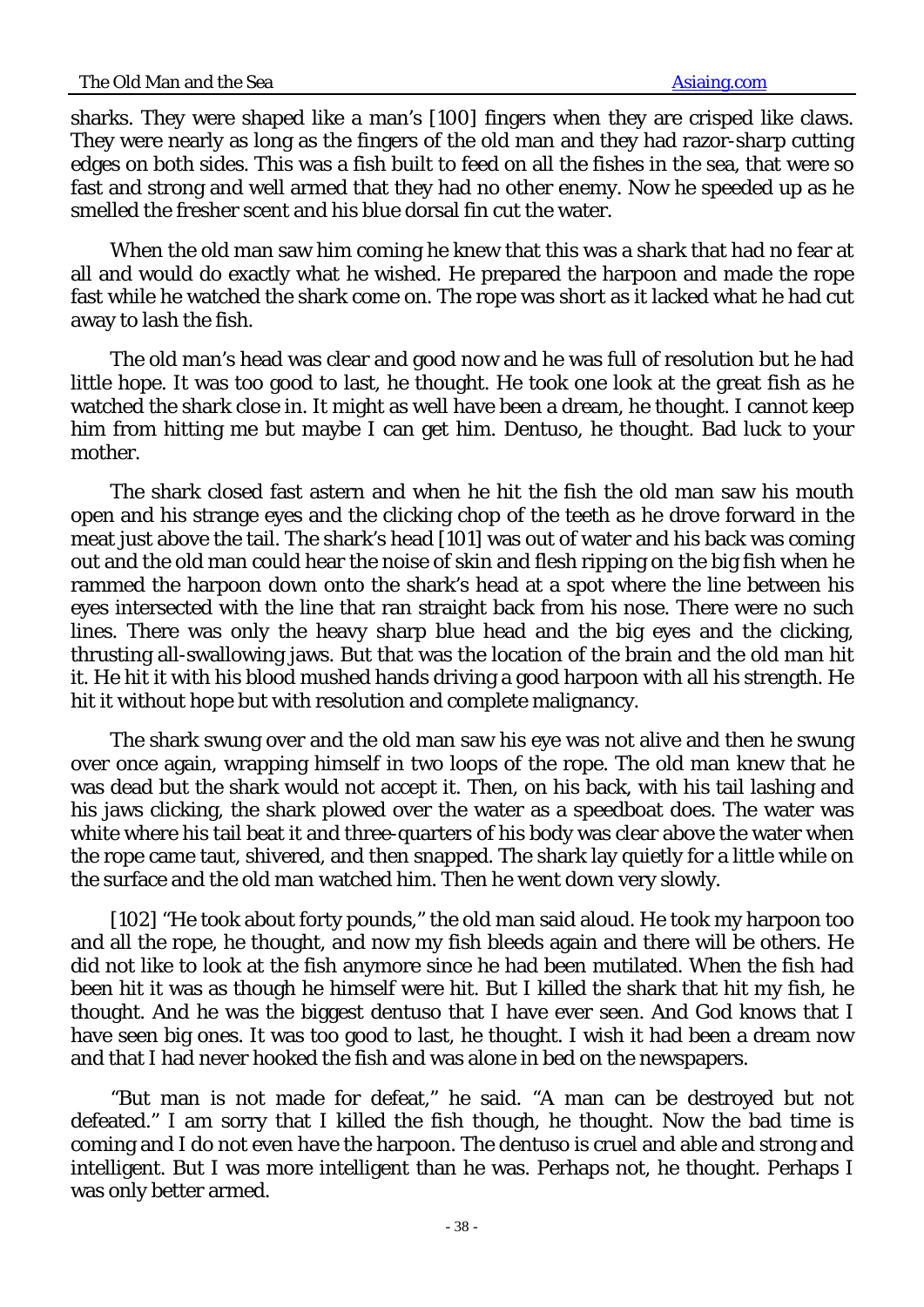sharks. They were shaped like a man's [100] fingers when they are crisped like claws. They were nearly as long as the fingers of the old man and they had razor-sharp cutting edges on both sides. This was a fish built to feed on all the fishes in the sea, that were so fast and strong and well armed that they had no other enemy. Now he speeded up as he smelled the fresher scent and his blue dorsal fin cut the water.

When the old man saw him coming he knew that this was a shark that had no fear at all and would do exactly what he wished. He prepared the harpoon and made the rope fast while he watched the shark come on. The rope was short as it lacked what he had cut away to lash the fish.

The old man's head was clear and good now and he was full of resolution but he had little hope. It was too good to last, he thought. He took one look at the great fish as he watched the shark close in. It might as well have been a dream, he thought. I cannot keep him from hitting me but maybe I can get him. Dentuso, he thought. Bad luck to your mother.

The shark closed fast astern and when he hit the fish the old man saw his mouth open and his strange eyes and the clicking chop of the teeth as he drove forward in the meat just above the tail. The shark's head [101] was out of water and his back was coming out and the old man could hear the noise of skin and flesh ripping on the big fish when he rammed the harpoon down onto the shark's head at a spot where the line between his eyes intersected with the line that ran straight back from his nose. There were no such lines. There was only the heavy sharp blue head and the big eyes and the clicking, thrusting all-swallowing jaws. But that was the location of the brain and the old man hit it. He hit it with his blood mushed hands driving a good harpoon with all his strength. He hit it without hope but with resolution and complete malignancy.

The shark swung over and the old man saw his eye was not alive and then he swung over once again, wrapping himself in two loops of the rope. The old man knew that he was dead but the shark would not accept it. Then, on his back, with his tail lashing and his jaws clicking, the shark plowed over the water as a speedboat does. The water was white where his tail beat it and three-quarters of his body was clear above the water when the rope came taut, shivered, and then snapped. The shark lay quietly for a little while on the surface and the old man watched him. Then he went down very slowly.

[102] "He took about forty pounds," the old man said aloud. He took my harpoon too and all the rope, he thought, and now my fish bleeds again and there will be others. He did not like to look at the fish anymore since he had been mutilated. When the fish had been hit it was as though he himself were hit. But I killed the shark that hit my fish, he thought. And he was the biggest dentuso that I have ever seen. And God knows that I have seen big ones. It was too good to last, he thought. I wish it had been a dream now and that I had never hooked the fish and was alone in bed on the newspapers.

"But man is not made for defeat," he said. "A man can be destroyed but not defeated." I am sorry that I killed the fish though, he thought. Now the bad time is coming and I do not even have the harpoon. The dentuso is cruel and able and strong and intelligent. But I was more intelligent than he was. Perhaps not, he thought. Perhaps I was only better armed.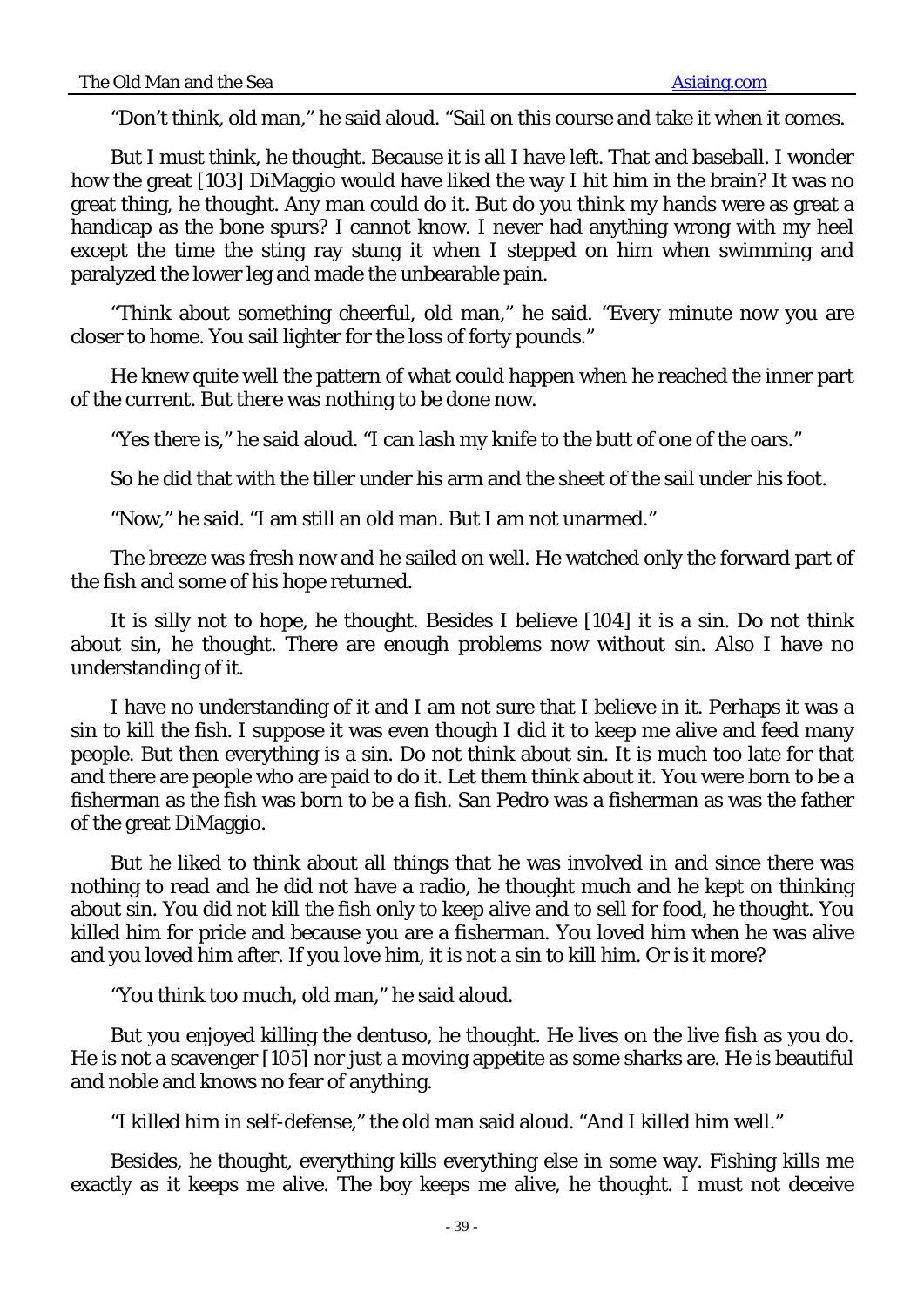"Don't think, old man," he said aloud. "Sail on this course and take it when it comes.

But I must think, he thought. Because it is all I have left. That and baseball. I wonder how the great [103] DiMaggio would have liked the way I hit him in the brain? It was no great thing, he thought. Any man could do it. But do you think my hands were as great a handicap as the bone spurs? I cannot know. I never had anything wrong with my heel except the time the sting ray stung it when I stepped on him when swimming and paralyzed the lower leg and made the unbearable pain.

"Think about something cheerful, old man," he said. "Every minute now you are closer to home. You sail lighter for the loss of forty pounds."

He knew quite well the pattern of what could happen when he reached the inner part of the current. But there was nothing to be done now.

"Yes there is," he said aloud. "I can lash my knife to the butt of one of the oars."

So he did that with the tiller under his arm and the sheet of the sail under his foot.

"Now," he said. "I am still an old man. But I am not unarmed."

The breeze was fresh now and he sailed on well. He watched only the forward part of the fish and some of his hope returned.

It is silly not to hope, he thought. Besides I believe [104] it is a sin. Do not think about sin, he thought. There are enough problems now without sin. Also I have no understanding of it.

I have no understanding of it and I am not sure that I believe in it. Perhaps it was a sin to kill the fish. I suppose it was even though I did it to keep me alive and feed many people. But then everything is a sin. Do not think about sin. It is much too late for that and there are people who are paid to do it. Let them think about it. You were born to be a fisherman as the fish was born to be a fish. San Pedro was a fisherman as was the father of the great DiMaggio.

But he liked to think about all things that he was involved in and since there was nothing to read and he did not have a radio, he thought much and he kept on thinking about sin. You did not kill the fish only to keep alive and to sell for food, he thought. You killed him for pride and because you are a fisherman. You loved him when he was alive and you loved him after. If you love him, it is not a sin to kill him. Or is it more?

"You think too much, old man," he said aloud.

But you enjoyed killing the dentuso, he thought. He lives on the live fish as you do. He is not a scavenger [105] nor just a moving appetite as some sharks are. He is beautiful and noble and knows no fear of anything.

"I killed him in self-defense," the old man said aloud. "And I killed him well."

Besides, he thought, everything kills everything else in some way. Fishing kills me exactly as it keeps me alive. The boy keeps me alive, he thought. I must not deceive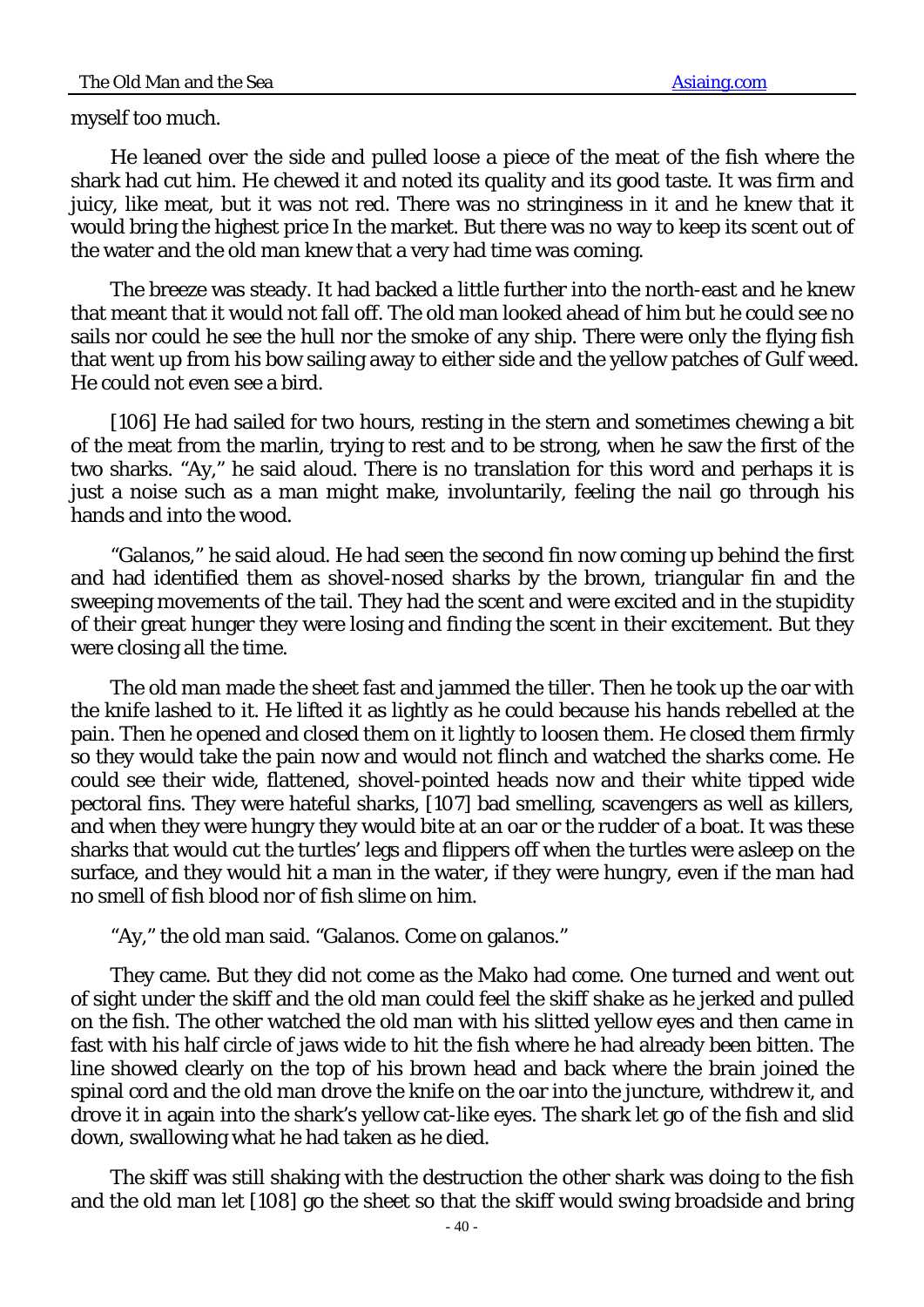myself too much.

He leaned over the side and pulled loose a piece of the meat of the fish where the shark had cut him. He chewed it and noted its quality and its good taste. It was firm and juicy, like meat, but it was not red. There was no stringiness in it and he knew that it would bring the highest price In the market. But there was no way to keep its scent out of the water and the old man knew that a very had time was coming.

The breeze was steady. It had backed a little further into the north-east and he knew that meant that it would not fall off. The old man looked ahead of him but he could see no sails nor could he see the hull nor the smoke of any ship. There were only the flying fish that went up from his bow sailing away to either side and the yellow patches of Gulf weed. He could not even see a bird.

[106] He had sailed for two hours, resting in the stern and sometimes chewing a bit of the meat from the marlin, trying to rest and to be strong, when he saw the first of the two sharks. "Ay," he said aloud. There is no translation for this word and perhaps it is just a noise such as a man might make, involuntarily, feeling the nail go through his hands and into the wood.

"Galanos," he said aloud. He had seen the second fin now coming up behind the first and had identified them as shovel-nosed sharks by the brown, triangular fin and the sweeping movements of the tail. They had the scent and were excited and in the stupidity of their great hunger they were losing and finding the scent in their excitement. But they were closing all the time.

The old man made the sheet fast and jammed the tiller. Then he took up the oar with the knife lashed to it. He lifted it as lightly as he could because his hands rebelled at the pain. Then he opened and closed them on it lightly to loosen them. He closed them firmly so they would take the pain now and would not flinch and watched the sharks come. He could see their wide, flattened, shovel-pointed heads now and their white tipped wide pectoral fins. They were hateful sharks, [107] bad smelling, scavengers as well as killers, and when they were hungry they would bite at an oar or the rudder of a boat. It was these sharks that would cut the turtles' legs and flippers off when the turtles were asleep on the surface, and they would hit a man in the water, if they were hungry, even if the man had no smell of fish blood nor of fish slime on him.

"Ay," the old man said. "Galanos. Come on galanos."

They came. But they did not come as the Mako had come. One turned and went out of sight under the skiff and the old man could feel the skiff shake as he jerked and pulled on the fish. The other watched the old man with his slitted yellow eyes and then came in fast with his half circle of jaws wide to hit the fish where he had already been bitten. The line showed clearly on the top of his brown head and back where the brain joined the spinal cord and the old man drove the knife on the oar into the juncture, withdrew it, and drove it in again into the shark's yellow cat-like eyes. The shark let go of the fish and slid down, swallowing what he had taken as he died.

The skiff was still shaking with the destruction the other shark was doing to the fish and the old man let [108] go the sheet so that the skiff would swing broadside and bring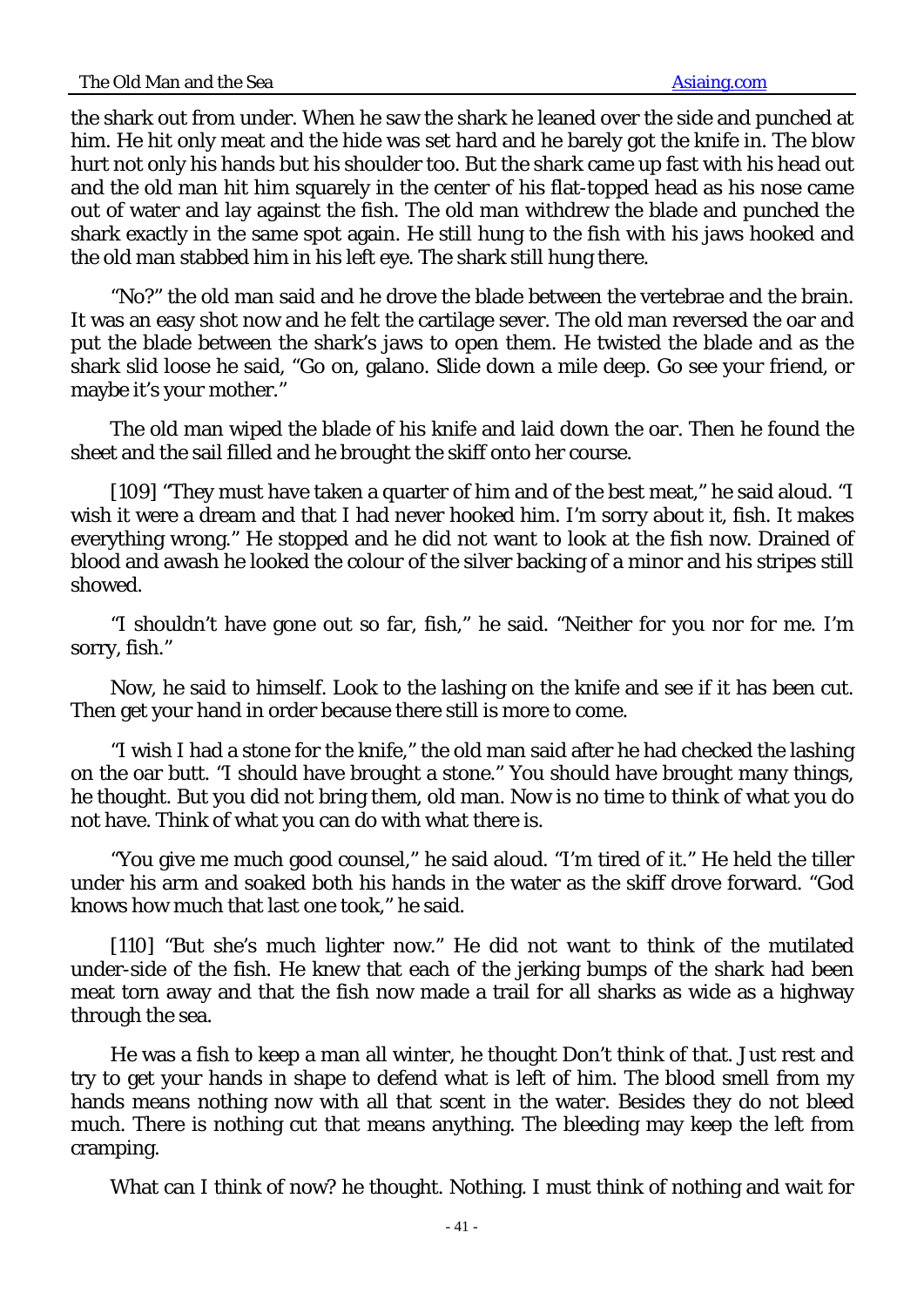the shark out from under. When he saw the shark he leaned over the side and punched at him. He hit only meat and the hide was set hard and he barely got the knife in. The blow hurt not only his hands but his shoulder too. But the shark came up fast with his head out and the old man hit him squarely in the center of his flat-topped head as his nose came out of water and lay against the fish. The old man withdrew the blade and punched the shark exactly in the same spot again. He still hung to the fish with his jaws hooked and the old man stabbed him in his left eye. The shark still hung there.

"No?" the old man said and he drove the blade between the vertebrae and the brain. It was an easy shot now and he felt the cartilage sever. The old man reversed the oar and put the blade between the shark's jaws to open them. He twisted the blade and as the shark slid loose he said, "Go on, galano. Slide down a mile deep. Go see your friend, or maybe it's your mother."

The old man wiped the blade of his knife and laid down the oar. Then he found the sheet and the sail filled and he brought the skiff onto her course.

[109] "They must have taken a quarter of him and of the best meat," he said aloud. "I wish it were a dream and that I had never hooked him. I'm sorry about it, fish. It makes everything wrong." He stopped and he did not want to look at the fish now. Drained of blood and awash he looked the colour of the silver backing of a minor and his stripes still showed.

"I shouldn't have gone out so far, fish," he said. "Neither for you nor for me. I'm sorry, fish."

Now, he said to himself. Look to the lashing on the knife and see if it has been cut. Then get your hand in order because there still is more to come.

"I wish I had a stone for the knife," the old man said after he had checked the lashing on the oar butt. "I should have brought a stone." You should have brought many things, he thought. But you did not bring them, old man. Now is no time to think of what you do not have. Think of what you can do with what there is.

"You give me much good counsel," he said aloud. "I'm tired of it." He held the tiller under his arm and soaked both his hands in the water as the skiff drove forward. "God knows how much that last one took," he said.

[110] "But she's much lighter now." He did not want to think of the mutilated under-side of the fish. He knew that each of the jerking bumps of the shark had been meat torn away and that the fish now made a trail for all sharks as wide as a highway through the sea.

He was a fish to keep a man all winter, he thought Don't think of that. Just rest and try to get your hands in shape to defend what is left of him. The blood smell from my hands means nothing now with all that scent in the water. Besides they do not bleed much. There is nothing cut that means anything. The bleeding may keep the left from cramping.

What can I think of now? he thought. Nothing. I must think of nothing and wait for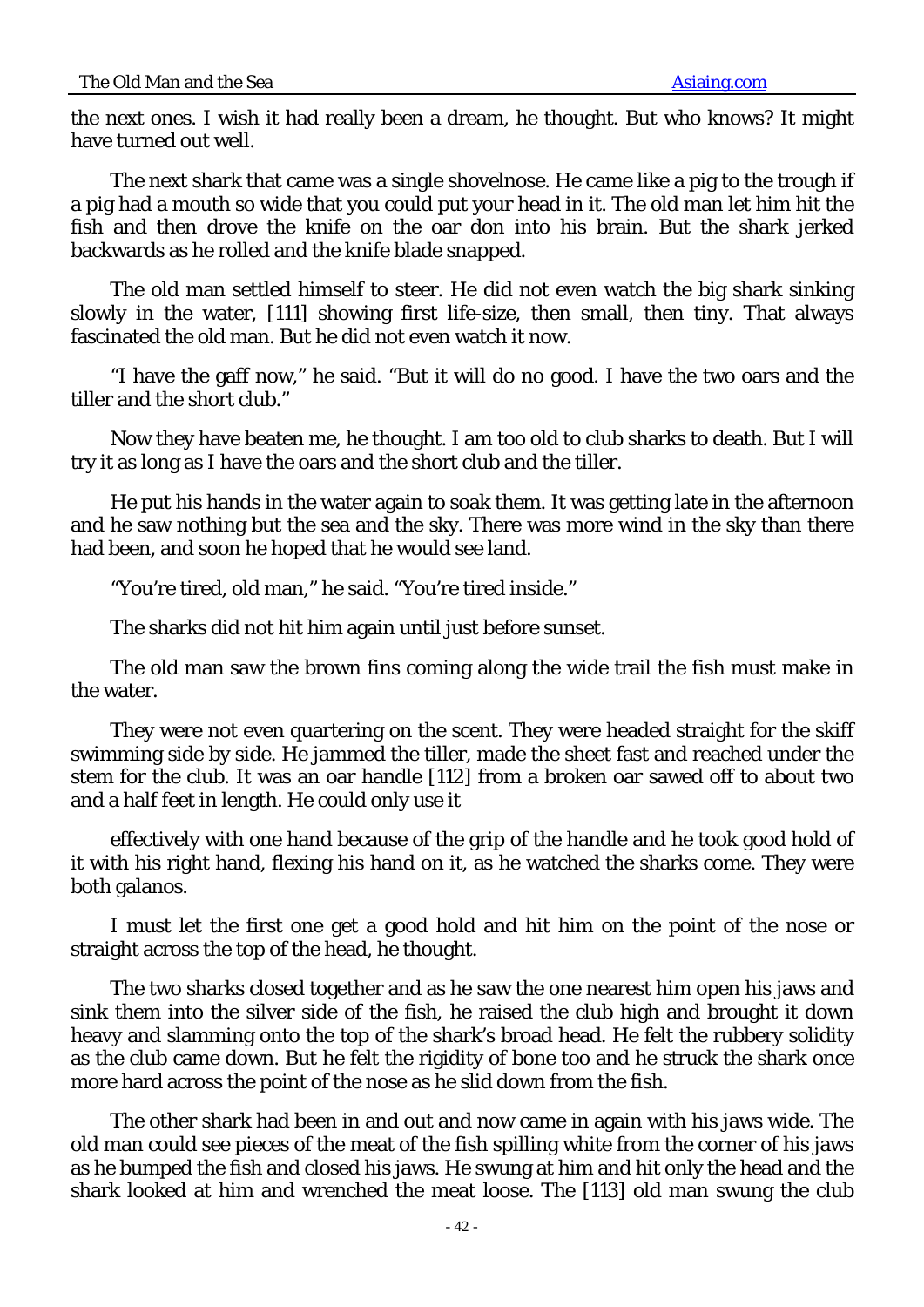the next ones. I wish it had really been a dream, he thought. But who knows? It might have turned out well.

The next shark that came was a single shovelnose. He came like a pig to the trough if a pig had a mouth so wide that you could put your head in it. The old man let him hit the fish and then drove the knife on the oar don into his brain. But the shark jerked backwards as he rolled and the knife blade snapped.

The old man settled himself to steer. He did not even watch the big shark sinking slowly in the water, [111] showing first life-size, then small, then tiny. That always fascinated the old man. But he did not even watch it now.

"I have the gaff now," he said. "But it will do no good. I have the two oars and the tiller and the short club."

Now they have beaten me, he thought. I am too old to club sharks to death. But I will try it as long as I have the oars and the short club and the tiller.

He put his hands in the water again to soak them. It was getting late in the afternoon and he saw nothing but the sea and the sky. There was more wind in the sky than there had been, and soon he hoped that he would see land.

"You're tired, old man," he said. "You're tired inside."

The sharks did not hit him again until just before sunset.

The old man saw the brown fins coming along the wide trail the fish must make in the water.

They were not even quartering on the scent. They were headed straight for the skiff swimming side by side. He jammed the tiller, made the sheet fast and reached under the stem for the club. It was an oar handle [112] from a broken oar sawed off to about two and a half feet in length. He could only use it

effectively with one hand because of the grip of the handle and he took good hold of it with his right hand, flexing his hand on it, as he watched the sharks come. They were both galanos.

I must let the first one get a good hold and hit him on the point of the nose or straight across the top of the head, he thought.

The two sharks closed together and as he saw the one nearest him open his jaws and sink them into the silver side of the fish, he raised the club high and brought it down heavy and slamming onto the top of the shark's broad head. He felt the rubbery solidity as the club came down. But he felt the rigidity of bone too and he struck the shark once more hard across the point of the nose as he slid down from the fish.

The other shark had been in and out and now came in again with his jaws wide. The old man could see pieces of the meat of the fish spilling white from the corner of his jaws as he bumped the fish and closed his jaws. He swung at him and hit only the head and the shark looked at him and wrenched the meat loose. The [113] old man swung the club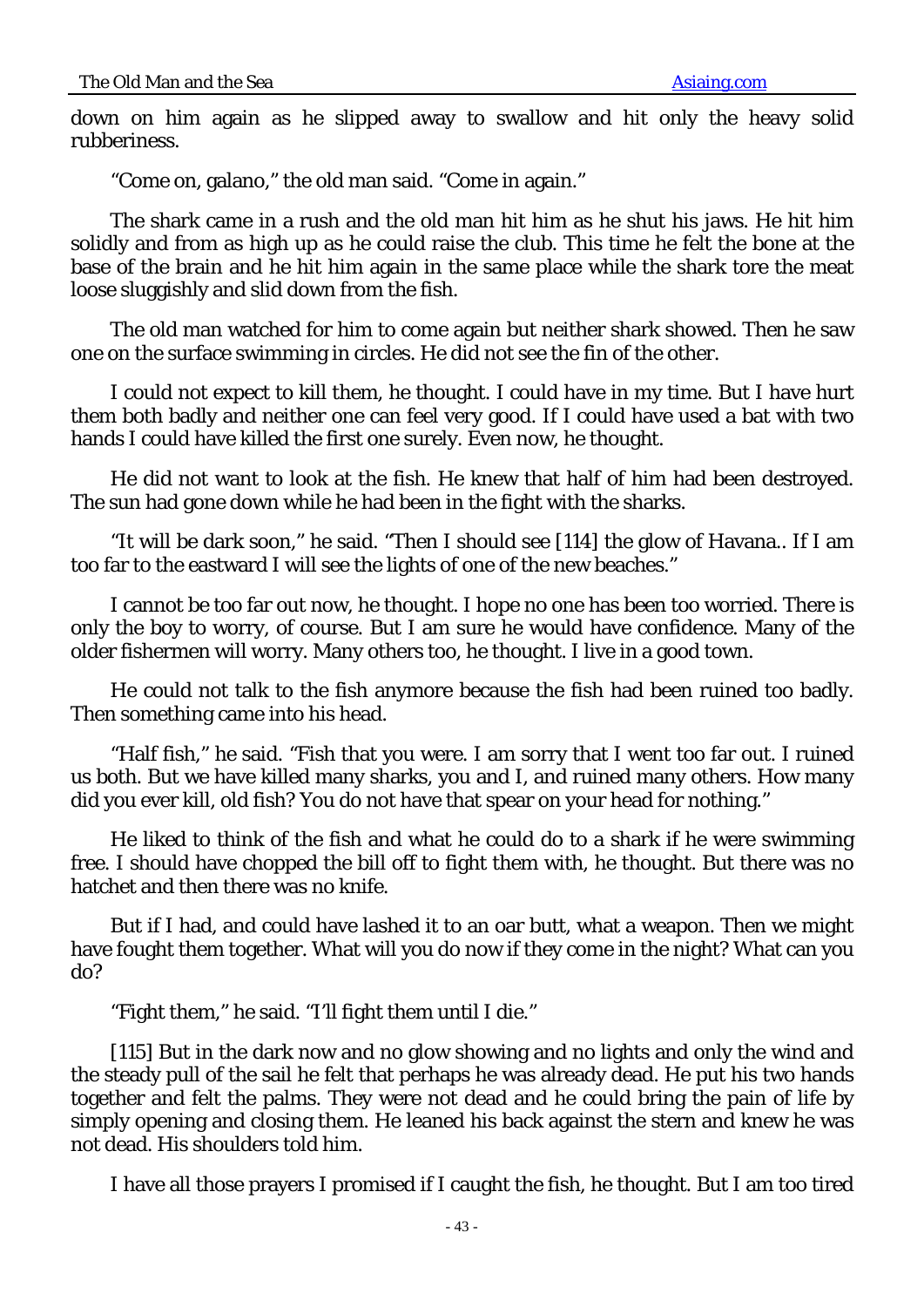down on him again as he slipped away to swallow and hit only the heavy solid rubberiness.

"Come on, galano," the old man said. "Come in again."

The shark came in a rush and the old man hit him as he shut his jaws. He hit him solidly and from as high up as he could raise the club. This time he felt the bone at the base of the brain and he hit him again in the same place while the shark tore the meat loose sluggishly and slid down from the fish.

The old man watched for him to come again but neither shark showed. Then he saw one on the surface swimming in circles. He did not see the fin of the other.

I could not expect to kill them, he thought. I could have in my time. But I have hurt them both badly and neither one can feel very good. If I could have used a bat with two hands I could have killed the first one surely. Even now, he thought.

He did not want to look at the fish. He knew that half of him had been destroyed. The sun had gone down while he had been in the fight with the sharks.

"It will be dark soon," he said. "Then I should see [114] the glow of Havana.. If I am too far to the eastward I will see the lights of one of the new beaches."

I cannot be too far out now, he thought. I hope no one has been too worried. There is only the boy to worry, of course. But I am sure he would have confidence. Many of the older fishermen will worry. Many others too, he thought. I live in a good town.

He could not talk to the fish anymore because the fish had been ruined too badly. Then something came into his head.

"Half fish," he said. "Fish that you were. I am sorry that I went too far out. I ruined us both. But we have killed many sharks, you and I, and ruined many others. How many did you ever kill, old fish? You do not have that spear on your head for nothing."

He liked to think of the fish and what he could do to a shark if he were swimming free. I should have chopped the bill off to fight them with, he thought. But there was no hatchet and then there was no knife.

But if I had, and could have lashed it to an oar butt, what a weapon. Then we might have fought them together. What will you do now if they come in the night? What can you do?

"Fight them," he said. "I'll fight them until I die."

[115] But in the dark now and no glow showing and no lights and only the wind and the steady pull of the sail he felt that perhaps he was already dead. He put his two hands together and felt the palms. They were not dead and he could bring the pain of life by simply opening and closing them. He leaned his back against the stern and knew he was not dead. His shoulders told him.

I have all those prayers I promised if I caught the fish, he thought. But I am too tired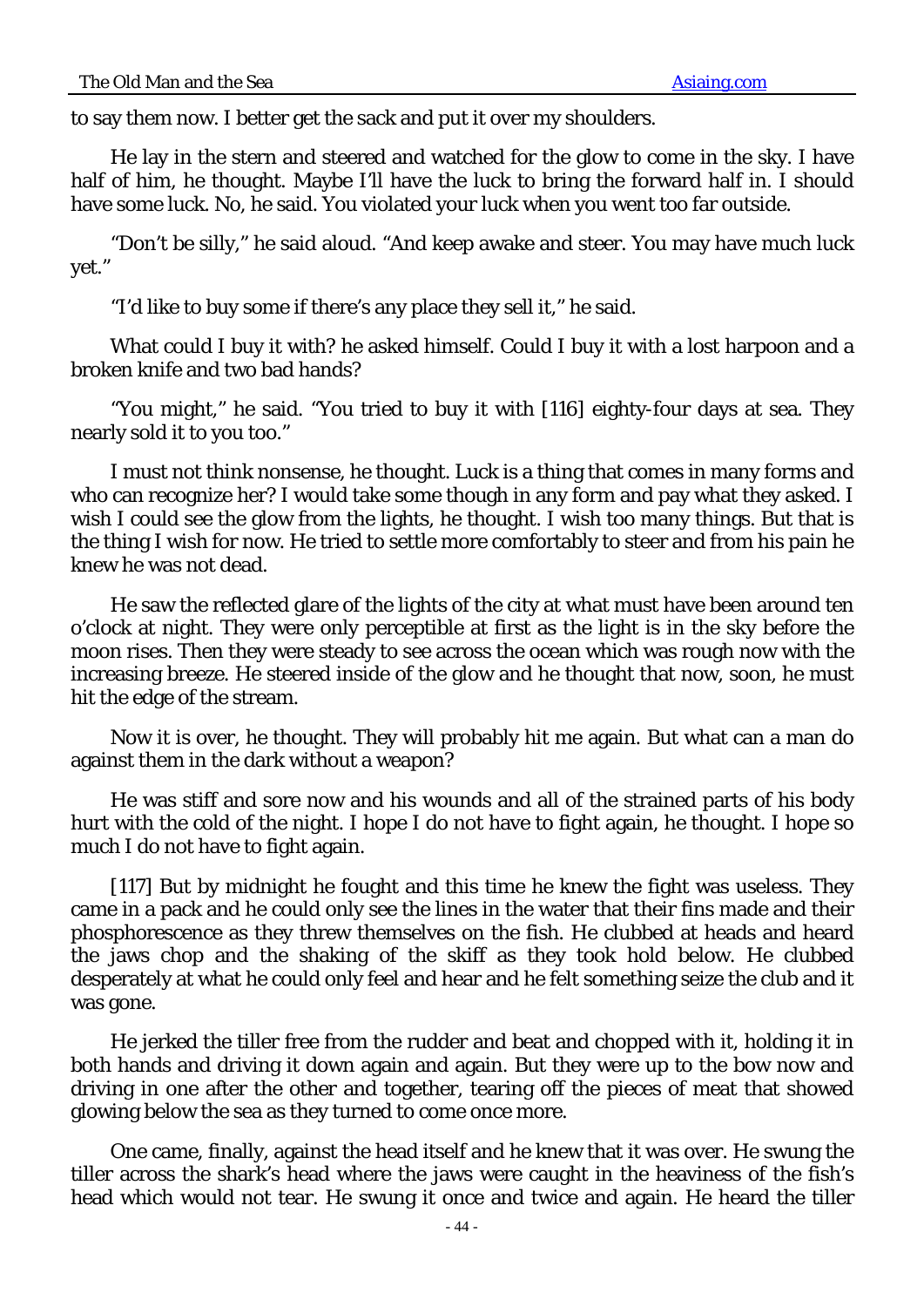to say them now. I better get the sack and put it over my shoulders.

He lay in the stern and steered and watched for the glow to come in the sky. I have half of him, he thought. Maybe I'll have the luck to bring the forward half in. I should have some luck. No, he said. You violated your luck when you went too far outside.

"Don't be silly," he said aloud. "And keep awake and steer. You may have much luck yet."

"I'd like to buy some if there's any place they sell it," he said.

What could I buy it with? he asked himself. Could I buy it with a lost harpoon and a broken knife and two bad hands?

"You might," he said. "You tried to buy it with [116] eighty-four days at sea. They nearly sold it to you too."

I must not think nonsense, he thought. Luck is a thing that comes in many forms and who can recognize her? I would take some though in any form and pay what they asked. I wish I could see the glow from the lights, he thought. I wish too many things. But that is the thing I wish for now. He tried to settle more comfortably to steer and from his pain he knew he was not dead.

He saw the reflected glare of the lights of the city at what must have been around ten o'clock at night. They were only perceptible at first as the light is in the sky before the moon rises. Then they were steady to see across the ocean which was rough now with the increasing breeze. He steered inside of the glow and he thought that now, soon, he must hit the edge of the stream.

Now it is over, he thought. They will probably hit me again. But what can a man do against them in the dark without a weapon?

He was stiff and sore now and his wounds and all of the strained parts of his body hurt with the cold of the night. I hope I do not have to fight again, he thought. I hope so much I do not have to fight again.

[117] But by midnight he fought and this time he knew the fight was useless. They came in a pack and he could only see the lines in the water that their fins made and their phosphorescence as they threw themselves on the fish. He clubbed at heads and heard the jaws chop and the shaking of the skiff as they took hold below. He clubbed desperately at what he could only feel and hear and he felt something seize the club and it was gone.

He jerked the tiller free from the rudder and beat and chopped with it, holding it in both hands and driving it down again and again. But they were up to the bow now and driving in one after the other and together, tearing off the pieces of meat that showed glowing below the sea as they turned to come once more.

One came, finally, against the head itself and he knew that it was over. He swung the tiller across the shark's head where the jaws were caught in the heaviness of the fish's head which would not tear. He swung it once and twice and again. He heard the tiller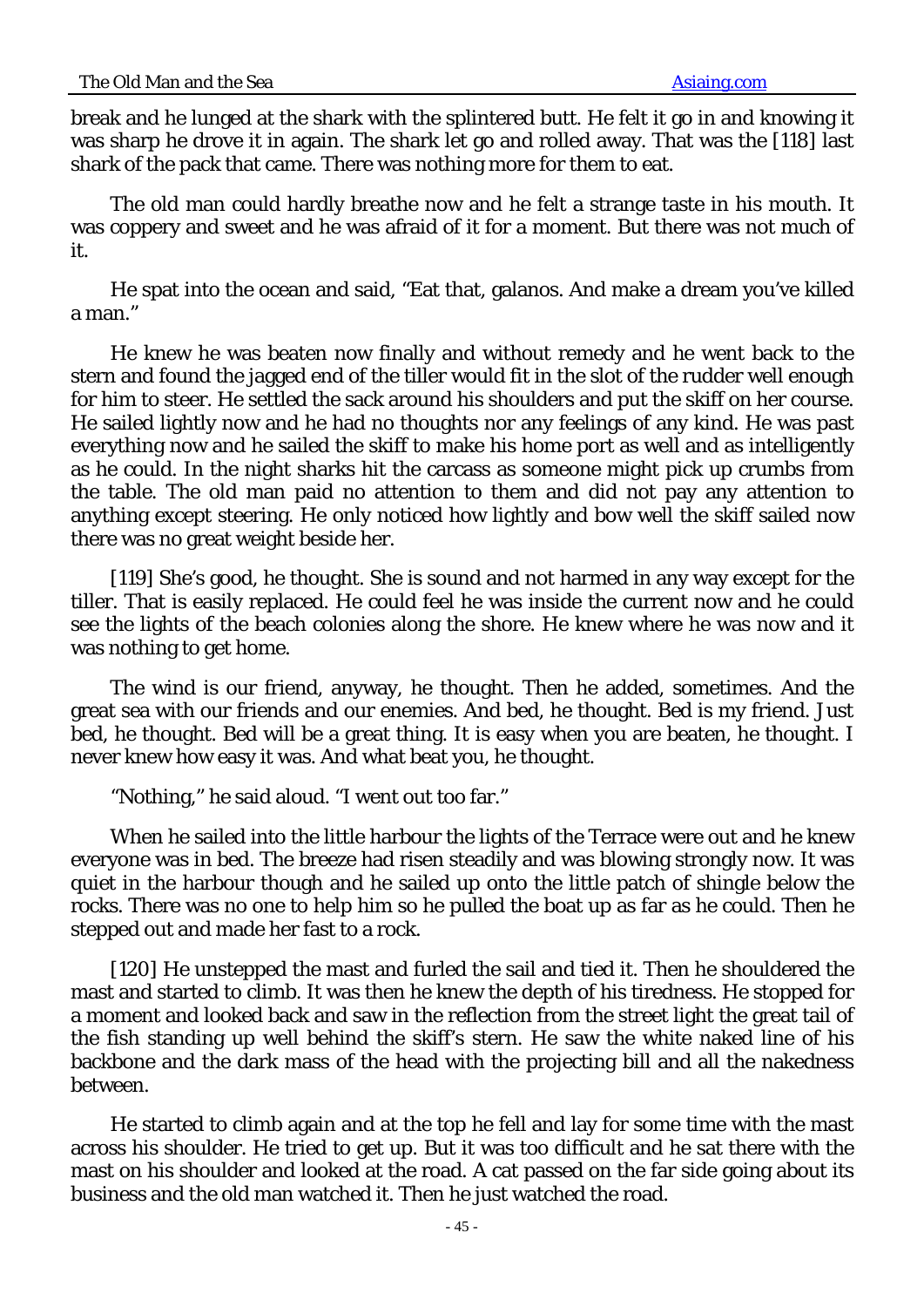break and he lunged at the shark with the splintered butt. He felt it go in and knowing it was sharp he drove it in again. The shark let go and rolled away. That was the [118] last shark of the pack that came. There was nothing more for them to eat.

The old man could hardly breathe now and he felt a strange taste in his mouth. It was coppery and sweet and he was afraid of it for a moment. But there was not much of it.

He spat into the ocean and said, "Eat that, galanos. And make a dream you've killed a man."

He knew he was beaten now finally and without remedy and he went back to the stern and found the jagged end of the tiller would fit in the slot of the rudder well enough for him to steer. He settled the sack around his shoulders and put the skiff on her course. He sailed lightly now and he had no thoughts nor any feelings of any kind. He was past everything now and he sailed the skiff to make his home port as well and as intelligently as he could. In the night sharks hit the carcass as someone might pick up crumbs from the table. The old man paid no attention to them and did not pay any attention to anything except steering. He only noticed how lightly and bow well the skiff sailed now there was no great weight beside her.

[119] She's good, he thought. She is sound and not harmed in any way except for the tiller. That is easily replaced. He could feel he was inside the current now and he could see the lights of the beach colonies along the shore. He knew where he was now and it was nothing to get home.

The wind is our friend, anyway, he thought. Then he added, sometimes. And the great sea with our friends and our enemies. And bed, he thought. Bed is my friend. Just bed, he thought. Bed will be a great thing. It is easy when you are beaten, he thought. I never knew how easy it was. And what beat you, he thought.

"Nothing," he said aloud. "I went out too far."

When he sailed into the little harbour the lights of the Terrace were out and he knew everyone was in bed. The breeze had risen steadily and was blowing strongly now. It was quiet in the harbour though and he sailed up onto the little patch of shingle below the rocks. There was no one to help him so he pulled the boat up as far as he could. Then he stepped out and made her fast to a rock.

[120] He unstepped the mast and furled the sail and tied it. Then he shouldered the mast and started to climb. It was then he knew the depth of his tiredness. He stopped for a moment and looked back and saw in the reflection from the street light the great tail of the fish standing up well behind the skiff's stern. He saw the white naked line of his backbone and the dark mass of the head with the projecting bill and all the nakedness between.

He started to climb again and at the top he fell and lay for some time with the mast across his shoulder. He tried to get up. But it was too difficult and he sat there with the mast on his shoulder and looked at the road. A cat passed on the far side going about its business and the old man watched it. Then he just watched the road.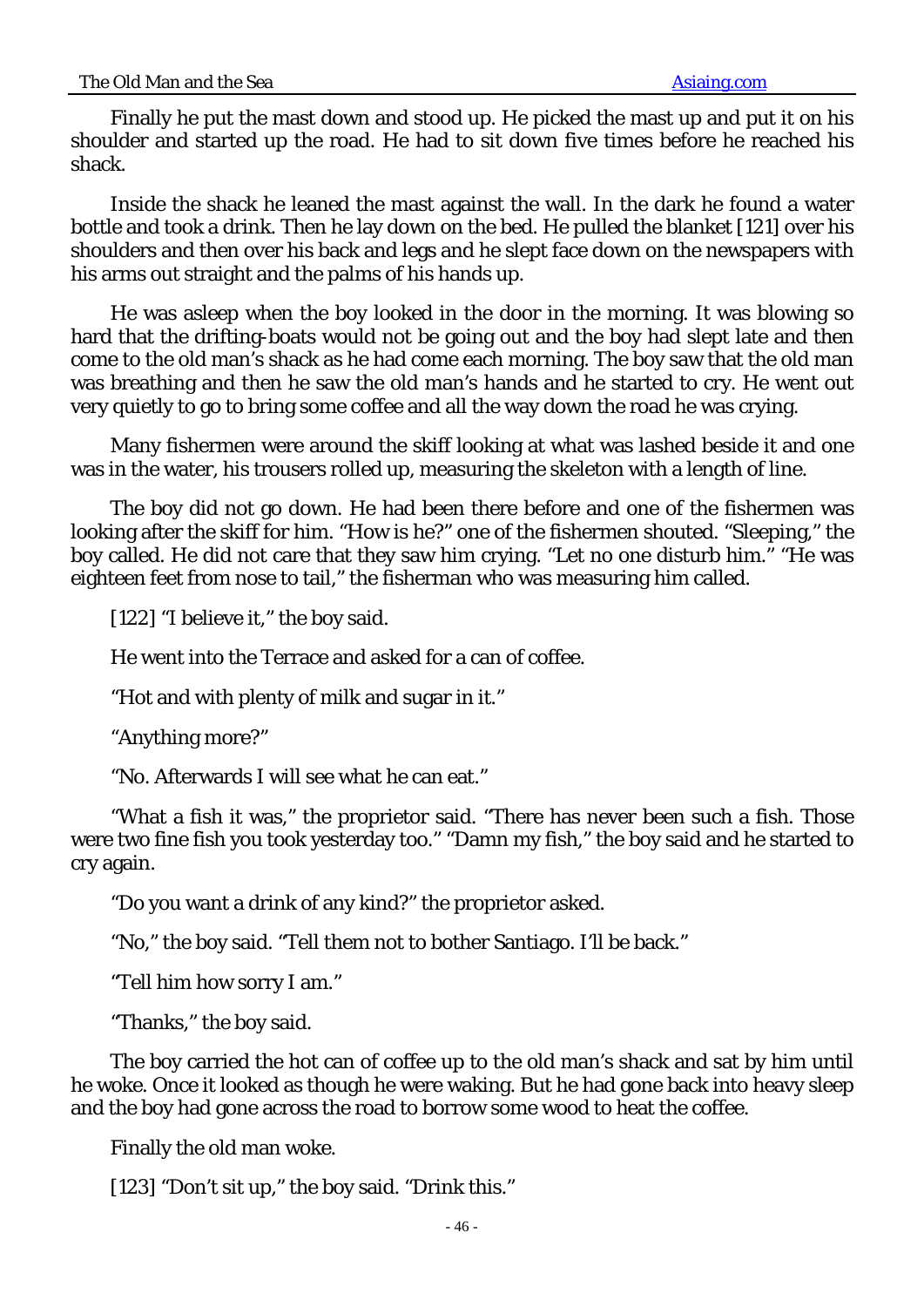Finally he put the mast down and stood up. He picked the mast up and put it on his shoulder and started up the road. He had to sit down five times before he reached his shack.

Inside the shack he leaned the mast against the wall. In the dark he found a water bottle and took a drink. Then he lay down on the bed. He pulled the blanket [121] over his shoulders and then over his back and legs and he slept face down on the newspapers with his arms out straight and the palms of his hands up.

He was asleep when the boy looked in the door in the morning. It was blowing so hard that the drifting-boats would not be going out and the boy had slept late and then come to the old man's shack as he had come each morning. The boy saw that the old man was breathing and then he saw the old man's hands and he started to cry. He went out very quietly to go to bring some coffee and all the way down the road he was crying.

Many fishermen were around the skiff looking at what was lashed beside it and one was in the water, his trousers rolled up, measuring the skeleton with a length of line.

The boy did not go down. He had been there before and one of the fishermen was looking after the skiff for him. "How is he?" one of the fishermen shouted. "Sleeping," the boy called. He did not care that they saw him crying. "Let no one disturb him." "He was eighteen feet from nose to tail," the fisherman who was measuring him called.

[122] "I believe it," the boy said.

He went into the Terrace and asked for a can of coffee.

"Hot and with plenty of milk and sugar in it."

"Anything more?"

"No. Afterwards I will see what he can eat."

"What a fish it was," the proprietor said. "There has never been such a fish. Those were two fine fish you took yesterday too." "Damn my fish," the boy said and he started to cry again.

"Do you want a drink of any kind?" the proprietor asked.

"No," the boy said. "Tell them not to bother Santiago. I'll be back."

"Tell him how sorry I am."

"Thanks," the boy said.

The boy carried the hot can of coffee up to the old man's shack and sat by him until he woke. Once it looked as though he were waking. But he had gone back into heavy sleep and the boy had gone across the road to borrow some wood to heat the coffee.

Finally the old man woke.

[123] "Don't sit up," the boy said. "Drink this."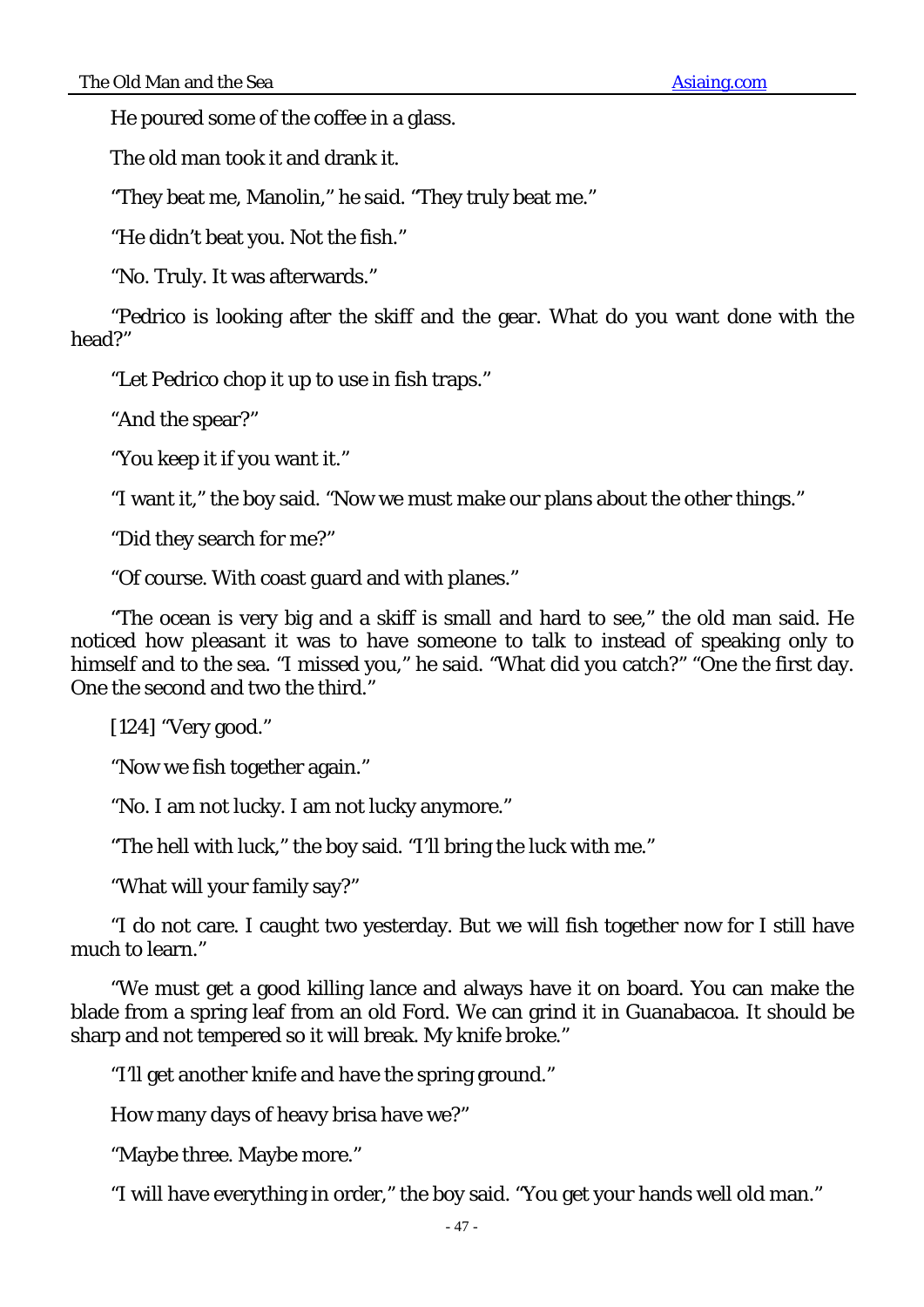He poured some of the coffee in a glass.

The old man took it and drank it.

"They beat me, Manolin," he said. "They truly beat me."

"He didn't beat you. Not the fish."

"No. Truly. It was afterwards."

"Pedrico is looking after the skiff and the gear. What do you want done with the head?"

"Let Pedrico chop it up to use in fish traps."

"And the spear?"

"You keep it if you want it."

"I want it," the boy said. "Now we must make our plans about the other things."

"Did they search for me?"

"Of course. With coast guard and with planes."

"The ocean is very big and a skiff is small and hard to see," the old man said. He noticed how pleasant it was to have someone to talk to instead of speaking only to himself and to the sea. "I missed you," he said. "What did you catch?" "One the first day. One the second and two the third."

[124] "Very good."

"Now we fish together again."

"No. I am not lucky. I am not lucky anymore."

"The hell with luck," the boy said. "I'll bring the luck with me."

"What will your family say?"

"I do not care. I caught two yesterday. But we will fish together now for I still have much to learn."

"We must get a good killing lance and always have it on board. You can make the blade from a spring leaf from an old Ford. We can grind it in Guanabacoa. It should be sharp and not tempered so it will break. My knife broke."

"I'll get another knife and have the spring ground."

How many days of heavy brisa have we?"

"Maybe three. Maybe more."

"I will have everything in order," the boy said. "You get your hands well old man."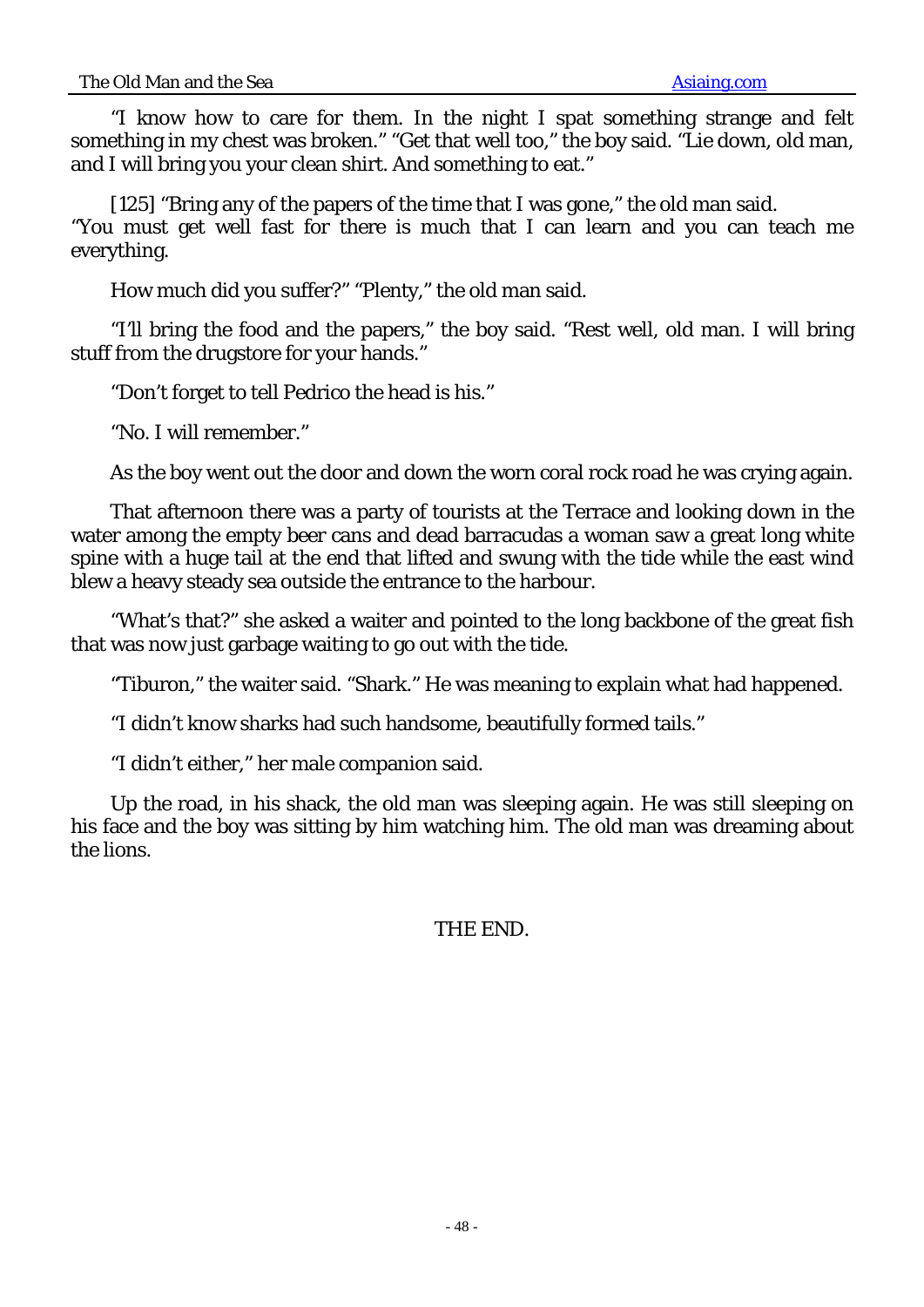"I know how to care for them. In the night I spat something strange and felt something in my chest was broken." "Get that well too," the boy said. "Lie down, old man, and I will bring you your clean shirt. And something to eat."

[125] "Bring any of the papers of the time that I was gone," the old man said. "You must get well fast for there is much that I can learn and you can teach me everything.

How much did you suffer?" "Plenty," the old man said.

"I'll bring the food and the papers," the boy said. "Rest well, old man. I will bring stuff from the drugstore for your hands."

"Don't forget to tell Pedrico the head is his."

"No. I will remember."

As the boy went out the door and down the worn coral rock road he was crying again.

That afternoon there was a party of tourists at the Terrace and looking down in the water among the empty beer cans and dead barracudas a woman saw a great long white spine with a huge tail at the end that lifted and swung with the tide while the east wind blew a heavy steady sea outside the entrance to the harbour.

"What's that?" she asked a waiter and pointed to the long backbone of the great fish that was now just garbage waiting to go out with the tide.

"Tiburon," the waiter said. "Shark." He was meaning to explain what had happened.

"I didn't know sharks had such handsome, beautifully formed tails."

"I didn't either," her male companion said.

Up the road, in his shack, the old man was sleeping again. He was still sleeping on his face and the boy was sitting by him watching him. The old man was dreaming about the lions.

THE END.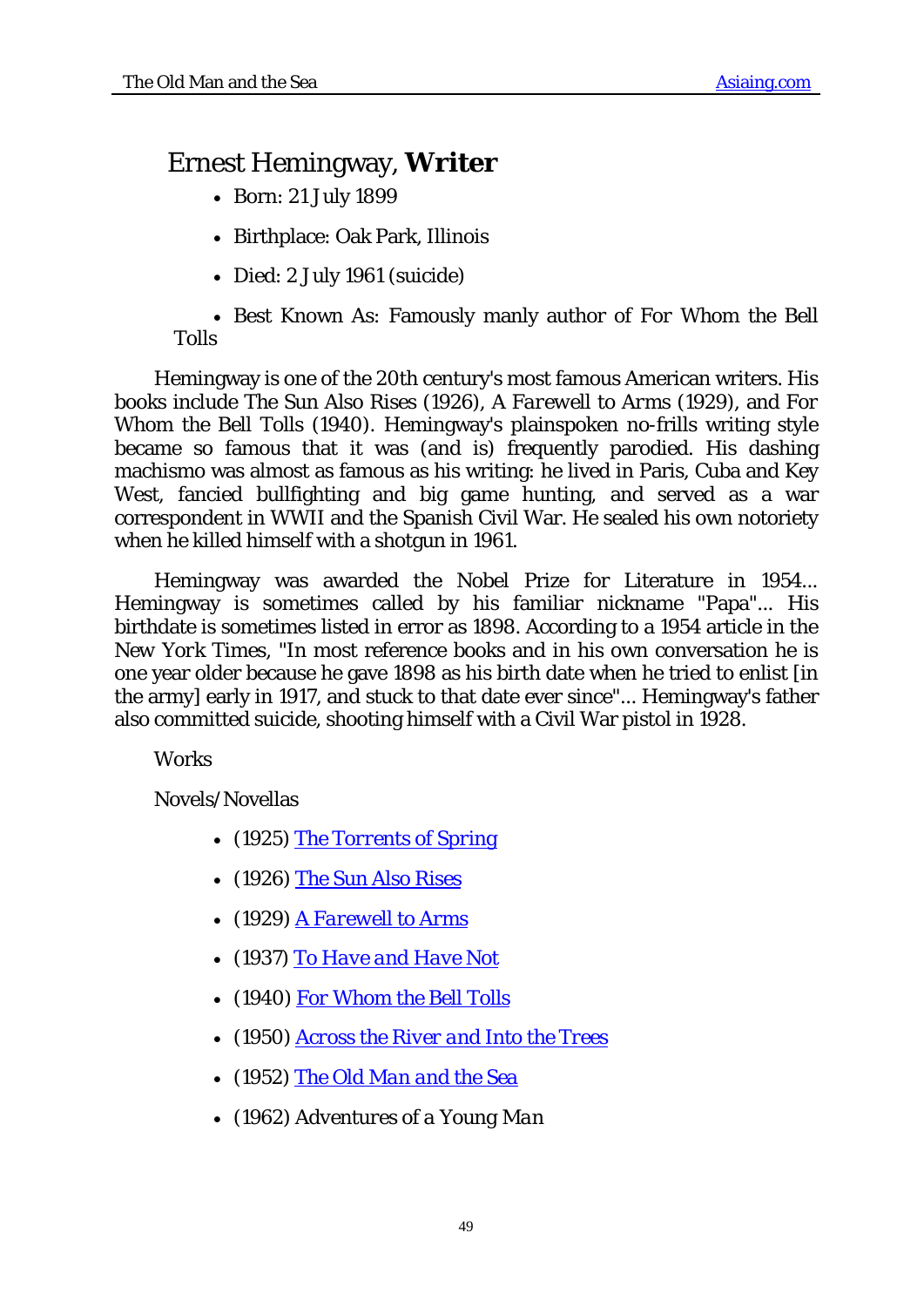#### Ernest Hemingway, **Writer**

- Born: 21 July 1899
- Birthplace: Oak Park, Illinois
- Died: 2 July 1961 (suicide)

• Best Known As: Famously manly author of *For Whom the Bell Tolls*

Hemingway is one of the 20th century's most famous American writers. His books include *The Sun Also Rises* (1926), *A Farewell to Arms* (1929), and *For Whom the Bell Tolls* (1940). Hemingway's plainspoken no-frills writing style became so famous that it was (and is) frequently parodied. His dashing machismo was almost as famous as his writing: he lived in Paris, Cuba and Key West, fancied bullfighting and big game hunting, and served as a war correspondent in WWII and the Spanish Civil War. He sealed his own notoriety when he killed himself with a shotgun in 1961.

Hemingway was awarded the Nobel Prize for Literature in 1954... Hemingway is sometimes called by his familiar nickname "Papa"... His birthdate is sometimes listed in error as 1898. According to a 1954 article in the *New York Times*, "In most reference books and in his own conversation he is one year older because he gave 1898 as his birth date when he tried to enlist [in the army] early in 1917, and stuck to that date ever since"... Hemingway's father also committed suicide, shooting himself with a Civil War pistol in 1928.

Works

Novels/Novellas

- (1925) *The Torrents of Spring*
- (1926) *The Sun Also Rises*
- (1929) *A Farewell to Arms*
- (1937) *To Have and Have Not*
- (1940) *For Whom the Bell Tolls*
- (1950) *Across the River and Into the Trees*
- (1952) *The Old Man and the Sea*
- (1962) *Adventures of a Young Man*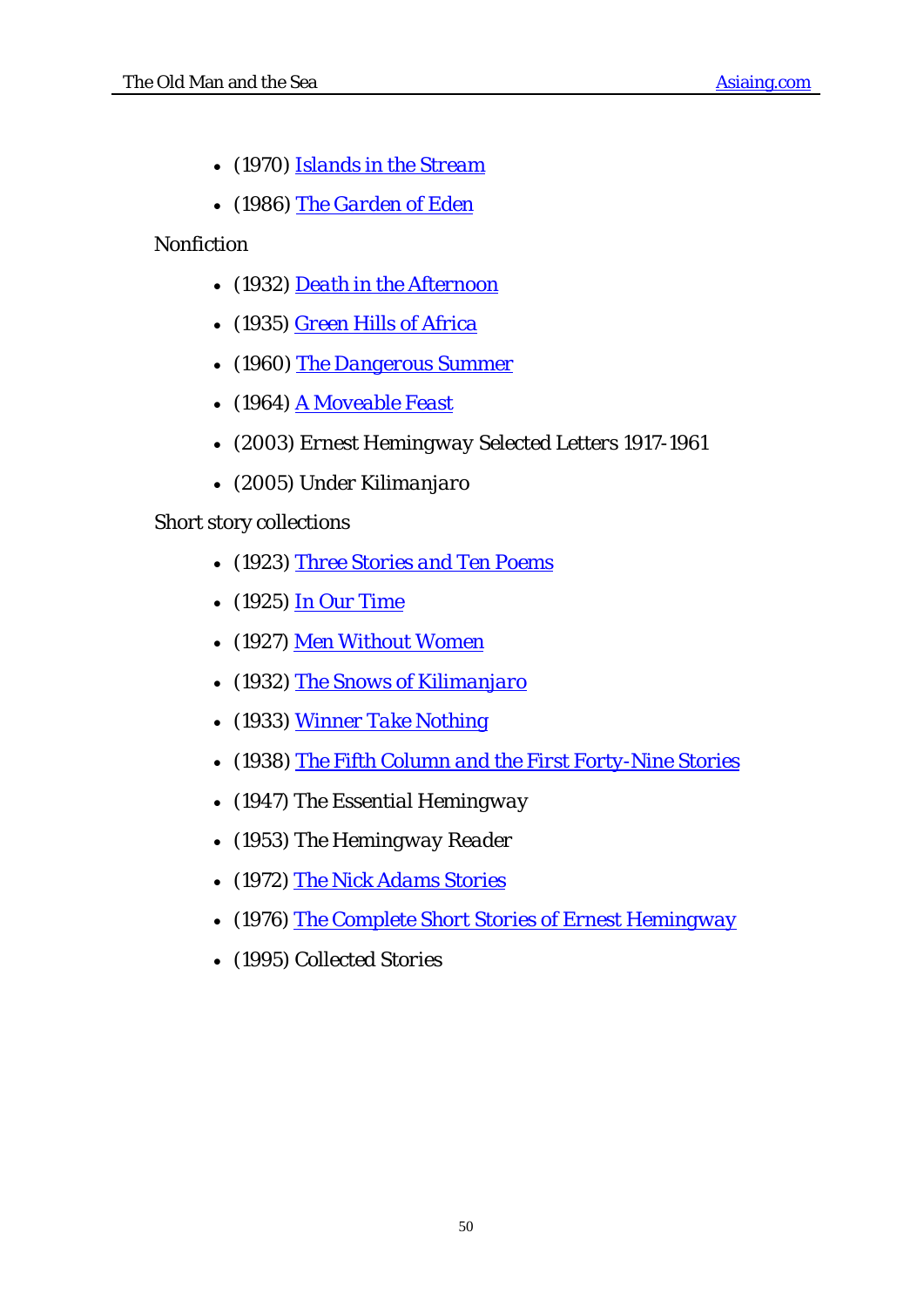- (1970) *Islands in the Stream*
- (1986) *The Garden of Eden*

Nonfiction

- (1932) *Death in the Afternoon*
- (1935) *Green Hills of Africa*
- (1960) *The Dangerous Summer*
- (1964) *A Moveable Feast*
- (2003) *Ernest Hemingway Selected Letters 1917-1961*
- (2005) *Under Kilimanjaro*

Short story collections

- (1923) *Three Stories and Ten Poems*
- (1925) *In Our Time*
- (1927) *Men Without Women*
- (1932) *The Snows of Kilimanjaro*
- (1933) *Winner Take Nothing*
- (1938) *The Fifth Column and the First Forty-Nine Stories*
- (1947) *The Essential Hemingway*
- (1953) *The Hemingway Reader*
- (1972) *The Nick Adams Stories*
- (1976) *The Complete Short Stories of Ernest Hemingway*
- (1995) *Collected Stories*